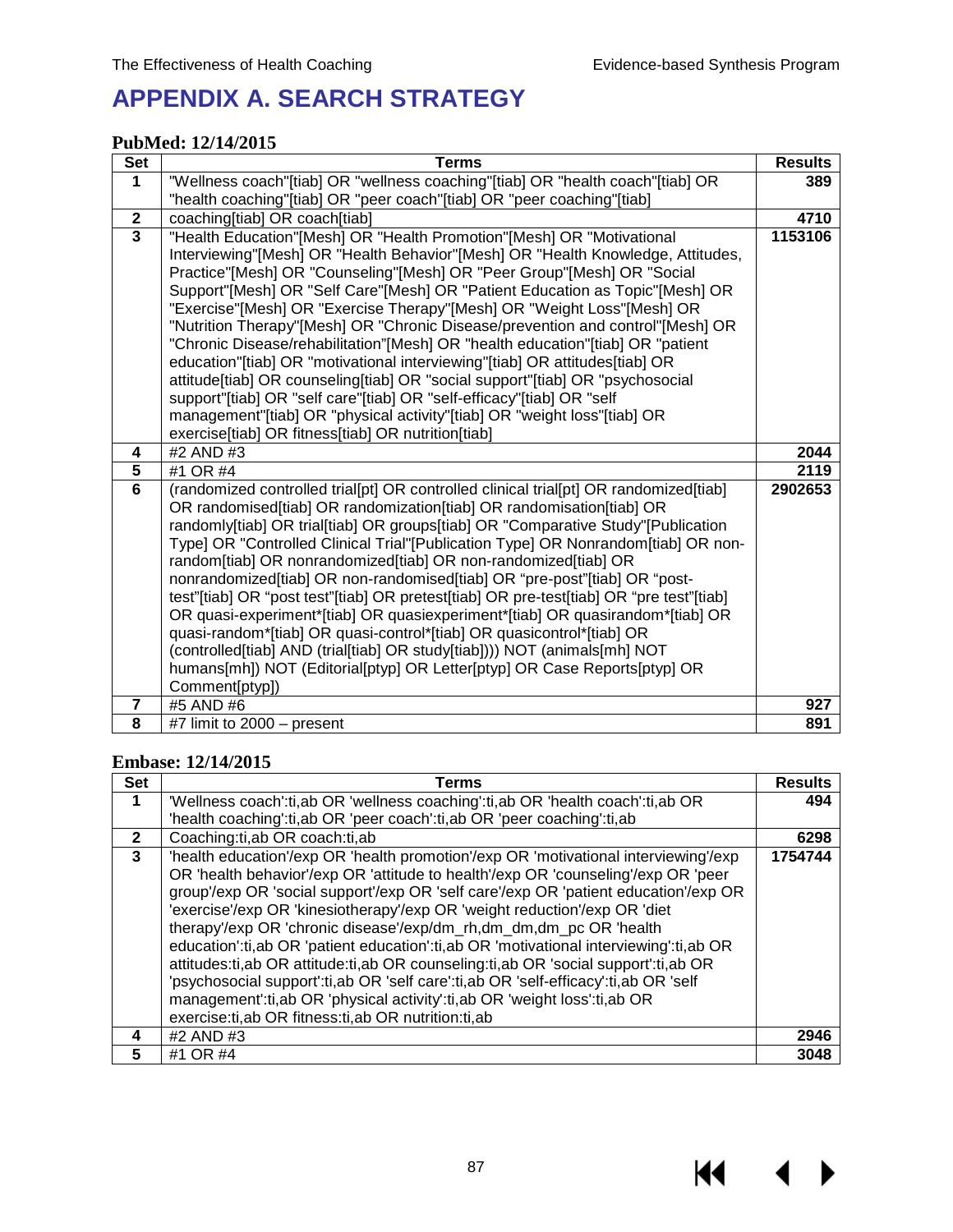$M \cdot 1$ 

# **APPENDIX A. SEARCH STRATEGY**

### **PubMed: 12/14/2015**

| <b>Set</b>              | <b>Terms</b>                                                                                                                                                         | <b>Results</b> |  |  |  |  |
|-------------------------|----------------------------------------------------------------------------------------------------------------------------------------------------------------------|----------------|--|--|--|--|
| $\mathbf 1$             | "Wellness coach"[tiab] OR "wellness coaching"[tiab] OR "health coach"[tiab] OR                                                                                       | 389            |  |  |  |  |
|                         | "health coaching"[tiab] OR "peer coach"[tiab] OR "peer coaching"[tiab]                                                                                               |                |  |  |  |  |
| $\mathbf{2}$            | coaching[tiab] OR coach[tiab]                                                                                                                                        | 4710           |  |  |  |  |
| $\overline{\mathbf{3}}$ | "Health Education"[Mesh] OR "Health Promotion"[Mesh] OR "Motivational                                                                                                | 1153106        |  |  |  |  |
|                         | Interviewing"[Mesh] OR "Health Behavior"[Mesh] OR "Health Knowledge, Attitudes,                                                                                      |                |  |  |  |  |
|                         | Practice"[Mesh] OR "Counseling"[Mesh] OR "Peer Group"[Mesh] OR "Social                                                                                               |                |  |  |  |  |
|                         | Support"[Mesh] OR "Self Care"[Mesh] OR "Patient Education as Topic"[Mesh] OR                                                                                         |                |  |  |  |  |
|                         | "Exercise"[Mesh] OR "Exercise Therapy"[Mesh] OR "Weight Loss"[Mesh] OR                                                                                               |                |  |  |  |  |
|                         | "Nutrition Therapy"[Mesh] OR "Chronic Disease/prevention and control"[Mesh] OR                                                                                       |                |  |  |  |  |
|                         | "Chronic Disease/rehabilitation"[Mesh] OR "health education"[tiab] OR "patient                                                                                       |                |  |  |  |  |
|                         | education"[tiab] OR "motivational interviewing"[tiab] OR attitudes[tiab] OR                                                                                          |                |  |  |  |  |
|                         | attitude[tiab] OR counseling[tiab] OR "social support"[tiab] OR "psychosocial                                                                                        |                |  |  |  |  |
|                         | support"[tiab] OR "self care"[tiab] OR "self-efficacy"[tiab] OR "self                                                                                                |                |  |  |  |  |
|                         | management"[tiab] OR "physical activity"[tiab] OR "weight loss"[tiab] OR                                                                                             |                |  |  |  |  |
|                         | exercise[tiab] OR fitness[tiab] OR nutrition[tiab]                                                                                                                   |                |  |  |  |  |
| 4                       | #2 AND #3                                                                                                                                                            | 2044           |  |  |  |  |
| $\overline{5}$          | #1 OR #4                                                                                                                                                             | 2119           |  |  |  |  |
| $\overline{6}$          | (randomized controlled trial[pt] OR controlled clinical trial[pt] OR randomized[tiab]                                                                                | 2902653        |  |  |  |  |
|                         | OR randomised[tiab] OR randomization[tiab] OR randomisation[tiab] OR                                                                                                 |                |  |  |  |  |
|                         | randomly[tiab] OR trial[tiab] OR groups[tiab] OR "Comparative Study"[Publication                                                                                     |                |  |  |  |  |
|                         | Type] OR "Controlled Clinical Trial"[Publication Type] OR Nonrandom[tiab] OR non-                                                                                    |                |  |  |  |  |
|                         | random[tiab] OR nonrandomized[tiab] OR non-randomized[tiab] OR                                                                                                       |                |  |  |  |  |
|                         | nonrandomized[tiab] OR non-randomised[tiab] OR "pre-post"[tiab] OR "post-<br>test"[tiab] OR "post test"[tiab] OR pretest[tiab] OR pre-test[tiab] OR "pre test"[tiab] |                |  |  |  |  |
|                         | OR quasi-experiment*[tiab] OR quasiexperiment*[tiab] OR quasirandom*[tiab] OR                                                                                        |                |  |  |  |  |
|                         | quasi-random*[tiab] OR quasi-control*[tiab] OR quasicontrol*[tiab] OR                                                                                                |                |  |  |  |  |
|                         | (controlled[tiab] AND (trial[tiab] OR study[tiab]))) NOT (animals[mh] NOT                                                                                            |                |  |  |  |  |
|                         | humans[mh]) NOT (Editorial[ptyp] OR Letter[ptyp] OR Case Reports[ptyp] OR                                                                                            |                |  |  |  |  |
|                         | Comment[ptyp])                                                                                                                                                       |                |  |  |  |  |
| $\overline{7}$          | #5 AND #6                                                                                                                                                            | 927            |  |  |  |  |
| 8                       | #7 limit to 2000 - present                                                                                                                                           | 891            |  |  |  |  |
|                         |                                                                                                                                                                      |                |  |  |  |  |

### **Embase: 12/14/2015**

| <b>Set</b>   | Terms                                                                                                                                                                                                                                                                                                                                                                                                                                                                                                                                                                                                                                                                                                                                                                                                                                | <b>Results</b> |
|--------------|--------------------------------------------------------------------------------------------------------------------------------------------------------------------------------------------------------------------------------------------------------------------------------------------------------------------------------------------------------------------------------------------------------------------------------------------------------------------------------------------------------------------------------------------------------------------------------------------------------------------------------------------------------------------------------------------------------------------------------------------------------------------------------------------------------------------------------------|----------------|
| 1            | 'Wellness coach':ti,ab OR 'wellness coaching':ti,ab OR 'health coach':ti,ab OR                                                                                                                                                                                                                                                                                                                                                                                                                                                                                                                                                                                                                                                                                                                                                       | 494            |
|              | 'health coaching':ti,ab OR 'peer coach':ti,ab OR 'peer coaching':ti,ab                                                                                                                                                                                                                                                                                                                                                                                                                                                                                                                                                                                                                                                                                                                                                               |                |
| $\mathbf{2}$ | Coaching:ti, ab OR coach:ti, ab                                                                                                                                                                                                                                                                                                                                                                                                                                                                                                                                                                                                                                                                                                                                                                                                      | 6298           |
| 3            | 'health education'/exp OR 'health promotion'/exp OR 'motivational interviewing'/exp<br>OR 'health behavior'/exp OR 'attitude to health'/exp OR 'counseling'/exp OR 'peer<br>group'/exp OR 'social support'/exp OR 'self care'/exp OR 'patient education'/exp OR<br>'exercise'/exp OR 'kinesiotherapy'/exp OR 'weight reduction'/exp OR 'diet<br>therapy'/exp OR 'chronic disease'/exp/dm_rh,dm_dm,dm_pc OR 'health<br>education':ti,ab OR 'patient education':ti,ab OR 'motivational interviewing':ti,ab OR<br>attitudes:ti, ab OR attitude:ti, ab OR counseling:ti, ab OR 'social support':ti, ab OR<br>'psychosocial support':ti,ab OR 'self care':ti,ab OR 'self-efficacy':ti,ab OR 'self<br>management':ti,ab OR 'physical activity':ti,ab OR 'weight loss':ti,ab OR<br>exercise: ti, ab OR fitness: ti, ab OR nutrition: ti, ab | 1754744        |
| 4            | #2 AND #3                                                                                                                                                                                                                                                                                                                                                                                                                                                                                                                                                                                                                                                                                                                                                                                                                            | 2946           |
| 5            | #1 OR #4                                                                                                                                                                                                                                                                                                                                                                                                                                                                                                                                                                                                                                                                                                                                                                                                                             | 3048           |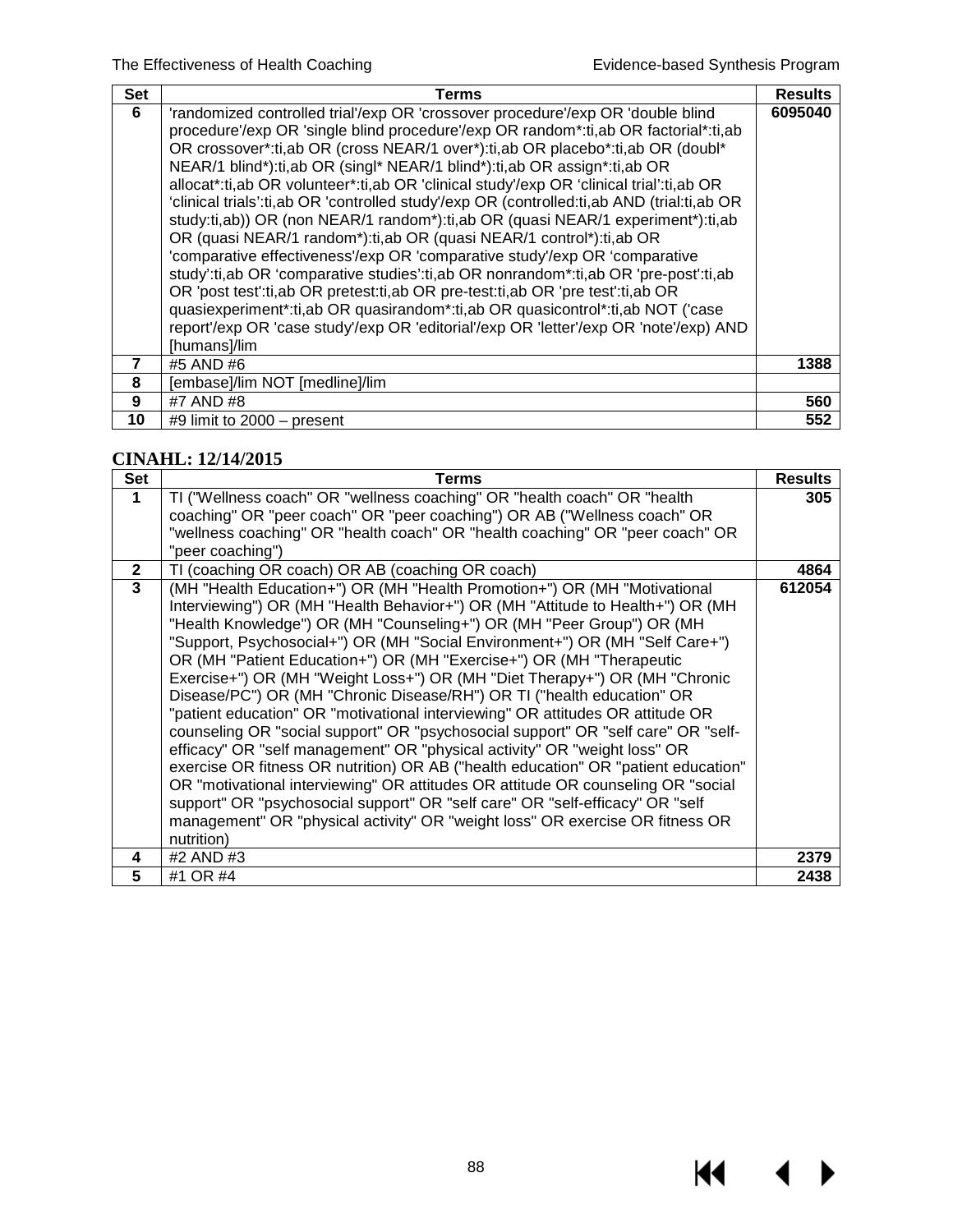$M \rightarrow$ 

| <b>Set</b> | Terms                                                                                                                                                                                                                                                                                                                                                                                                                                                                                                                                                                                                                                                                                                                                                                                                                                                                                                                                                                                                                                                                                                                                     | <b>Results</b> |
|------------|-------------------------------------------------------------------------------------------------------------------------------------------------------------------------------------------------------------------------------------------------------------------------------------------------------------------------------------------------------------------------------------------------------------------------------------------------------------------------------------------------------------------------------------------------------------------------------------------------------------------------------------------------------------------------------------------------------------------------------------------------------------------------------------------------------------------------------------------------------------------------------------------------------------------------------------------------------------------------------------------------------------------------------------------------------------------------------------------------------------------------------------------|----------------|
| 6          | 'randomized controlled trial'/exp OR 'crossover procedure'/exp OR 'double blind<br>procedure'/exp OR 'single blind procedure'/exp OR random*:ti,ab OR factorial*:ti,ab<br>OR crossover*:ti,ab OR (cross NEAR/1 over*):ti,ab OR placebo*:ti,ab OR (doubl*<br>NEAR/1 blind*):ti,ab OR (singl* NEAR/1 blind*):ti,ab OR assign*:ti,ab OR<br>allocat*:ti,ab OR volunteer*:ti,ab OR 'clinical study'/exp OR 'clinical trial':ti,ab OR<br>'clinical trials':ti,ab OR 'controlled study'/exp OR (controlled:ti,ab AND (trial:ti,ab OR<br>study:ti,ab)) OR (non NEAR/1 random*):ti,ab OR (quasi NEAR/1 experiment*):ti,ab<br>OR (quasi NEAR/1 random*):ti,ab OR (quasi NEAR/1 control*):ti,ab OR<br>'comparative effectiveness'/exp OR 'comparative study'/exp OR 'comparative<br>study':ti,ab OR 'comparative studies':ti,ab OR nonrandom*:ti,ab OR 'pre-post':ti,ab<br>OR 'post test':ti,ab OR pretest:ti,ab OR pre-test:ti,ab OR 'pre test':ti,ab OR<br>quasiexperiment*:ti,ab OR quasirandom*:ti,ab OR quasicontrol*:ti,ab NOT ('case<br>report'/exp OR 'case study'/exp OR 'editorial'/exp OR 'letter'/exp OR 'note'/exp) AND<br>[humans]/lim | 6095040        |
| 7          | #5 AND #6                                                                                                                                                                                                                                                                                                                                                                                                                                                                                                                                                                                                                                                                                                                                                                                                                                                                                                                                                                                                                                                                                                                                 | 1388           |
| 8          | [embase]/lim NOT [medline]/lim                                                                                                                                                                                                                                                                                                                                                                                                                                                                                                                                                                                                                                                                                                                                                                                                                                                                                                                                                                                                                                                                                                            |                |
| 9          | #7 AND #8                                                                                                                                                                                                                                                                                                                                                                                                                                                                                                                                                                                                                                                                                                                                                                                                                                                                                                                                                                                                                                                                                                                                 | 560            |
| 10         | $\#9$ limit to 2000 – present                                                                                                                                                                                                                                                                                                                                                                                                                                                                                                                                                                                                                                                                                                                                                                                                                                                                                                                                                                                                                                                                                                             | 552            |

### **CINAHL: 12/14/2015**

| Set          | Terms                                                                                                                                                                                                                                                                                                                                                                                                                                                                                                                                                                                                                                                                                                                                                                                                                                                                                                                                                                                                                                                                                                                                                              | <b>Results</b> |
|--------------|--------------------------------------------------------------------------------------------------------------------------------------------------------------------------------------------------------------------------------------------------------------------------------------------------------------------------------------------------------------------------------------------------------------------------------------------------------------------------------------------------------------------------------------------------------------------------------------------------------------------------------------------------------------------------------------------------------------------------------------------------------------------------------------------------------------------------------------------------------------------------------------------------------------------------------------------------------------------------------------------------------------------------------------------------------------------------------------------------------------------------------------------------------------------|----------------|
| $\mathbf 1$  | TI ("Wellness coach" OR "wellness coaching" OR "health coach" OR "health<br>coaching" OR "peer coach" OR "peer coaching") OR AB ("Wellness coach" OR                                                                                                                                                                                                                                                                                                                                                                                                                                                                                                                                                                                                                                                                                                                                                                                                                                                                                                                                                                                                               | 305            |
|              | "wellness coaching" OR "health coach" OR "health coaching" OR "peer coach" OR<br>"peer coaching")                                                                                                                                                                                                                                                                                                                                                                                                                                                                                                                                                                                                                                                                                                                                                                                                                                                                                                                                                                                                                                                                  |                |
| $\mathbf{2}$ | TI (coaching OR coach) OR AB (coaching OR coach)                                                                                                                                                                                                                                                                                                                                                                                                                                                                                                                                                                                                                                                                                                                                                                                                                                                                                                                                                                                                                                                                                                                   | 4864           |
| $\mathbf{3}$ | (MH "Health Education+") OR (MH "Health Promotion+") OR (MH "Motivational<br>Interviewing") OR (MH "Health Behavior+") OR (MH "Attitude to Health+") OR (MH<br>"Health Knowledge") OR (MH "Counseling+") OR (MH "Peer Group") OR (MH<br>"Support, Psychosocial+") OR (MH "Social Environment+") OR (MH "Self Care+")<br>OR (MH "Patient Education+") OR (MH "Exercise+") OR (MH "Therapeutic<br>Exercise+") OR (MH "Weight Loss+") OR (MH "Diet Therapy+") OR (MH "Chronic<br>Disease/PC") OR (MH "Chronic Disease/RH") OR TI ("health education" OR<br>"patient education" OR "motivational interviewing" OR attitudes OR attitude OR<br>counseling OR "social support" OR "psychosocial support" OR "self care" OR "self-<br>efficacy" OR "self management" OR "physical activity" OR "weight loss" OR<br>exercise OR fitness OR nutrition) OR AB ("health education" OR "patient education"<br>OR "motivational interviewing" OR attitudes OR attitude OR counseling OR "social<br>support" OR "psychosocial support" OR "self care" OR "self-efficacy" OR "self<br>management" OR "physical activity" OR "weight loss" OR exercise OR fitness OR<br>nutrition) | 612054         |
| 4            | #2 AND #3                                                                                                                                                                                                                                                                                                                                                                                                                                                                                                                                                                                                                                                                                                                                                                                                                                                                                                                                                                                                                                                                                                                                                          | 2379           |
| 5            | #1 OR #4                                                                                                                                                                                                                                                                                                                                                                                                                                                                                                                                                                                                                                                                                                                                                                                                                                                                                                                                                                                                                                                                                                                                                           | 2438           |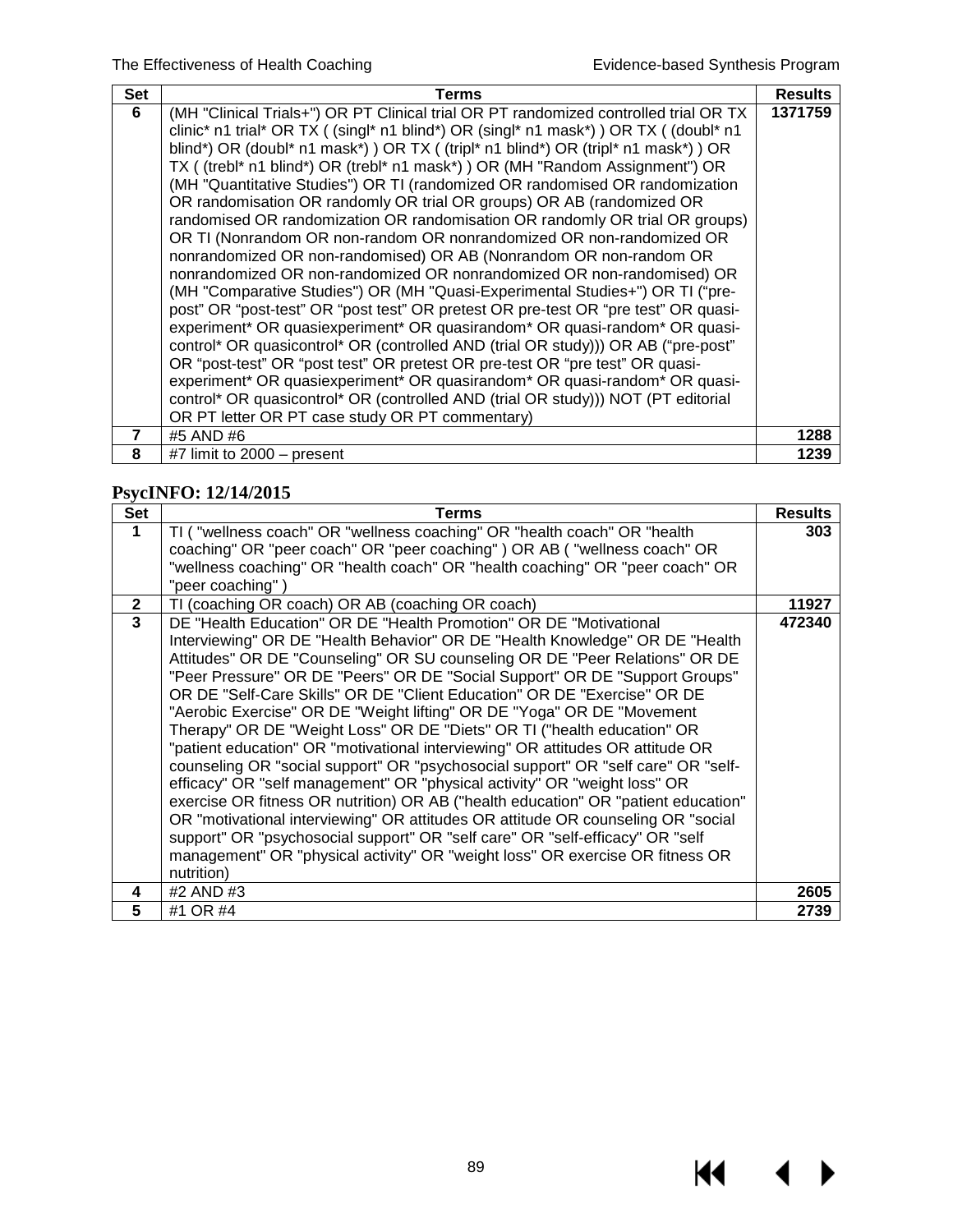$M \rightarrow$ 

| <b>Set</b>     | Terms                                                                                | <b>Results</b> |
|----------------|--------------------------------------------------------------------------------------|----------------|
| 6              | (MH "Clinical Trials+") OR PT Clinical trial OR PT randomized controlled trial OR TX | 1371759        |
|                | clinic* n1 trial* OR TX ((singl* n1 blind*) OR (singl* n1 mask*)) OR TX ((doubl* n1  |                |
|                | blind*) OR (doubl* n1 mask*) ) OR TX ( (tripl* n1 blind*) OR (tripl* n1 mask*) ) OR  |                |
|                | TX ((trebl* n1 blind*) OR (trebl* n1 mask*)) OR (MH "Random Assignment") OR          |                |
|                | (MH "Quantitative Studies") OR TI (randomized OR randomised OR randomization         |                |
|                | OR randomisation OR randomly OR trial OR groups) OR AB (randomized OR                |                |
|                | randomised OR randomization OR randomisation OR randomly OR trial OR groups)         |                |
|                | OR TI (Nonrandom OR non-random OR nonrandomized OR non-randomized OR                 |                |
|                | nonrandomized OR non-randomised) OR AB (Nonrandom OR non-random OR                   |                |
|                | nonrandomized OR non-randomized OR nonrandomized OR non-randomised) OR               |                |
|                | (MH "Comparative Studies") OR (MH "Quasi-Experimental Studies+") OR TI ("pre-        |                |
|                | post" OR "post-test" OR "post test" OR pretest OR pre-test OR "pre test" OR quasi-   |                |
|                | experiment* OR quasiexperiment* OR quasirandom* OR quasi-random* OR quasi-           |                |
|                | control* OR quasicontrol* OR (controlled AND (trial OR study))) OR AB ("pre-post"    |                |
|                | OR "post-test" OR "post test" OR pretest OR pre-test OR "pre test" OR quasi-         |                |
|                | experiment* OR quasiexperiment* OR quasirandom* OR quasi-random* OR quasi-           |                |
|                | control* OR quasicontrol* OR (controlled AND (trial OR study))) NOT (PT editorial    |                |
|                | OR PT letter OR PT case study OR PT commentary)                                      |                |
| $\overline{7}$ | #5 AND #6                                                                            | 1288           |
| 8              | #7 limit to $2000 -$ present                                                         | 1239           |

## **PsycINFO: 12/14/2015**

| <b>Set</b>   | <b>Terms</b>                                                                                                                                                                                                                                                                                                                                                                                                                                                                                                                                                                                                                                                                                                                                                                                                                                                                                                                                                                                                                                                                                                                                                    | <b>Results</b> |
|--------------|-----------------------------------------------------------------------------------------------------------------------------------------------------------------------------------------------------------------------------------------------------------------------------------------------------------------------------------------------------------------------------------------------------------------------------------------------------------------------------------------------------------------------------------------------------------------------------------------------------------------------------------------------------------------------------------------------------------------------------------------------------------------------------------------------------------------------------------------------------------------------------------------------------------------------------------------------------------------------------------------------------------------------------------------------------------------------------------------------------------------------------------------------------------------|----------------|
| 1            | TI ("wellness coach" OR "wellness coaching" OR "health coach" OR "health<br>coaching" OR "peer coach" OR "peer coaching" ) OR AB ( "wellness coach" OR                                                                                                                                                                                                                                                                                                                                                                                                                                                                                                                                                                                                                                                                                                                                                                                                                                                                                                                                                                                                          | 303            |
|              | "wellness coaching" OR "health coach" OR "health coaching" OR "peer coach" OR<br>"peer coaching")                                                                                                                                                                                                                                                                                                                                                                                                                                                                                                                                                                                                                                                                                                                                                                                                                                                                                                                                                                                                                                                               |                |
| $\mathbf{2}$ | TI (coaching OR coach) OR AB (coaching OR coach)                                                                                                                                                                                                                                                                                                                                                                                                                                                                                                                                                                                                                                                                                                                                                                                                                                                                                                                                                                                                                                                                                                                | 11927          |
| $\mathbf{3}$ | DE "Health Education" OR DE "Health Promotion" OR DE "Motivational<br>Interviewing" OR DE "Health Behavior" OR DE "Health Knowledge" OR DE "Health<br>Attitudes" OR DE "Counseling" OR SU counseling OR DE "Peer Relations" OR DE<br>"Peer Pressure" OR DE "Peers" OR DE "Social Support" OR DE "Support Groups"<br>OR DE "Self-Care Skills" OR DE "Client Education" OR DE "Exercise" OR DE<br>"Aerobic Exercise" OR DE "Weight lifting" OR DE "Yoga" OR DE "Movement<br>Therapy" OR DE "Weight Loss" OR DE "Diets" OR TI ("health education" OR<br>"patient education" OR "motivational interviewing" OR attitudes OR attitude OR<br>counseling OR "social support" OR "psychosocial support" OR "self care" OR "self-<br>efficacy" OR "self management" OR "physical activity" OR "weight loss" OR<br>exercise OR fitness OR nutrition) OR AB ("health education" OR "patient education"<br>OR "motivational interviewing" OR attitudes OR attitude OR counseling OR "social<br>support" OR "psychosocial support" OR "self care" OR "self-efficacy" OR "self<br>management" OR "physical activity" OR "weight loss" OR exercise OR fitness OR<br>nutrition) | 472340         |
| 4            | #2 AND #3                                                                                                                                                                                                                                                                                                                                                                                                                                                                                                                                                                                                                                                                                                                                                                                                                                                                                                                                                                                                                                                                                                                                                       | 2605           |
| 5            | #1 OR #4                                                                                                                                                                                                                                                                                                                                                                                                                                                                                                                                                                                                                                                                                                                                                                                                                                                                                                                                                                                                                                                                                                                                                        | 2739           |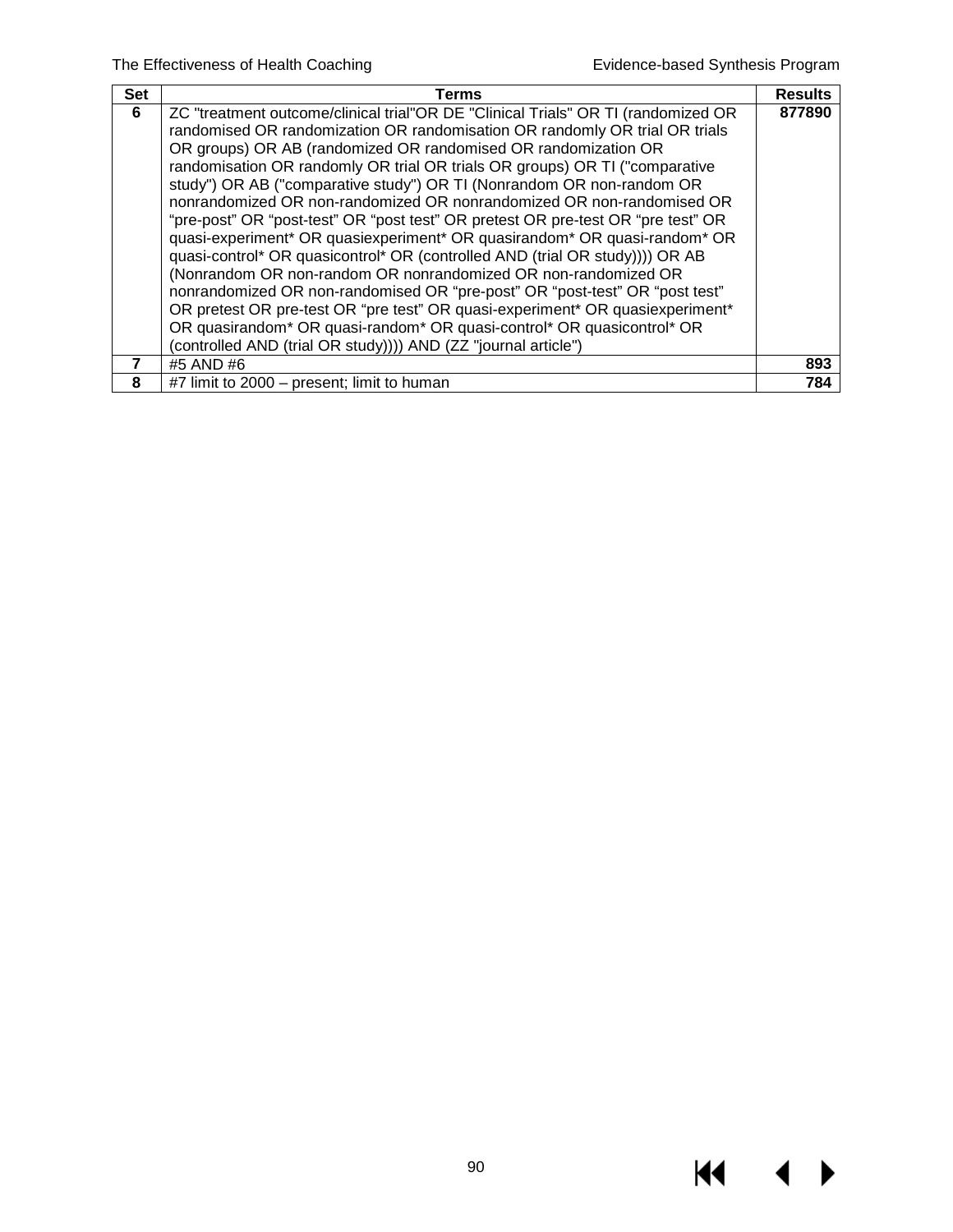$M \rightarrow$ 

| <b>Set</b> | Terms                                                                             | <b>Results</b> |
|------------|-----------------------------------------------------------------------------------|----------------|
| 6          | ZC "treatment outcome/clinical trial"OR DE "Clinical Trials" OR TI (randomized OR | 877890         |
|            | randomised OR randomization OR randomisation OR randomly OR trial OR trials       |                |
|            | OR groups) OR AB (randomized OR randomised OR randomization OR                    |                |
|            | randomisation OR randomly OR trial OR trials OR groups) OR TI ("comparative       |                |
|            | study") OR AB ("comparative study") OR TI (Nonrandom OR non-random OR             |                |
|            | nonrandomized OR non-randomized OR nonrandomized OR non-randomised OR             |                |
|            | "pre-post" OR "post-test" OR "post test" OR pretest OR pre-test OR "pre test" OR  |                |
|            | quasi-experiment* OR quasiexperiment* OR quasirandom* OR quasi-random* OR         |                |
|            | quasi-control* OR quasicontrol* OR (controlled AND (trial OR study))) OR AB       |                |
|            | (Nonrandom OR non-random OR nonrandomized OR non-randomized OR                    |                |
|            | nonrandomized OR non-randomised OR "pre-post" OR "post-test" OR "post test"       |                |
|            | OR pretest OR pre-test OR "pre test" OR quasi-experiment* OR quasiexperiment*     |                |
|            | OR quasirandom* OR quasi-random* OR quasi-control* OR quasicontrol* OR            |                |
|            | (controlled AND (trial OR study)))) AND (ZZ "journal article")                    |                |
|            | #5 AND #6                                                                         | 893            |
| 8          | #7 limit to 2000 – present; limit to human                                        | 784            |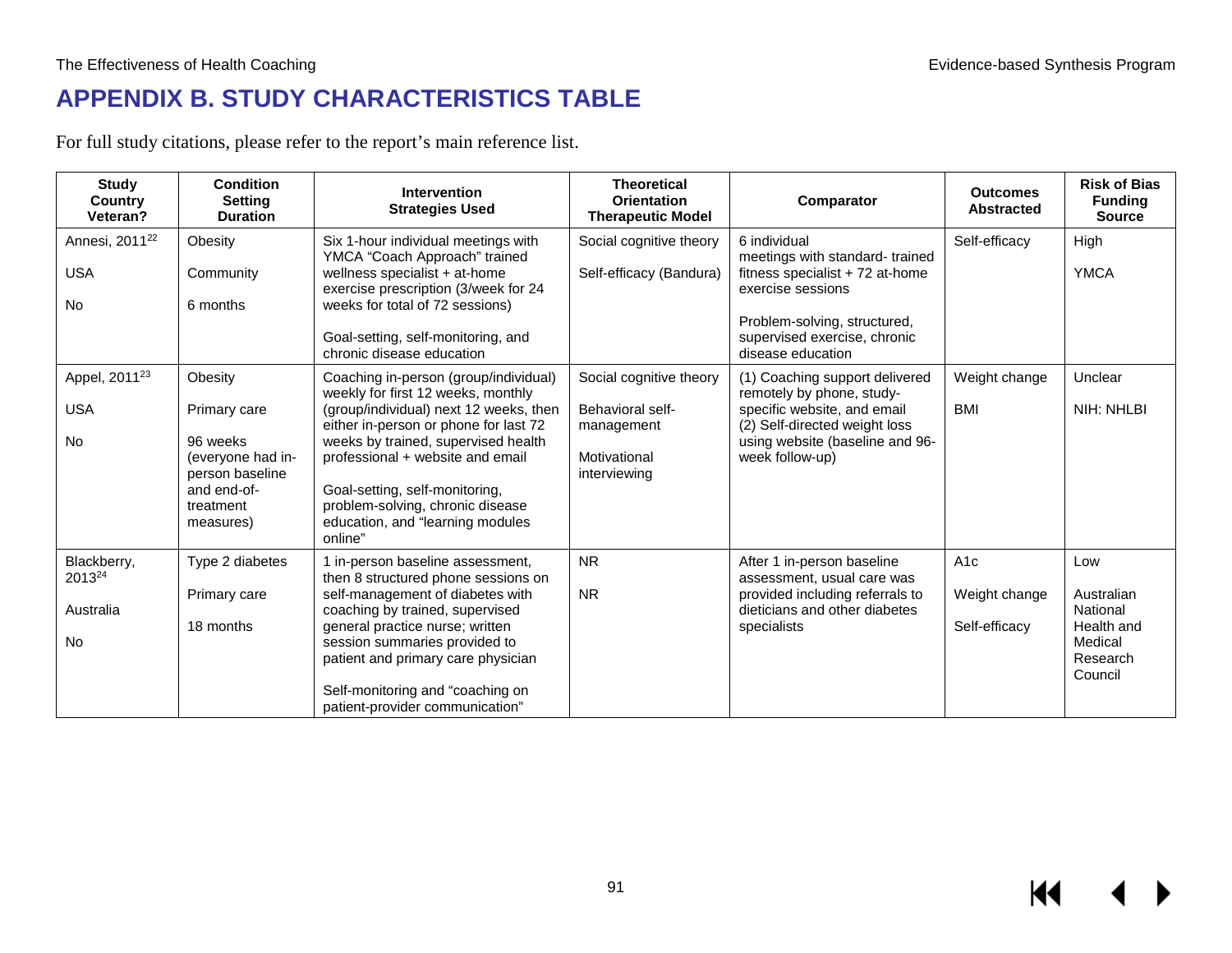# **APPENDIX B. STUDY CHARACTERISTICS TABLE**

For full study citations, please refer to the report's main reference list.

| <b>Study</b><br>Country<br>Veteran?                   | <b>Condition</b><br><b>Setting</b><br><b>Duration</b>                                                                | <b>Intervention</b><br><b>Strategies Used</b>                                                                                                                                                                                                                                                                                                                  | <b>Theoretical</b><br><b>Orientation</b><br><b>Therapeutic Model</b>                      | Comparator                                                                                                                                                                                  | <b>Outcomes</b><br><b>Abstracted</b>  | <b>Risk of Bias</b><br><b>Funding</b><br><b>Source</b>                        |
|-------------------------------------------------------|----------------------------------------------------------------------------------------------------------------------|----------------------------------------------------------------------------------------------------------------------------------------------------------------------------------------------------------------------------------------------------------------------------------------------------------------------------------------------------------------|-------------------------------------------------------------------------------------------|---------------------------------------------------------------------------------------------------------------------------------------------------------------------------------------------|---------------------------------------|-------------------------------------------------------------------------------|
| Annesi, 2011 <sup>22</sup><br><b>USA</b><br><b>No</b> | Obesity<br>Community<br>6 months                                                                                     | Six 1-hour individual meetings with<br>YMCA "Coach Approach" trained<br>wellness specialist + at-home<br>exercise prescription (3/week for 24<br>weeks for total of 72 sessions)<br>Goal-setting, self-monitoring, and<br>chronic disease education                                                                                                            | Social cognitive theory<br>Self-efficacy (Bandura)                                        | 6 individual<br>meetings with standard-trained<br>fitness specialist + 72 at-home<br>exercise sessions<br>Problem-solving, structured,<br>supervised exercise, chronic<br>disease education | Self-efficacy                         | High<br><b>YMCA</b>                                                           |
| Appel, 2011 <sup>23</sup><br><b>USA</b><br><b>No</b>  | Obesity<br>Primary care<br>96 weeks<br>(everyone had in-<br>person baseline<br>and end-of-<br>treatment<br>measures) | Coaching in-person (group/individual)<br>weekly for first 12 weeks, monthly<br>(group/individual) next 12 weeks, then<br>either in-person or phone for last 72<br>weeks by trained, supervised health<br>professional + website and email<br>Goal-setting, self-monitoring,<br>problem-solving, chronic disease<br>education, and "learning modules<br>online" | Social cognitive theory<br>Behavioral self-<br>management<br>Motivational<br>interviewing | (1) Coaching support delivered<br>remotely by phone, study-<br>specific website, and email<br>(2) Self-directed weight loss<br>using website (baseline and 96-<br>week follow-up)           | Weight change<br><b>BMI</b>           | Unclear<br>NIH: NHLBI                                                         |
| Blackberry,<br>2013 <sup>24</sup><br>Australia<br>No  | Type 2 diabetes<br>Primary care<br>18 months                                                                         | 1 in-person baseline assessment,<br>then 8 structured phone sessions on<br>self-management of diabetes with<br>coaching by trained, supervised<br>general practice nurse; written<br>session summaries provided to<br>patient and primary care physician<br>Self-monitoring and "coaching on<br>patient-provider communication"                                | <b>NR</b><br><b>NR</b>                                                                    | After 1 in-person baseline<br>assessment, usual care was<br>provided including referrals to<br>dieticians and other diabetes<br>specialists                                                 | A1c<br>Weight change<br>Self-efficacy | Low<br>Australian<br>National<br>Health and<br>Medical<br>Research<br>Council |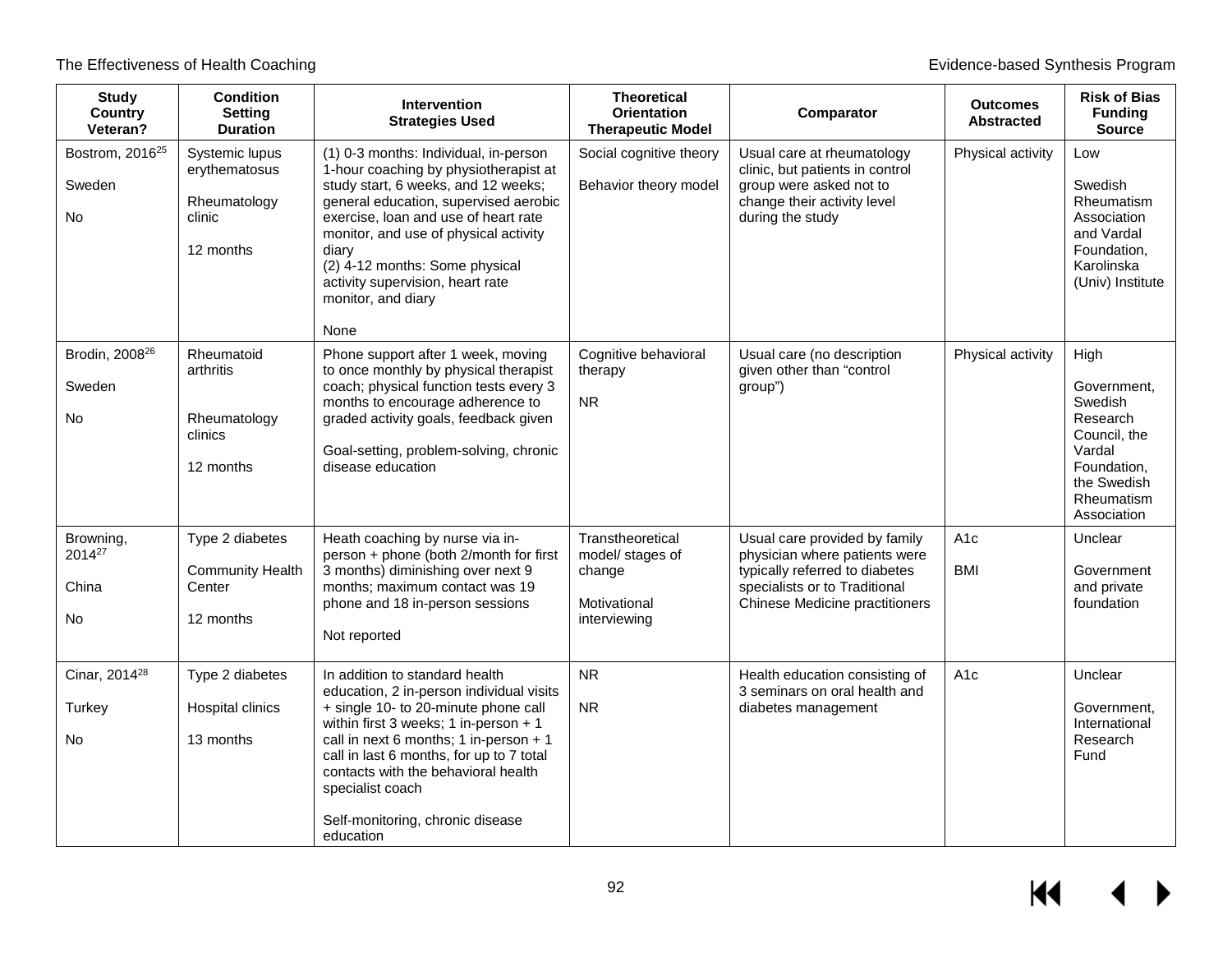| <b>Study</b><br>Country<br>Veteran?                   | <b>Condition</b><br><b>Setting</b><br><b>Duration</b>                  | <b>Intervention</b><br><b>Strategies Used</b>                                                                                                                                                                                                                                                                                                                  | <b>Theoretical</b><br><b>Orientation</b><br><b>Therapeutic Model</b>           | Comparator                                                                                                                                                                 | <b>Outcomes</b><br><b>Abstracted</b> | <b>Risk of Bias</b><br><b>Funding</b><br>Source                                                                                 |
|-------------------------------------------------------|------------------------------------------------------------------------|----------------------------------------------------------------------------------------------------------------------------------------------------------------------------------------------------------------------------------------------------------------------------------------------------------------------------------------------------------------|--------------------------------------------------------------------------------|----------------------------------------------------------------------------------------------------------------------------------------------------------------------------|--------------------------------------|---------------------------------------------------------------------------------------------------------------------------------|
| Bostrom, 2016 <sup>25</sup><br>Sweden<br><b>No</b>    | Systemic lupus<br>erythematosus<br>Rheumatology<br>clinic<br>12 months | (1) 0-3 months: Individual, in-person<br>1-hour coaching by physiotherapist at<br>study start, 6 weeks, and 12 weeks;<br>general education, supervised aerobic<br>exercise, loan and use of heart rate<br>monitor, and use of physical activity<br>diary<br>(2) 4-12 months: Some physical<br>activity supervision, heart rate<br>monitor, and diary<br>None   | Social cognitive theory<br>Behavior theory model                               | Usual care at rheumatology<br>clinic, but patients in control<br>group were asked not to<br>change their activity level<br>during the study                                | Physical activity                    | Low<br>Swedish<br>Rheumatism<br>Association<br>and Vardal<br>Foundation,<br>Karolinska<br>(Univ) Institute                      |
| Brodin, 2008 <sup>26</sup><br>Sweden<br><b>No</b>     | Rheumatoid<br>arthritis<br>Rheumatology<br>clinics<br>12 months        | Phone support after 1 week, moving<br>to once monthly by physical therapist<br>coach; physical function tests every 3<br>months to encourage adherence to<br>graded activity goals, feedback given<br>Goal-setting, problem-solving, chronic<br>disease education                                                                                              | Cognitive behavioral<br>therapy<br>NR.                                         | Usual care (no description<br>given other than "control<br>group")                                                                                                         | Physical activity                    | High<br>Government,<br>Swedish<br>Research<br>Council, the<br>Vardal<br>Foundation,<br>the Swedish<br>Rheumatism<br>Association |
| Browning,<br>2014 <sup>27</sup><br>China<br><b>No</b> | Type 2 diabetes<br><b>Community Health</b><br>Center<br>12 months      | Heath coaching by nurse via in-<br>person + phone (both 2/month for first<br>3 months) diminishing over next 9<br>months; maximum contact was 19<br>phone and 18 in-person sessions<br>Not reported                                                                                                                                                            | Transtheoretical<br>model/ stages of<br>change<br>Motivational<br>interviewing | Usual care provided by family<br>physician where patients were<br>typically referred to diabetes<br>specialists or to Traditional<br><b>Chinese Medicine practitioners</b> | A <sub>1</sub> c<br>BMI              | Unclear<br>Government<br>and private<br>foundation                                                                              |
| Cinar, 2014 <sup>28</sup><br>Turkey<br><b>No</b>      | Type 2 diabetes<br>Hospital clinics<br>13 months                       | In addition to standard health<br>education, 2 in-person individual visits<br>+ single 10- to 20-minute phone call<br>within first 3 weeks; 1 in-person $+1$<br>call in next 6 months; 1 in-person + 1<br>call in last 6 months, for up to 7 total<br>contacts with the behavioral health<br>specialist coach<br>Self-monitoring, chronic disease<br>education | <b>NR</b><br><b>NR</b>                                                         | Health education consisting of<br>3 seminars on oral health and<br>diabetes management                                                                                     | A <sub>1c</sub>                      | Unclear<br>Government,<br>International<br>Research<br>Fund                                                                     |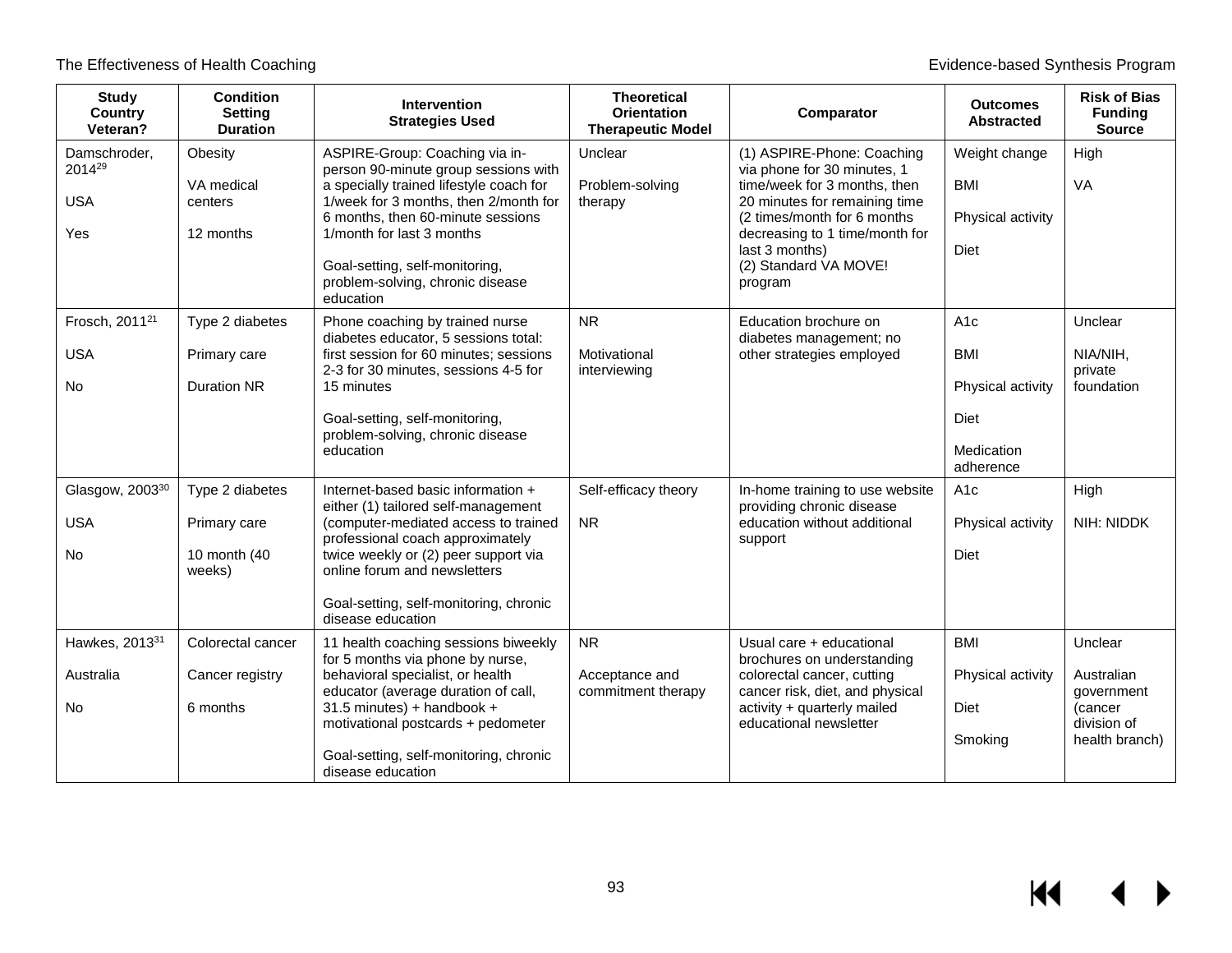| <b>Study</b><br><b>Country</b><br>Veteran?             | <b>Condition</b><br><b>Setting</b><br><b>Duration</b>     | <b>Intervention</b><br><b>Strategies Used</b>                                                                                                                                                                                                                                                                   | <b>Theoretical</b><br><b>Orientation</b><br><b>Therapeutic Model</b> | Comparator                                                                                                                                                                                                                                        | <b>Outcomes</b><br><b>Abstracted</b>                                                  | <b>Risk of Bias</b><br><b>Funding</b><br><b>Source</b>                          |
|--------------------------------------------------------|-----------------------------------------------------------|-----------------------------------------------------------------------------------------------------------------------------------------------------------------------------------------------------------------------------------------------------------------------------------------------------------------|----------------------------------------------------------------------|---------------------------------------------------------------------------------------------------------------------------------------------------------------------------------------------------------------------------------------------------|---------------------------------------------------------------------------------------|---------------------------------------------------------------------------------|
| Damschroder,<br>201429<br><b>USA</b><br>Yes            | Obesity<br>VA medical<br>centers<br>12 months             | ASPIRE-Group: Coaching via in-<br>person 90-minute group sessions with<br>a specially trained lifestyle coach for<br>1/week for 3 months, then 2/month for<br>6 months, then 60-minute sessions<br>1/month for last 3 months<br>Goal-setting, self-monitoring,<br>problem-solving, chronic disease<br>education | Unclear<br>Problem-solving<br>therapy                                | (1) ASPIRE-Phone: Coaching<br>via phone for 30 minutes, 1<br>time/week for 3 months, then<br>20 minutes for remaining time<br>(2 times/month for 6 months<br>decreasing to 1 time/month for<br>last 3 months)<br>(2) Standard VA MOVE!<br>program | Weight change<br><b>BMI</b><br>Physical activity<br>Diet                              | High<br>VA                                                                      |
| Frosch, 2011 <sup>21</sup><br><b>USA</b><br><b>No</b>  | Type 2 diabetes<br>Primary care<br><b>Duration NR</b>     | Phone coaching by trained nurse<br>diabetes educator, 5 sessions total:<br>first session for 60 minutes; sessions<br>2-3 for 30 minutes, sessions 4-5 for<br>15 minutes<br>Goal-setting, self-monitoring,<br>problem-solving, chronic disease<br>education                                                      | <b>NR</b><br>Motivational<br>interviewing                            | Education brochure on<br>diabetes management; no<br>other strategies employed                                                                                                                                                                     | A <sub>1c</sub><br><b>BMI</b><br>Physical activity<br>Diet<br>Medication<br>adherence | Unclear<br>NIA/NIH,<br>private<br>foundation                                    |
| Glasgow, 2003 <sup>30</sup><br><b>USA</b><br><b>No</b> | Type 2 diabetes<br>Primary care<br>10 month (40<br>weeks) | Internet-based basic information +<br>either (1) tailored self-management<br>(computer-mediated access to trained<br>professional coach approximately<br>twice weekly or (2) peer support via<br>online forum and newsletters<br>Goal-setting, self-monitoring, chronic<br>disease education                    | Self-efficacy theory<br><b>NR</b>                                    | In-home training to use website<br>providing chronic disease<br>education without additional<br>support                                                                                                                                           | A <sub>1</sub> c<br>Physical activity<br>Diet                                         | High<br>NIH: NIDDK                                                              |
| Hawkes, 2013 <sup>31</sup><br>Australia<br><b>No</b>   | Colorectal cancer<br>Cancer registry<br>6 months          | 11 health coaching sessions biweekly<br>for 5 months via phone by nurse,<br>behavioral specialist, or health<br>educator (average duration of call,<br>31.5 minutes) + handbook +<br>motivational postcards + pedometer<br>Goal-setting, self-monitoring, chronic<br>disease education                          | <b>NR</b><br>Acceptance and<br>commitment therapy                    | Usual care + educational<br>brochures on understanding<br>colorectal cancer, cutting<br>cancer risk, diet, and physical<br>activity + quarterly mailed<br>educational newsletter                                                                  | <b>BMI</b><br>Physical activity<br>Diet<br>Smoking                                    | Unclear<br>Australian<br>government<br>(cancer<br>division of<br>health branch) |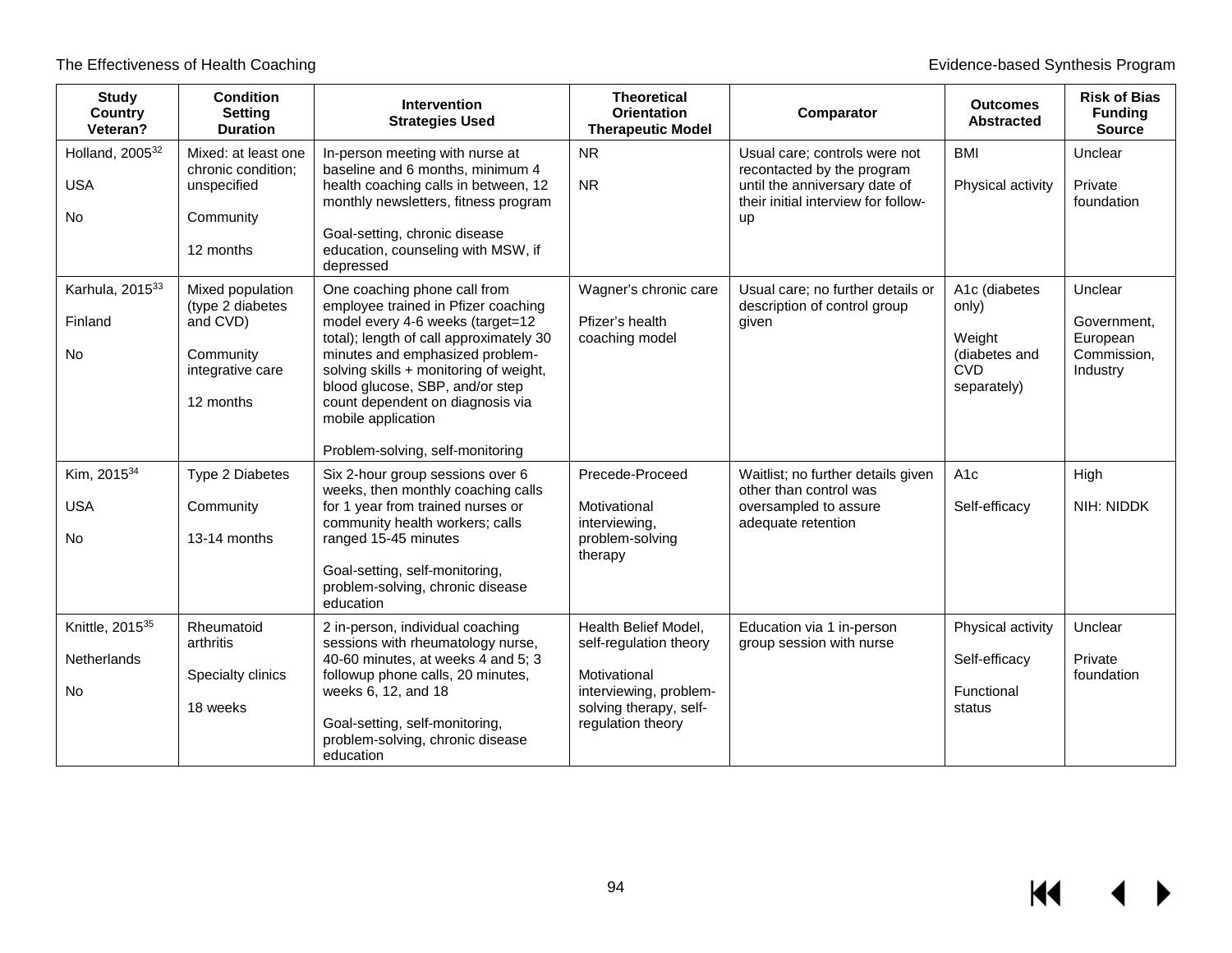| <b>Study</b><br>Country<br>Veteran?                            | <b>Condition</b><br><b>Setting</b><br><b>Duration</b>                                          | <b>Intervention</b><br><b>Strategies Used</b>                                                                                                                                                                                                                                                                                                                    | <b>Theoretical</b><br><b>Orientation</b><br><b>Therapeutic Model</b>                                                                    | Comparator                                                                                                                                       | <b>Outcomes</b><br><b>Abstracted</b>                                           | <b>Risk of Bias</b><br><b>Funding</b><br><b>Source</b>        |
|----------------------------------------------------------------|------------------------------------------------------------------------------------------------|------------------------------------------------------------------------------------------------------------------------------------------------------------------------------------------------------------------------------------------------------------------------------------------------------------------------------------------------------------------|-----------------------------------------------------------------------------------------------------------------------------------------|--------------------------------------------------------------------------------------------------------------------------------------------------|--------------------------------------------------------------------------------|---------------------------------------------------------------|
| Holland, 2005 <sup>32</sup><br><b>USA</b><br><b>No</b>         | Mixed: at least one<br>chronic condition:<br>unspecified<br>Community<br>12 months             | In-person meeting with nurse at<br>baseline and 6 months, minimum 4<br>health coaching calls in between, 12<br>monthly newsletters, fitness program<br>Goal-setting, chronic disease<br>education, counseling with MSW, if<br>depressed                                                                                                                          | <b>NR</b><br><b>NR</b>                                                                                                                  | Usual care; controls were not<br>recontacted by the program<br>until the anniversary date of<br>their initial interview for follow-<br><b>up</b> | <b>BMI</b><br>Physical activity                                                | Unclear<br>Private<br>foundation                              |
| Karhula, 201533<br>Finland<br><b>No</b>                        | Mixed population<br>(type 2 diabetes<br>and CVD)<br>Community<br>integrative care<br>12 months | One coaching phone call from<br>employee trained in Pfizer coaching<br>model every 4-6 weeks (target=12<br>total); length of call approximately 30<br>minutes and emphasized problem-<br>solving skills + monitoring of weight,<br>blood glucose, SBP, and/or step<br>count dependent on diagnosis via<br>mobile application<br>Problem-solving, self-monitoring | Wagner's chronic care<br>Pfizer's health<br>coaching model                                                                              | Usual care; no further details or<br>description of control group<br>given                                                                       | A1c (diabetes<br>only)<br>Weight<br>(diabetes and<br><b>CVD</b><br>separately) | Unclear<br>Government.<br>European<br>Commission,<br>Industry |
| Kim, 201534<br><b>USA</b><br><b>No</b>                         | Type 2 Diabetes<br>Community<br>13-14 months                                                   | Six 2-hour group sessions over 6<br>weeks, then monthly coaching calls<br>for 1 year from trained nurses or<br>community health workers; calls<br>ranged 15-45 minutes<br>Goal-setting, self-monitoring,<br>problem-solving, chronic disease<br>education                                                                                                        | Precede-Proceed<br>Motivational<br>interviewing,<br>problem-solving<br>therapy                                                          | Waitlist; no further details given<br>other than control was<br>oversampled to assure<br>adequate retention                                      | A <sub>1c</sub><br>Self-efficacy                                               | High<br>NIH: NIDDK                                            |
| Knittle, 2015 <sup>35</sup><br><b>Netherlands</b><br><b>No</b> | Rheumatoid<br>arthritis<br>Specialty clinics<br>18 weeks                                       | 2 in-person, individual coaching<br>sessions with rheumatology nurse,<br>40-60 minutes, at weeks 4 and 5; 3<br>followup phone calls, 20 minutes,<br>weeks 6, 12, and 18<br>Goal-setting, self-monitoring,<br>problem-solving, chronic disease<br>education                                                                                                       | Health Belief Model,<br>self-regulation theory<br>Motivational<br>interviewing, problem-<br>solving therapy, self-<br>regulation theory | Education via 1 in-person<br>group session with nurse                                                                                            | Physical activity<br>Self-efficacy<br>Functional<br>status                     | Unclear<br>Private<br>foundation                              |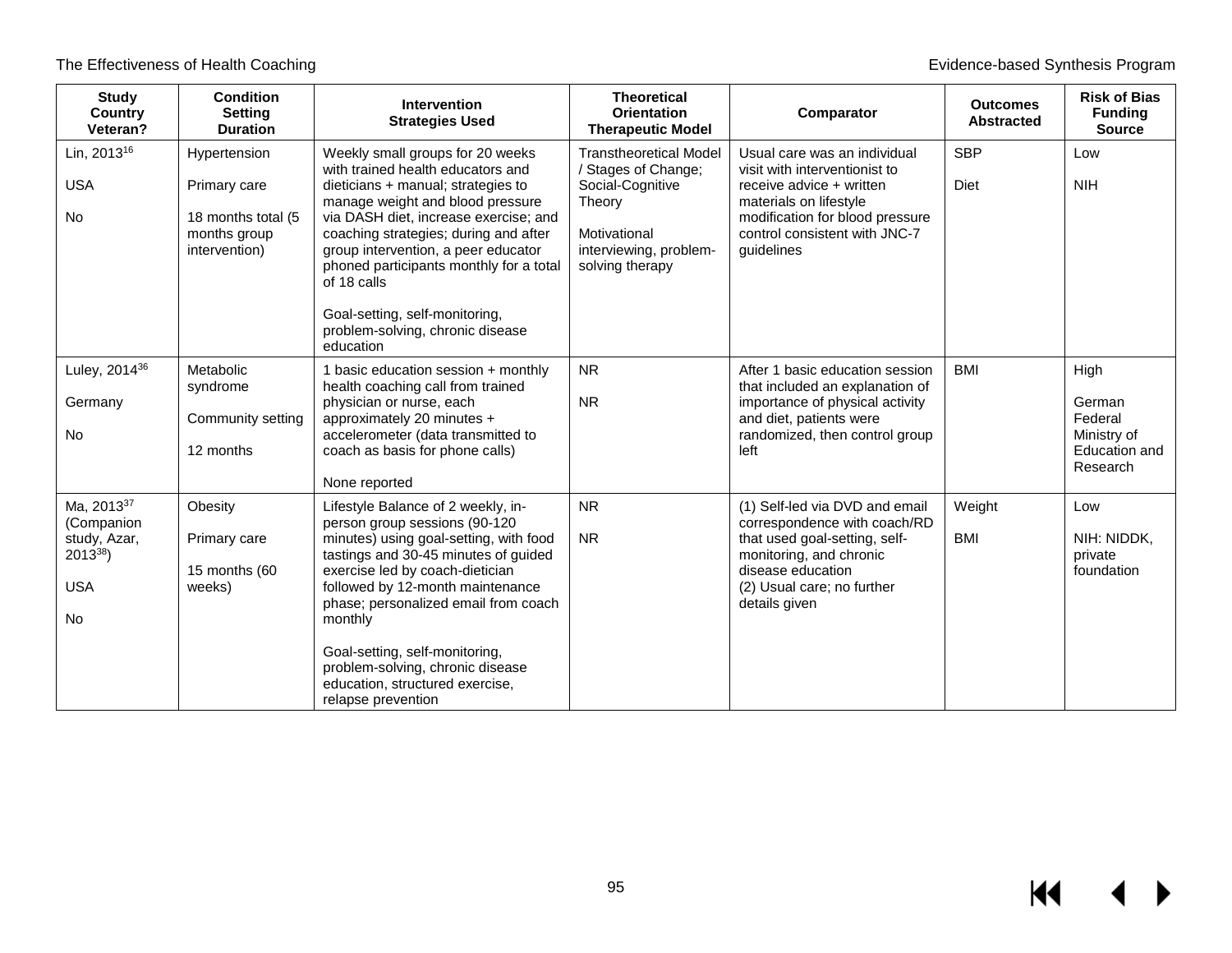| <b>Study</b><br><b>Country</b><br>Veteran?                                                     | <b>Condition</b><br><b>Setting</b><br><b>Duration</b>                               | Intervention<br><b>Strategies Used</b>                                                                                                                                                                                                                                                                                                                                                                                | <b>Theoretical</b><br><b>Orientation</b><br><b>Therapeutic Model</b>                                                                            | Comparator                                                                                                                                                                                            | <b>Outcomes</b><br><b>Abstracted</b> | <b>Risk of Bias</b><br><b>Funding</b><br><b>Source</b>                |
|------------------------------------------------------------------------------------------------|-------------------------------------------------------------------------------------|-----------------------------------------------------------------------------------------------------------------------------------------------------------------------------------------------------------------------------------------------------------------------------------------------------------------------------------------------------------------------------------------------------------------------|-------------------------------------------------------------------------------------------------------------------------------------------------|-------------------------------------------------------------------------------------------------------------------------------------------------------------------------------------------------------|--------------------------------------|-----------------------------------------------------------------------|
| Lin, 2013 <sup>16</sup><br><b>USA</b><br><b>No</b>                                             | Hypertension<br>Primary care<br>18 months total (5<br>months group<br>intervention) | Weekly small groups for 20 weeks<br>with trained health educators and<br>dieticians + manual; strategies to<br>manage weight and blood pressure<br>via DASH diet, increase exercise; and<br>coaching strategies; during and after<br>group intervention, a peer educator<br>phoned participants monthly for a total<br>of 18 calls<br>Goal-setting, self-monitoring,<br>problem-solving, chronic disease<br>education | <b>Transtheoretical Model</b><br>/ Stages of Change;<br>Social-Cognitive<br>Theory<br>Motivational<br>interviewing, problem-<br>solving therapy | Usual care was an individual<br>visit with interventionist to<br>receive advice + written<br>materials on lifestyle<br>modification for blood pressure<br>control consistent with JNC-7<br>guidelines | <b>SBP</b><br>Diet                   | Low<br><b>NIH</b>                                                     |
| Luley, 2014 <sup>36</sup><br>Germany<br><b>No</b>                                              | Metabolic<br>syndrome<br>Community setting<br>12 months                             | 1 basic education session + monthly<br>health coaching call from trained<br>physician or nurse, each<br>approximately 20 minutes +<br>accelerometer (data transmitted to<br>coach as basis for phone calls)<br>None reported                                                                                                                                                                                          | <b>NR</b><br><b>NR</b>                                                                                                                          | After 1 basic education session<br>that included an explanation of<br>importance of physical activity<br>and diet, patients were<br>randomized, then control group<br>left                            | <b>BMI</b>                           | High<br>German<br>Federal<br>Ministry of<br>Education and<br>Research |
| Ma, 2013 <sup>37</sup><br>(Companion<br>study, Azar,<br>$2013^{38}$<br><b>USA</b><br><b>No</b> | Obesity<br>Primary care<br>15 months (60<br>weeks)                                  | Lifestyle Balance of 2 weekly, in-<br>person group sessions (90-120<br>minutes) using goal-setting, with food<br>tastings and 30-45 minutes of guided<br>exercise led by coach-dietician<br>followed by 12-month maintenance<br>phase; personalized email from coach<br>monthly<br>Goal-setting, self-monitoring,<br>problem-solving, chronic disease<br>education, structured exercise,<br>relapse prevention        | <b>NR</b><br><b>NR</b>                                                                                                                          | (1) Self-led via DVD and email<br>correspondence with coach/RD<br>that used goal-setting, self-<br>monitoring, and chronic<br>disease education<br>(2) Usual care; no further<br>details given        | Weight<br><b>BMI</b>                 | Low<br>NIH: NIDDK,<br>private<br>foundation                           |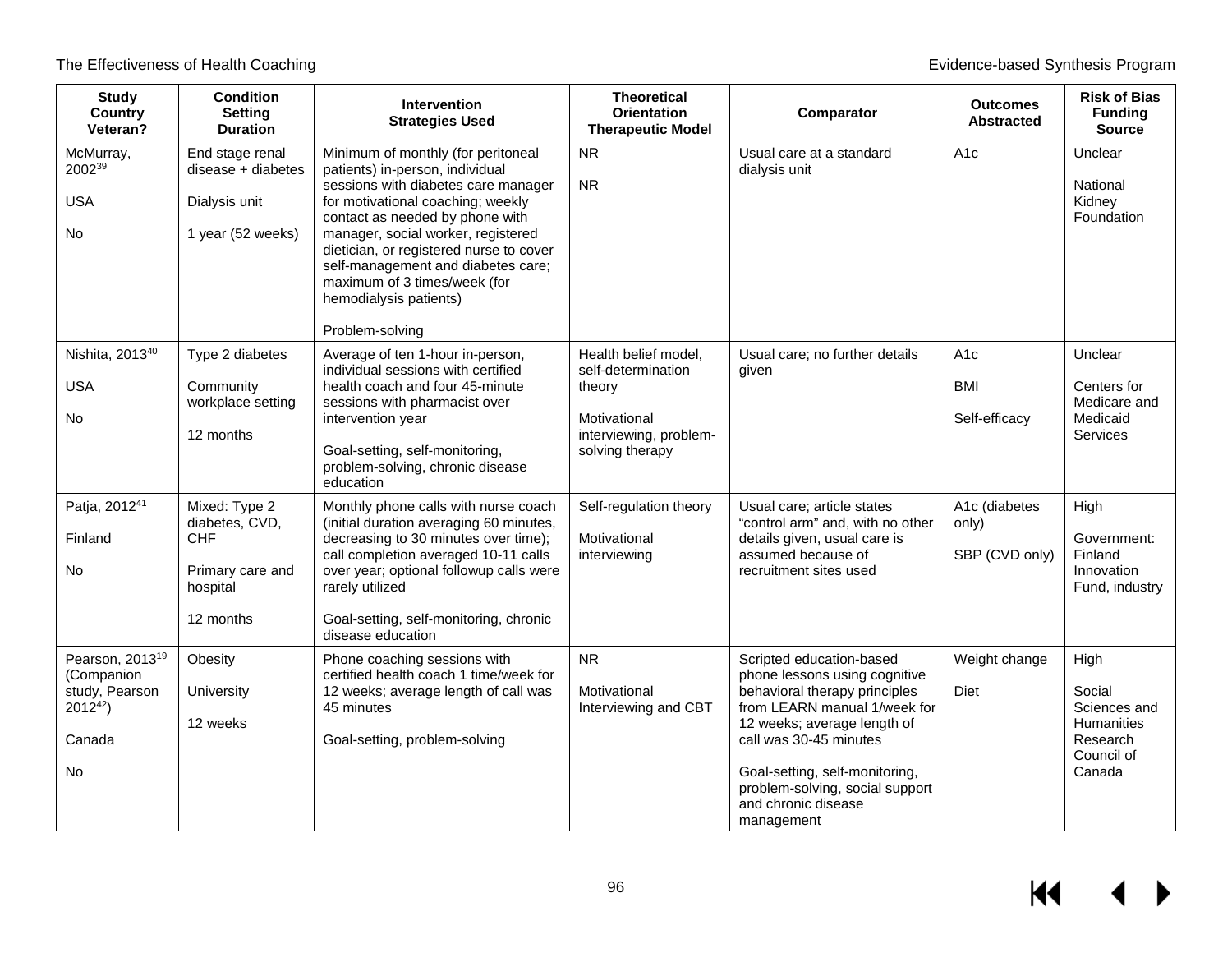| <b>Study</b><br>Country<br>Veteran?                                                          | <b>Condition</b><br><b>Setting</b><br><b>Duration</b>                               | <b>Intervention</b><br><b>Strategies Used</b>                                                                                                                                                                                                                                                                                                                                            | <b>Theoretical</b><br><b>Orientation</b><br><b>Therapeutic Model</b>                                              | Comparator                                                                                                                                                                                                                                                                                    | <b>Outcomes</b><br><b>Abstracted</b>           | <b>Risk of Bias</b><br><b>Funding</b><br><b>Source</b>                           |
|----------------------------------------------------------------------------------------------|-------------------------------------------------------------------------------------|------------------------------------------------------------------------------------------------------------------------------------------------------------------------------------------------------------------------------------------------------------------------------------------------------------------------------------------------------------------------------------------|-------------------------------------------------------------------------------------------------------------------|-----------------------------------------------------------------------------------------------------------------------------------------------------------------------------------------------------------------------------------------------------------------------------------------------|------------------------------------------------|----------------------------------------------------------------------------------|
| McMurray,<br>200239<br><b>USA</b><br>No                                                      | End stage renal<br>disease + diabetes<br>Dialysis unit<br>1 year (52 weeks)         | Minimum of monthly (for peritoneal<br>patients) in-person, individual<br>sessions with diabetes care manager<br>for motivational coaching; weekly<br>contact as needed by phone with<br>manager, social worker, registered<br>dietician, or registered nurse to cover<br>self-management and diabetes care;<br>maximum of 3 times/week (for<br>hemodialysis patients)<br>Problem-solving | <b>NR</b><br><b>NR</b>                                                                                            | Usual care at a standard<br>dialysis unit                                                                                                                                                                                                                                                     | A <sub>1</sub> c                               | Unclear<br>National<br>Kidney<br>Foundation                                      |
| Nishita, 2013 <sup>40</sup><br><b>USA</b><br>No                                              | Type 2 diabetes<br>Community<br>workplace setting<br>12 months                      | Average of ten 1-hour in-person,<br>individual sessions with certified<br>health coach and four 45-minute<br>sessions with pharmacist over<br>intervention year<br>Goal-setting, self-monitoring,<br>problem-solving, chronic disease<br>education                                                                                                                                       | Health belief model,<br>self-determination<br>theory<br>Motivational<br>interviewing, problem-<br>solving therapy | Usual care; no further details<br>given                                                                                                                                                                                                                                                       | A <sub>1c</sub><br><b>BMI</b><br>Self-efficacy | Unclear<br>Centers for<br>Medicare and<br>Medicaid<br><b>Services</b>            |
| Patja, 2012 <sup>41</sup><br>Finland<br>No.                                                  | Mixed: Type 2<br>diabetes, CVD,<br>CHF<br>Primary care and<br>hospital<br>12 months | Monthly phone calls with nurse coach<br>(initial duration averaging 60 minutes,<br>decreasing to 30 minutes over time);<br>call completion averaged 10-11 calls<br>over year; optional followup calls were<br>rarely utilized<br>Goal-setting, self-monitoring, chronic<br>disease education                                                                                             | Self-regulation theory<br>Motivational<br>interviewing                                                            | Usual care; article states<br>"control arm" and, with no other<br>details given, usual care is<br>assumed because of<br>recruitment sites used                                                                                                                                                | A1c (diabetes<br>only)<br>SBP (CVD only)       | High<br>Government:<br>Finland<br>Innovation<br>Fund, industry                   |
| Pearson, 2013 <sup>19</sup><br>(Companion<br>study, Pearson<br>$2012^{42}$ )<br>Canada<br>No | Obesity<br>University<br>12 weeks                                                   | Phone coaching sessions with<br>certified health coach 1 time/week for<br>12 weeks; average length of call was<br>45 minutes<br>Goal-setting, problem-solving                                                                                                                                                                                                                            | NR<br>Motivational<br>Interviewing and CBT                                                                        | Scripted education-based<br>phone lessons using cognitive<br>behavioral therapy principles<br>from LEARN manual 1/week for<br>12 weeks; average length of<br>call was 30-45 minutes<br>Goal-setting, self-monitoring,<br>problem-solving, social support<br>and chronic disease<br>management | Weight change<br><b>Diet</b>                   | High<br>Social<br>Sciences and<br>Humanities<br>Research<br>Council of<br>Canada |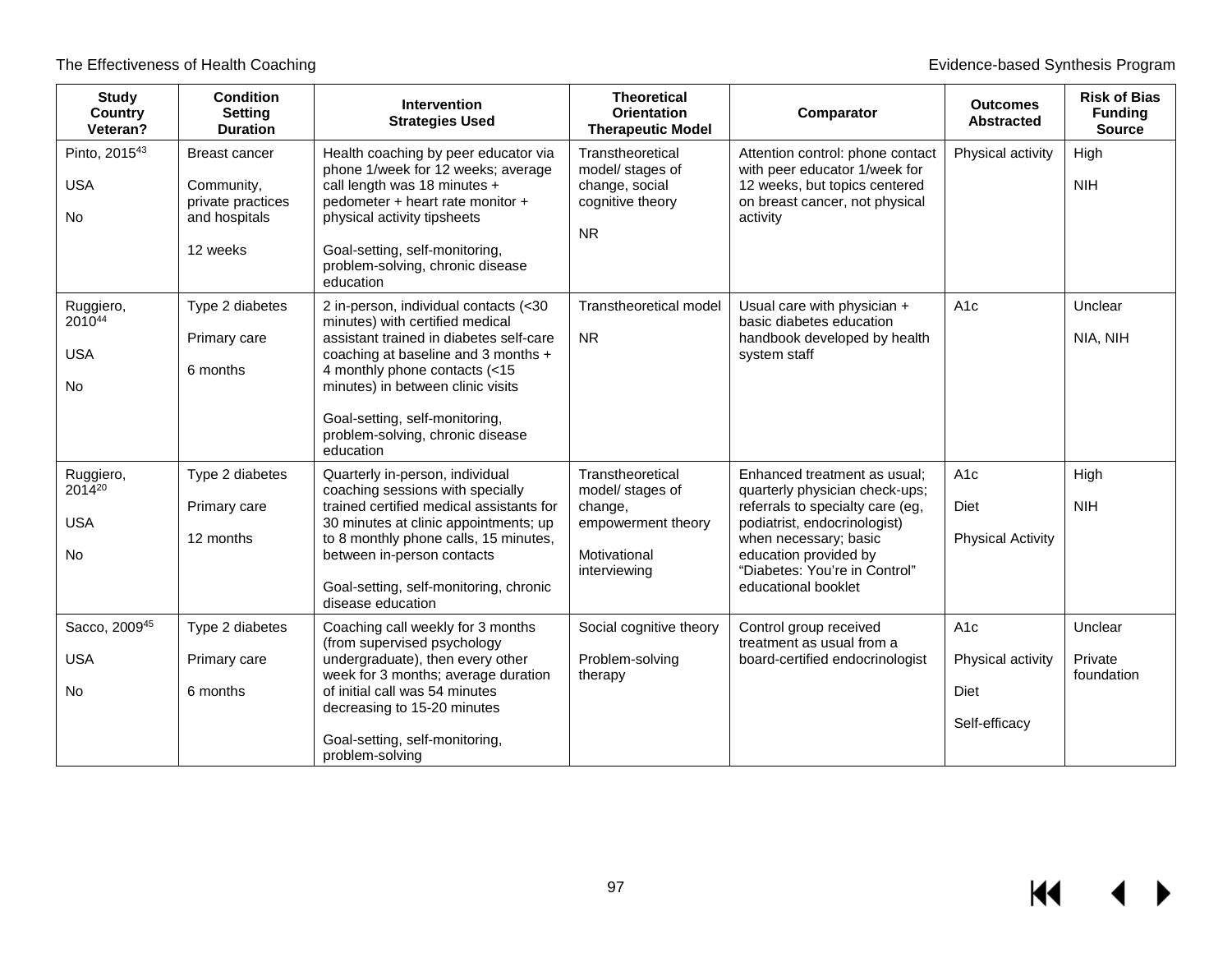| <b>Study</b><br><b>Country</b><br>Veteran?     | <b>Condition</b><br><b>Setting</b><br><b>Duration</b>                                | <b>Intervention</b><br><b>Strategies Used</b>                                                                                                                                                                                                                                                                       | <b>Theoretical</b><br><b>Orientation</b><br><b>Therapeutic Model</b>                                  | Comparator                                                                                                                                                                                                                                   | <b>Outcomes</b><br><b>Abstracted</b>                           | <b>Risk of Bias</b><br><b>Funding</b><br><b>Source</b> |
|------------------------------------------------|--------------------------------------------------------------------------------------|---------------------------------------------------------------------------------------------------------------------------------------------------------------------------------------------------------------------------------------------------------------------------------------------------------------------|-------------------------------------------------------------------------------------------------------|----------------------------------------------------------------------------------------------------------------------------------------------------------------------------------------------------------------------------------------------|----------------------------------------------------------------|--------------------------------------------------------|
| Pinto, 201543<br><b>USA</b><br><b>No</b>       | <b>Breast cancer</b><br>Community,<br>private practices<br>and hospitals<br>12 weeks | Health coaching by peer educator via<br>phone 1/week for 12 weeks; average<br>call length was 18 minutes +<br>pedometer + heart rate monitor +<br>physical activity tipsheets<br>Goal-setting, self-monitoring,<br>problem-solving, chronic disease<br>education                                                    | Transtheoretical<br>model/ stages of<br>change, social<br>cognitive theory<br><b>NR</b>               | Attention control: phone contact<br>with peer educator 1/week for<br>12 weeks, but topics centered<br>on breast cancer, not physical<br>activity                                                                                             | Physical activity                                              | High<br><b>NIH</b>                                     |
| Ruggiero,<br>201044<br><b>USA</b><br><b>No</b> | Type 2 diabetes<br>Primary care<br>6 months                                          | 2 in-person, individual contacts (<30<br>minutes) with certified medical<br>assistant trained in diabetes self-care<br>coaching at baseline and 3 months +<br>4 monthly phone contacts (<15<br>minutes) in between clinic visits<br>Goal-setting, self-monitoring,<br>problem-solving, chronic disease<br>education | Transtheoretical model<br><b>NR</b>                                                                   | Usual care with physician +<br>basic diabetes education<br>handbook developed by health<br>system staff                                                                                                                                      | A1c                                                            | Unclear<br>NIA, NIH                                    |
| Ruggiero,<br>201420<br><b>USA</b><br><b>No</b> | Type 2 diabetes<br>Primary care<br>12 months                                         | Quarterly in-person, individual<br>coaching sessions with specially<br>trained certified medical assistants for<br>30 minutes at clinic appointments; up<br>to 8 monthly phone calls, 15 minutes,<br>between in-person contacts<br>Goal-setting, self-monitoring, chronic<br>disease education                      | Transtheoretical<br>model/ stages of<br>change,<br>empowerment theory<br>Motivational<br>interviewing | Enhanced treatment as usual;<br>quarterly physician check-ups;<br>referrals to specialty care (eg,<br>podiatrist, endocrinologist)<br>when necessary; basic<br>education provided by<br>"Diabetes: You're in Control"<br>educational booklet | A <sub>1</sub> c<br>Diet<br><b>Physical Activity</b>           | High<br><b>NIH</b>                                     |
| Sacco, 200945<br><b>USA</b><br><b>No</b>       | Type 2 diabetes<br>Primary care<br>6 months                                          | Coaching call weekly for 3 months<br>(from supervised psychology<br>undergraduate), then every other<br>week for 3 months; average duration<br>of initial call was 54 minutes<br>decreasing to 15-20 minutes<br>Goal-setting, self-monitoring,<br>problem-solving                                                   | Social cognitive theory<br>Problem-solving<br>therapy                                                 | Control group received<br>treatment as usual from a<br>board-certified endocrinologist                                                                                                                                                       | A <sub>1</sub> c<br>Physical activity<br>Diet<br>Self-efficacy | Unclear<br>Private<br>foundation                       |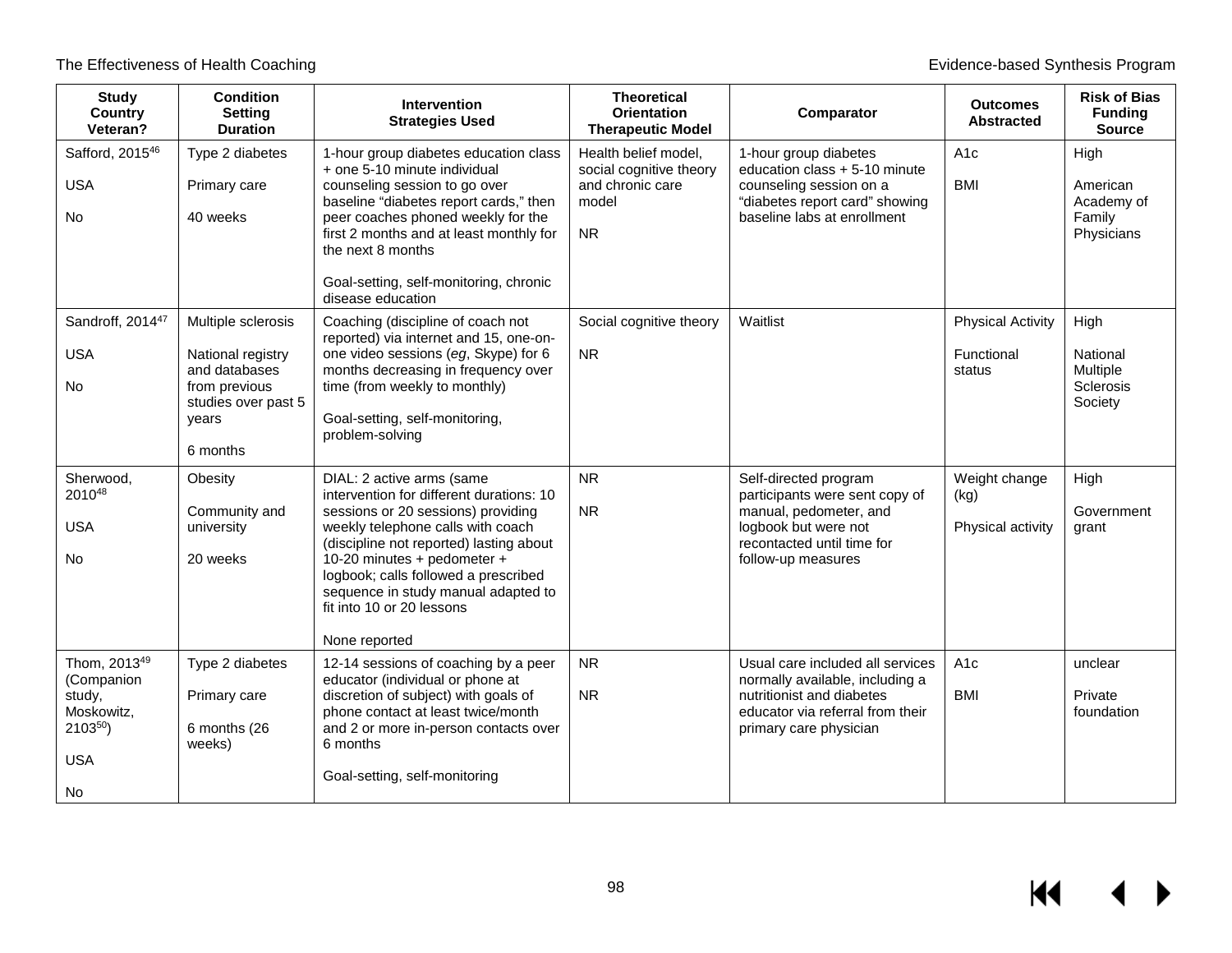$M \rightarrow$ 

| <b>Study</b><br>Country<br>Veteran?                                                                 | <b>Condition</b><br>Setting<br><b>Duration</b>                                                                        | Intervention<br><b>Strategies Used</b>                                                                                                                                                                                                                                                                                                                  | <b>Theoretical</b><br><b>Orientation</b><br><b>Therapeutic Model</b>                      | Comparator                                                                                                                                                     | <b>Outcomes</b><br><b>Abstracted</b>             | <b>Risk of Bias</b><br><b>Funding</b><br><b>Source</b>      |
|-----------------------------------------------------------------------------------------------------|-----------------------------------------------------------------------------------------------------------------------|---------------------------------------------------------------------------------------------------------------------------------------------------------------------------------------------------------------------------------------------------------------------------------------------------------------------------------------------------------|-------------------------------------------------------------------------------------------|----------------------------------------------------------------------------------------------------------------------------------------------------------------|--------------------------------------------------|-------------------------------------------------------------|
| Safford, 2015 <sup>46</sup><br><b>USA</b><br><b>No</b>                                              | Type 2 diabetes<br>Primary care<br>40 weeks                                                                           | 1-hour group diabetes education class<br>+ one 5-10 minute individual<br>counseling session to go over<br>baseline "diabetes report cards," then<br>peer coaches phoned weekly for the<br>first 2 months and at least monthly for<br>the next 8 months<br>Goal-setting, self-monitoring, chronic<br>disease education                                   | Health belief model,<br>social cognitive theory<br>and chronic care<br>model<br><b>NR</b> | 1-hour group diabetes<br>education class + 5-10 minute<br>counseling session on a<br>"diabetes report card" showing<br>baseline labs at enrollment             | A <sub>1c</sub><br><b>BMI</b>                    | High<br>American<br>Academy of<br>Family<br>Physicians      |
| Sandroff, 2014 <sup>47</sup><br><b>USA</b><br><b>No</b>                                             | Multiple sclerosis<br>National registry<br>and databases<br>from previous<br>studies over past 5<br>years<br>6 months | Coaching (discipline of coach not<br>reported) via internet and 15, one-on-<br>one video sessions (eg, Skype) for 6<br>months decreasing in frequency over<br>time (from weekly to monthly)<br>Goal-setting, self-monitoring,<br>problem-solving                                                                                                        | Social cognitive theory<br><b>NR</b>                                                      | Waitlist                                                                                                                                                       | <b>Physical Activity</b><br>Functional<br>status | High<br>National<br>Multiple<br><b>Sclerosis</b><br>Society |
| Sherwood,<br>201048<br><b>USA</b><br>No                                                             | Obesity<br>Community and<br>university<br>20 weeks                                                                    | DIAL: 2 active arms (same<br>intervention for different durations: 10<br>sessions or 20 sessions) providing<br>weekly telephone calls with coach<br>(discipline not reported) lasting about<br>10-20 minutes + pedometer +<br>logbook; calls followed a prescribed<br>sequence in study manual adapted to<br>fit into 10 or 20 lessons<br>None reported | <b>NR</b><br><b>NR</b>                                                                    | Self-directed program<br>participants were sent copy of<br>manual, pedometer, and<br>logbook but were not<br>recontacted until time for<br>follow-up measures  | Weight change<br>(kg)<br>Physical activity       | High<br>Government<br>grant                                 |
| Thom, 2013 <sup>49</sup><br>(Companion<br>study,<br>Moskowitz,<br>$2103^{50}$ )<br><b>USA</b><br>No | Type 2 diabetes<br>Primary care<br>6 months (26<br>weeks)                                                             | 12-14 sessions of coaching by a peer<br>educator (individual or phone at<br>discretion of subject) with goals of<br>phone contact at least twice/month<br>and 2 or more in-person contacts over<br>6 months<br>Goal-setting, self-monitoring                                                                                                            | <b>NR</b><br><b>NR</b>                                                                    | Usual care included all services<br>normally available, including a<br>nutritionist and diabetes<br>educator via referral from their<br>primary care physician | A <sub>1c</sub><br><b>BMI</b>                    | unclear<br>Private<br>foundation                            |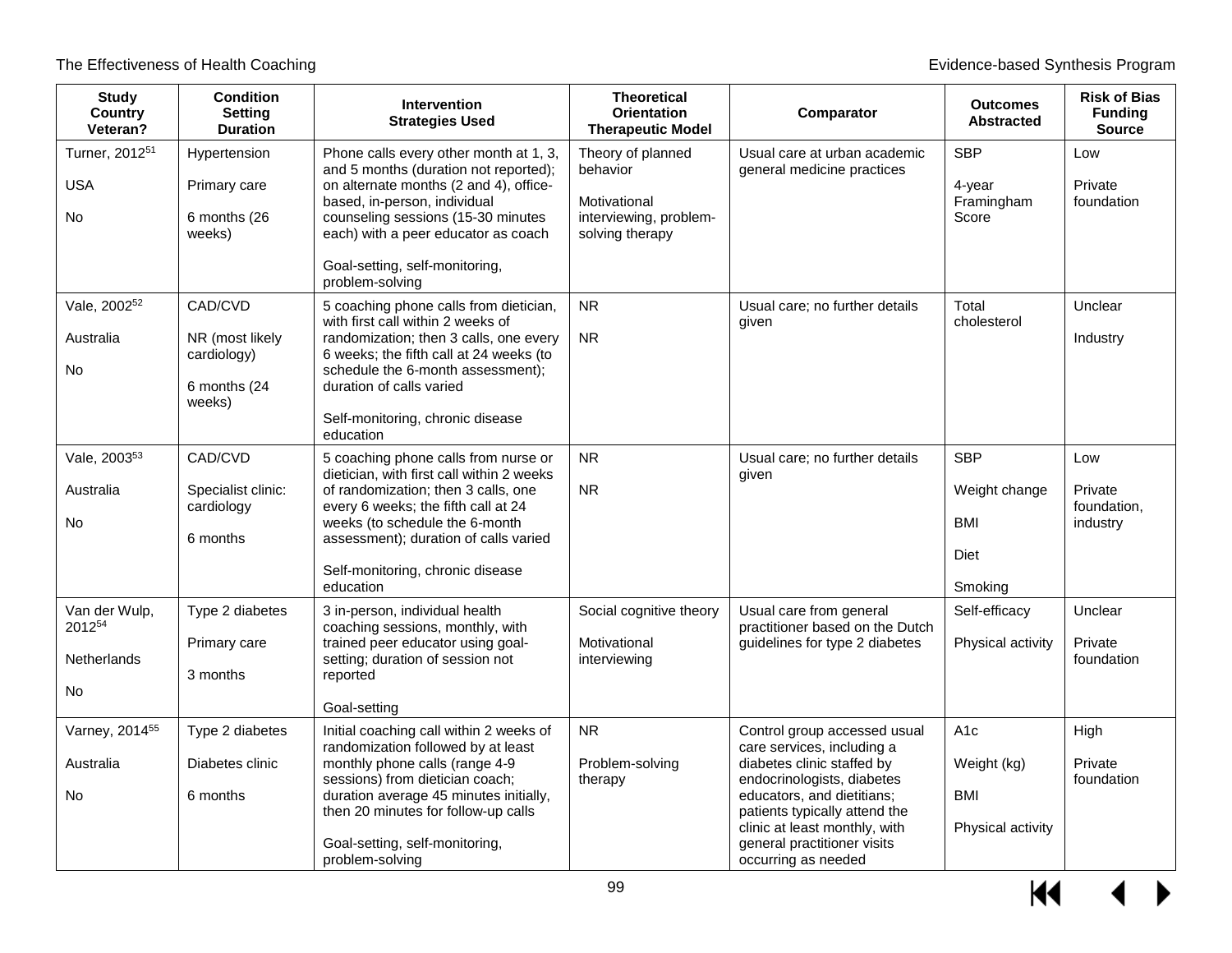| <b>Study</b><br><b>Country</b><br>Veteran?     | <b>Condition</b><br><b>Setting</b><br><b>Duration</b>                | <b>Intervention</b><br><b>Strategies Used</b>                                                                                                                                                                                                                                               | <b>Theoretical</b><br><b>Orientation</b><br><b>Therapeutic Model</b>                       | Comparator                                                                                                                                                                                                                                                                   | <b>Outcomes</b><br><b>Abstracted</b>                         | <b>Risk of Bias</b><br><b>Funding</b><br><b>Source</b> |
|------------------------------------------------|----------------------------------------------------------------------|---------------------------------------------------------------------------------------------------------------------------------------------------------------------------------------------------------------------------------------------------------------------------------------------|--------------------------------------------------------------------------------------------|------------------------------------------------------------------------------------------------------------------------------------------------------------------------------------------------------------------------------------------------------------------------------|--------------------------------------------------------------|--------------------------------------------------------|
| Turner, 2012 <sup>51</sup><br><b>USA</b><br>No | Hypertension<br>Primary care<br>6 months (26<br>weeks)               | Phone calls every other month at 1, 3,<br>and 5 months (duration not reported);<br>on alternate months (2 and 4), office-<br>based, in-person, individual<br>counseling sessions (15-30 minutes<br>each) with a peer educator as coach<br>Goal-setting, self-monitoring,<br>problem-solving | Theory of planned<br>behavior<br>Motivational<br>interviewing, problem-<br>solving therapy | Usual care at urban academic<br>general medicine practices                                                                                                                                                                                                                   | <b>SBP</b><br>4-year<br>Framingham<br>Score                  | Low<br>Private<br>foundation                           |
| Vale, 2002 <sup>52</sup><br>Australia<br>No    | CAD/CVD<br>NR (most likely<br>cardiology)<br>6 months (24)<br>weeks) | 5 coaching phone calls from dietician,<br>with first call within 2 weeks of<br>randomization; then 3 calls, one every<br>6 weeks; the fifth call at 24 weeks (to<br>schedule the 6-month assessment);<br>duration of calls varied<br>Self-monitoring, chronic disease<br>education          | <b>NR</b><br><b>NR</b>                                                                     | Usual care; no further details<br>given                                                                                                                                                                                                                                      | Total<br>cholesterol                                         | Unclear<br>Industry                                    |
| Vale, 2003 <sup>53</sup><br>Australia<br>No    | CAD/CVD<br>Specialist clinic:<br>cardiology<br>6 months              | 5 coaching phone calls from nurse or<br>dietician, with first call within 2 weeks<br>of randomization; then 3 calls, one<br>every 6 weeks; the fifth call at 24<br>weeks (to schedule the 6-month<br>assessment); duration of calls varied<br>Self-monitoring, chronic disease<br>education | <b>NR</b><br><b>NR</b>                                                                     | Usual care; no further details<br>given                                                                                                                                                                                                                                      | <b>SBP</b><br>Weight change<br><b>BMI</b><br>Diet<br>Smoking | Low<br>Private<br>foundation,<br>industry              |
| Van der Wulp,<br>201254<br>Netherlands<br>No   | Type 2 diabetes<br>Primary care<br>3 months                          | 3 in-person, individual health<br>coaching sessions, monthly, with<br>trained peer educator using goal-<br>setting; duration of session not<br>reported<br>Goal-setting                                                                                                                     | Social cognitive theory<br>Motivational<br>interviewing                                    | Usual care from general<br>practitioner based on the Dutch<br>guidelines for type 2 diabetes                                                                                                                                                                                 | Self-efficacy<br>Physical activity                           | Unclear<br>Private<br>foundation                       |
| Varney, 2014 <sup>55</sup><br>Australia<br>No  | Type 2 diabetes<br>Diabetes clinic<br>6 months                       | Initial coaching call within 2 weeks of<br>randomization followed by at least<br>monthly phone calls (range 4-9<br>sessions) from dietician coach;<br>duration average 45 minutes initially,<br>then 20 minutes for follow-up calls<br>Goal-setting, self-monitoring,<br>problem-solving    | <b>NR</b><br>Problem-solving<br>therapy                                                    | Control group accessed usual<br>care services, including a<br>diabetes clinic staffed by<br>endocrinologists, diabetes<br>educators, and dietitians;<br>patients typically attend the<br>clinic at least monthly, with<br>general practitioner visits<br>occurring as needed | A1c<br>Weight (kg)<br><b>BMI</b><br>Physical activity        | High<br>Private<br>foundation                          |

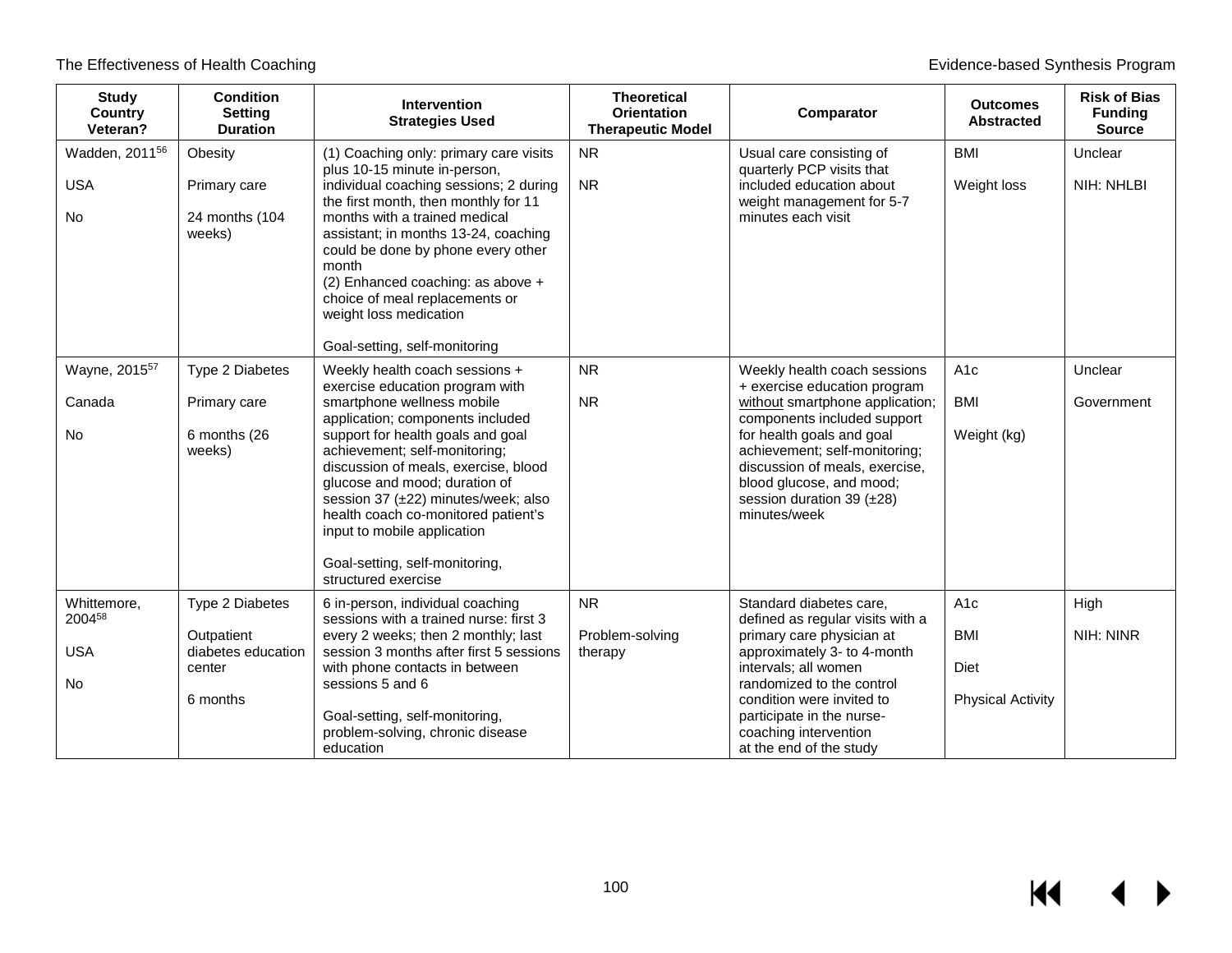| <b>Study</b><br>Country<br>Veteran?            | <b>Condition</b><br><b>Setting</b><br><b>Duration</b>                     | Intervention<br><b>Strategies Used</b>                                                                                                                                                                                                                                                                                                                                                                                                                   | <b>Theoretical</b><br><b>Orientation</b><br><b>Therapeutic Model</b> | Comparator                                                                                                                                                                                                                                                                                              | <b>Outcomes</b><br><b>Abstracted</b>                               | <b>Risk of Bias</b><br><b>Funding</b><br><b>Source</b> |
|------------------------------------------------|---------------------------------------------------------------------------|----------------------------------------------------------------------------------------------------------------------------------------------------------------------------------------------------------------------------------------------------------------------------------------------------------------------------------------------------------------------------------------------------------------------------------------------------------|----------------------------------------------------------------------|---------------------------------------------------------------------------------------------------------------------------------------------------------------------------------------------------------------------------------------------------------------------------------------------------------|--------------------------------------------------------------------|--------------------------------------------------------|
| Wadden, 2011 <sup>56</sup><br><b>USA</b><br>No | Obesity<br>Primary care<br>24 months (104<br>weeks)                       | (1) Coaching only: primary care visits<br>plus 10-15 minute in-person,<br>individual coaching sessions; 2 during<br>the first month, then monthly for 11<br>months with a trained medical<br>assistant; in months 13-24, coaching<br>could be done by phone every other<br>month<br>(2) Enhanced coaching: as above +<br>choice of meal replacements or<br>weight loss medication<br>Goal-setting, self-monitoring                                       | <b>NR</b><br><b>NR</b>                                               | Usual care consisting of<br>quarterly PCP visits that<br>included education about<br>weight management for 5-7<br>minutes each visit                                                                                                                                                                    | <b>BMI</b><br>Weight loss                                          | Unclear<br>NIH: NHLBI                                  |
| Wayne, 2015 <sup>57</sup><br>Canada<br>No      | Type 2 Diabetes<br>Primary care<br>6 months (26<br>weeks)                 | Weekly health coach sessions +<br>exercise education program with<br>smartphone wellness mobile<br>application; components included<br>support for health goals and goal<br>achievement; self-monitoring;<br>discussion of meals, exercise, blood<br>glucose and mood; duration of<br>session 37 (±22) minutes/week; also<br>health coach co-monitored patient's<br>input to mobile application<br>Goal-setting, self-monitoring,<br>structured exercise | <b>NR</b><br><b>NR</b>                                               | Weekly health coach sessions<br>+ exercise education program<br>without smartphone application;<br>components included support<br>for health goals and goal<br>achievement; self-monitoring;<br>discussion of meals, exercise,<br>blood glucose, and mood;<br>session duration 39 (±28)<br>minutes/week | A <sub>1c</sub><br><b>BMI</b><br>Weight (kg)                       | Unclear<br>Government                                  |
| Whittemore,<br>200458<br><b>USA</b><br>No      | Type 2 Diabetes<br>Outpatient<br>diabetes education<br>center<br>6 months | 6 in-person, individual coaching<br>sessions with a trained nurse: first 3<br>every 2 weeks; then 2 monthly; last<br>session 3 months after first 5 sessions<br>with phone contacts in between<br>sessions 5 and 6<br>Goal-setting, self-monitoring,<br>problem-solving, chronic disease<br>education                                                                                                                                                    | <b>NR</b><br>Problem-solving<br>therapy                              | Standard diabetes care,<br>defined as regular visits with a<br>primary care physician at<br>approximately 3- to 4-month<br>intervals; all women<br>randomized to the control<br>condition were invited to<br>participate in the nurse-<br>coaching intervention<br>at the end of the study              | A <sub>1</sub> c<br><b>BMI</b><br>Diet<br><b>Physical Activity</b> | High<br>NIH: NINR                                      |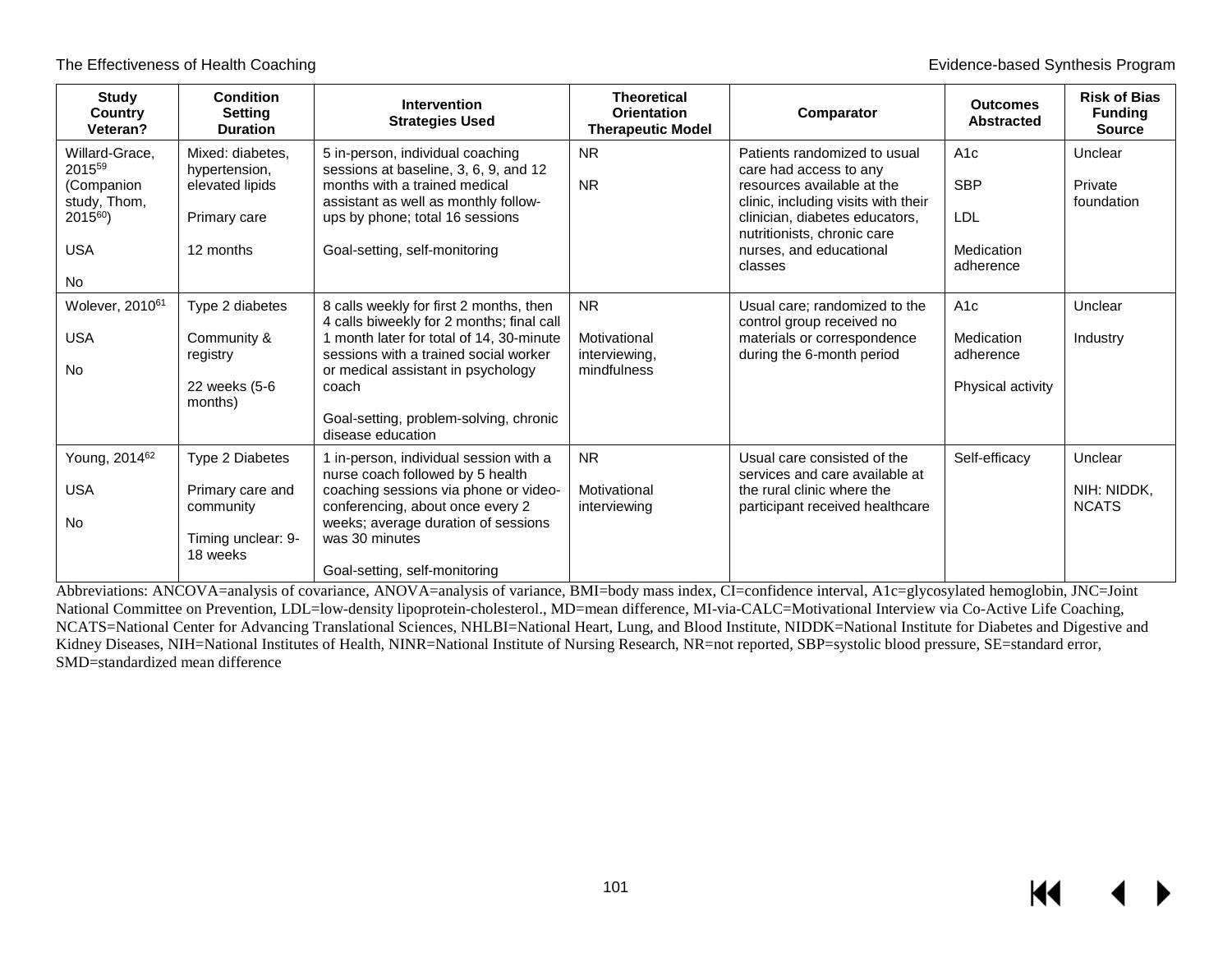| Study<br><b>Country</b><br>Veteran?                                                              | <b>Condition</b><br><b>Setting</b><br><b>Duration</b>                              | <b>Intervention</b><br><b>Strategies Used</b>                                                                                                                                                                                                                                           | <b>Theoretical</b><br><b>Orientation</b><br><b>Therapeutic Model</b> | Comparator                                                                                                                                                                                                                         | <b>Outcomes</b><br><b>Abstracted</b>                | <b>Risk of Bias</b><br><b>Funding</b><br><b>Source</b> |
|--------------------------------------------------------------------------------------------------|------------------------------------------------------------------------------------|-----------------------------------------------------------------------------------------------------------------------------------------------------------------------------------------------------------------------------------------------------------------------------------------|----------------------------------------------------------------------|------------------------------------------------------------------------------------------------------------------------------------------------------------------------------------------------------------------------------------|-----------------------------------------------------|--------------------------------------------------------|
| Willard-Grace,<br>201559<br>(Companion<br>study, Thom,<br>$2015^{60}$<br><b>USA</b><br><b>No</b> | Mixed: diabetes.<br>hypertension,<br>elevated lipids<br>Primary care<br>12 months  | 5 in-person, individual coaching<br>sessions at baseline, 3, 6, 9, and 12<br>months with a trained medical<br>assistant as well as monthly follow-<br>ups by phone; total 16 sessions<br>Goal-setting, self-monitoring                                                                  | <b>NR</b><br><b>NR</b>                                               | Patients randomized to usual<br>care had access to any<br>resources available at the<br>clinic, including visits with their<br>clinician, diabetes educators,<br>nutritionists, chronic care<br>nurses, and educational<br>classes | A1c<br><b>SBP</b><br>LDL<br>Medication<br>adherence | Unclear<br>Private<br>foundation                       |
| Wolever, 2010 <sup>61</sup><br><b>USA</b><br><b>No</b>                                           | Type 2 diabetes<br>Community &<br>registry<br>22 weeks (5-6<br>months)             | 8 calls weekly for first 2 months, then<br>4 calls biweekly for 2 months; final call<br>1 month later for total of 14, 30-minute<br>sessions with a trained social worker<br>or medical assistant in psychology<br>coach<br>Goal-setting, problem-solving, chronic<br>disease education | N <sub>R</sub><br>Motivational<br>interviewing,<br>mindfulness       | Usual care; randomized to the<br>control group received no<br>materials or correspondence<br>during the 6-month period                                                                                                             | A1c<br>Medication<br>adherence<br>Physical activity | Unclear<br>Industry                                    |
| Young, 2014 <sup>62</sup><br><b>USA</b><br><b>No</b>                                             | Type 2 Diabetes<br>Primary care and<br>community<br>Timing unclear: 9-<br>18 weeks | 1 in-person, individual session with a<br>nurse coach followed by 5 health<br>coaching sessions via phone or video-<br>conferencing, about once every 2<br>weeks; average duration of sessions<br>was 30 minutes<br>Goal-setting, self-monitoring                                       | <b>NR</b><br>Motivational<br>interviewing                            | Usual care consisted of the<br>services and care available at<br>the rural clinic where the<br>participant received healthcare                                                                                                     | Self-efficacy                                       | Unclear<br>NIH: NIDDK.<br><b>NCATS</b>                 |

Abbreviations: ANCOVA=analysis of covariance, ANOVA=analysis of variance, BMI=body mass index, CI=confidence interval, A1c=glycosylated hemoglobin, JNC=Joint National Committee on Prevention, LDL=low-density lipoprotein-cholesterol., MD=mean difference, MI-via-CALC=Motivational Interview via Co-Active Life Coaching, NCATS=National Center for Advancing Translational Sciences, NHLBI=National Heart, Lung, and Blood Institute, NIDDK=National Institute for Diabetes and Digestive and Kidney Diseases, NIH=National Institutes of Health, NINR=National Institute of Nursing Research, NR=not reported, SBP=systolic blood pressure, SE=standard error, SMD=standardized mean difference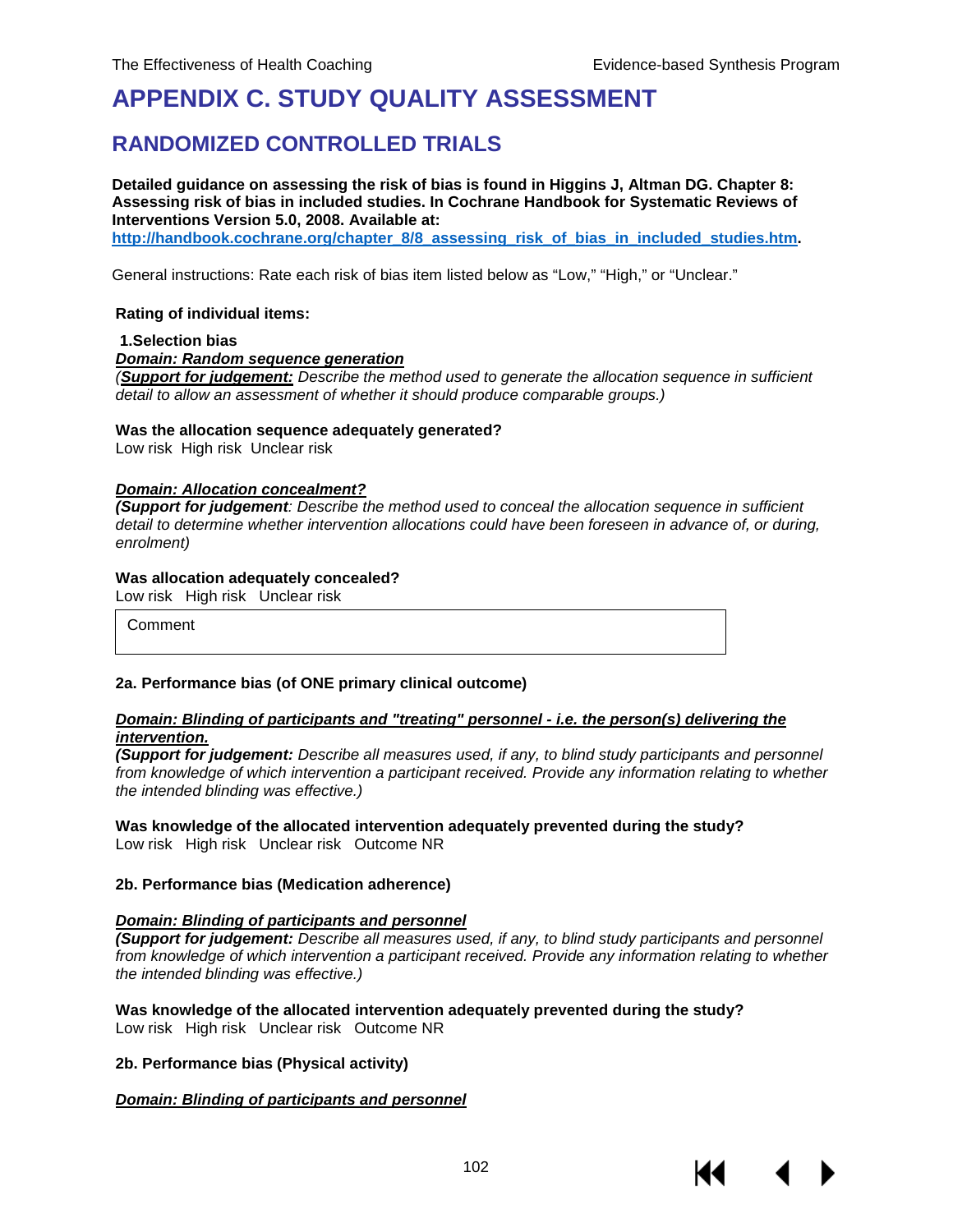## **APPENDIX C. STUDY QUALITY ASSESSMENT**

## **RANDOMIZED CONTROLLED TRIALS**

**Detailed guidance on assessing the risk of bias is found in Higgins J, Altman DG. Chapter 8: Assessing risk of bias in included studies. In Cochrane Handbook for Systematic Reviews of Interventions Version 5.0, 2008. Available at:** 

**[http://handbook.cochrane.org/chapter\\_8/8\\_assessing\\_risk\\_of\\_bias\\_in\\_included\\_studies.htm.](http://handbook.cochrane.org/chapter_8/8_assessing_risk_of_bias_in_included_studies.htm)** 

General instructions: Rate each risk of bias item listed below as "Low," "High," or "Unclear."

#### **Rating of individual items:**

#### **1.Selection bias**

*Domain: Random sequence generation*

*(Support for judgement: Describe the method used to generate the allocation sequence in sufficient detail to allow an assessment of whether it should produce comparable groups.)*

#### **Was the allocation sequence adequately generated?**

Low risk High risk Unclear risk

#### *Domain: Allocation concealment?*

*(Support for judgement: Describe the method used to conceal the allocation sequence in sufficient detail to determine whether intervention allocations could have been foreseen in advance of, or during, enrolment)*

#### **Was allocation adequately concealed?**

Low risk High risk Unclear risk

Comment

#### **2a. Performance bias (of ONE primary clinical outcome)**

#### *Domain: Blinding of participants and "treating" personnel - i.e. the person(s) delivering the intervention.*

*(Support for judgement: Describe all measures used, if any, to blind study participants and personnel from knowledge of which intervention a participant received. Provide any information relating to whether the intended blinding was effective.)*

## **Was knowledge of the allocated intervention adequately prevented during the study?**

Low risk High risk Unclear risk Outcome NR

#### **2b. Performance bias (Medication adherence)**

#### *Domain: Blinding of participants and personnel*

*(Support for judgement: Describe all measures used, if any, to blind study participants and personnel from knowledge of which intervention a participant received. Provide any information relating to whether the intended blinding was effective.)*

**Was knowledge of the allocated intervention adequately prevented during the study?** Low risk High risk Unclear risk Outcome NR

#### **2b. Performance bias (Physical activity)**

#### *Domain: Blinding of participants and personnel*

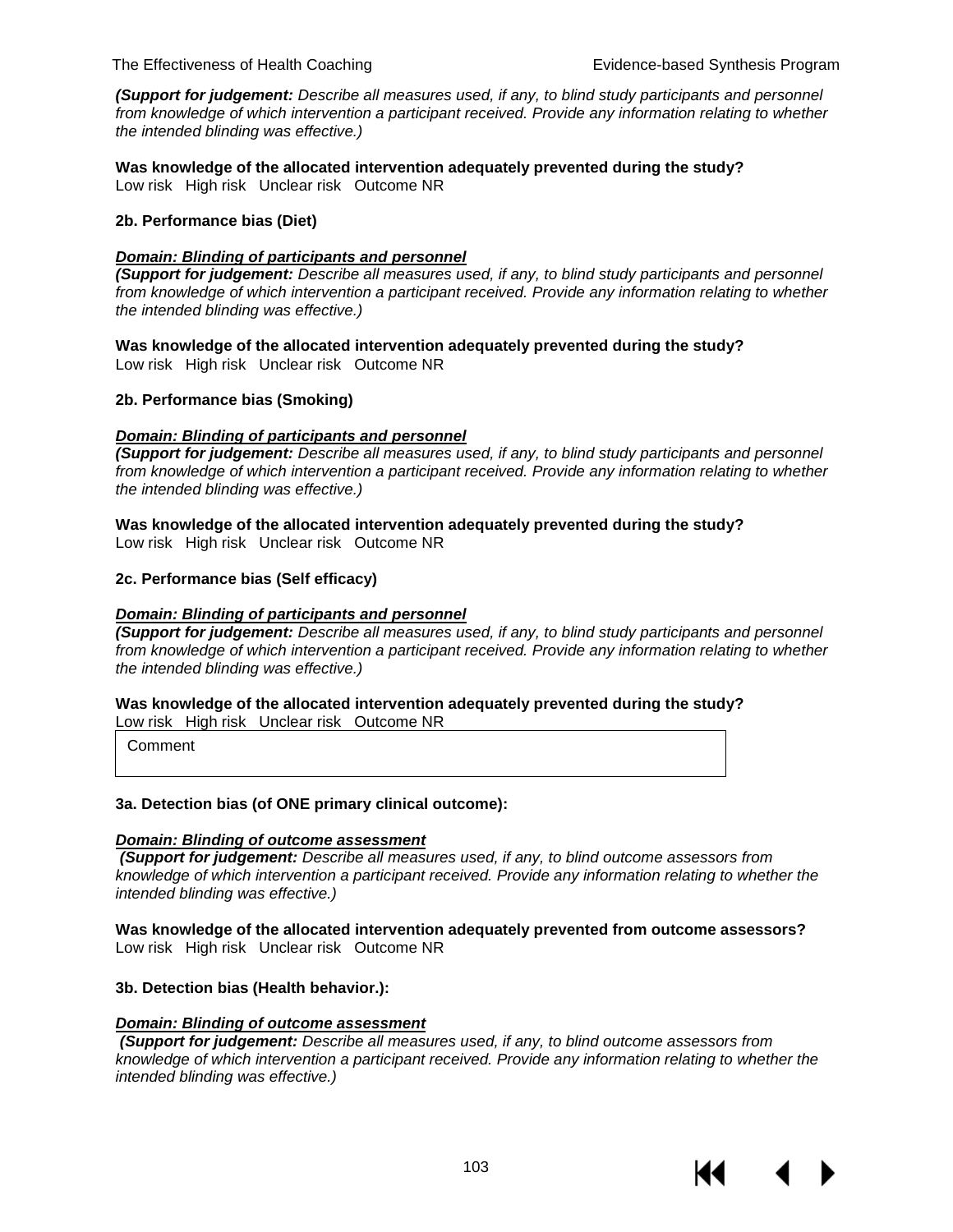*(Support for judgement: Describe all measures used, if any, to blind study participants and personnel from knowledge of which intervention a participant received. Provide any information relating to whether the intended blinding was effective.)*

**Was knowledge of the allocated intervention adequately prevented during the study?** Low risk High risk Unclear risk Outcome NR

#### **2b. Performance bias (Diet)**

#### *Domain: Blinding of participants and personnel*

*(Support for judgement: Describe all measures used, if any, to blind study participants and personnel from knowledge of which intervention a participant received. Provide any information relating to whether the intended blinding was effective.)*

**Was knowledge of the allocated intervention adequately prevented during the study?** Low risk High risk Unclear risk Outcome NR

#### **2b. Performance bias (Smoking)**

#### *Domain: Blinding of participants and personnel*

*(Support for judgement: Describe all measures used, if any, to blind study participants and personnel from knowledge of which intervention a participant received. Provide any information relating to whether the intended blinding was effective.)*

**Was knowledge of the allocated intervention adequately prevented during the study?** Low risk High risk Unclear risk Outcome NR

#### **2c. Performance bias (Self efficacy)**

#### *Domain: Blinding of participants and personnel*

*(Support for judgement: Describe all measures used, if any, to blind study participants and personnel*  from knowledge of which intervention a participant received. Provide any information relating to whether *the intended blinding was effective.)*

**Was knowledge of the allocated intervention adequately prevented during the study?** Low risk High risk Unclear risk Outcome NR

Comment

#### **3a. Detection bias (of ONE primary clinical outcome):**

#### *Domain: Blinding of outcome assessment*

*(Support for judgement: Describe all measures used, if any, to blind outcome assessors from knowledge of which intervention a participant received. Provide any information relating to whether the intended blinding was effective.)*

**Was knowledge of the allocated intervention adequately prevented from outcome assessors?** Low risk High risk Unclear risk Outcome NR

#### **3b. Detection bias (Health behavior.):**

#### *Domain: Blinding of outcome assessment*

*(Support for judgement: Describe all measures used, if any, to blind outcome assessors from knowledge of which intervention a participant received. Provide any information relating to whether the intended blinding was effective.)*

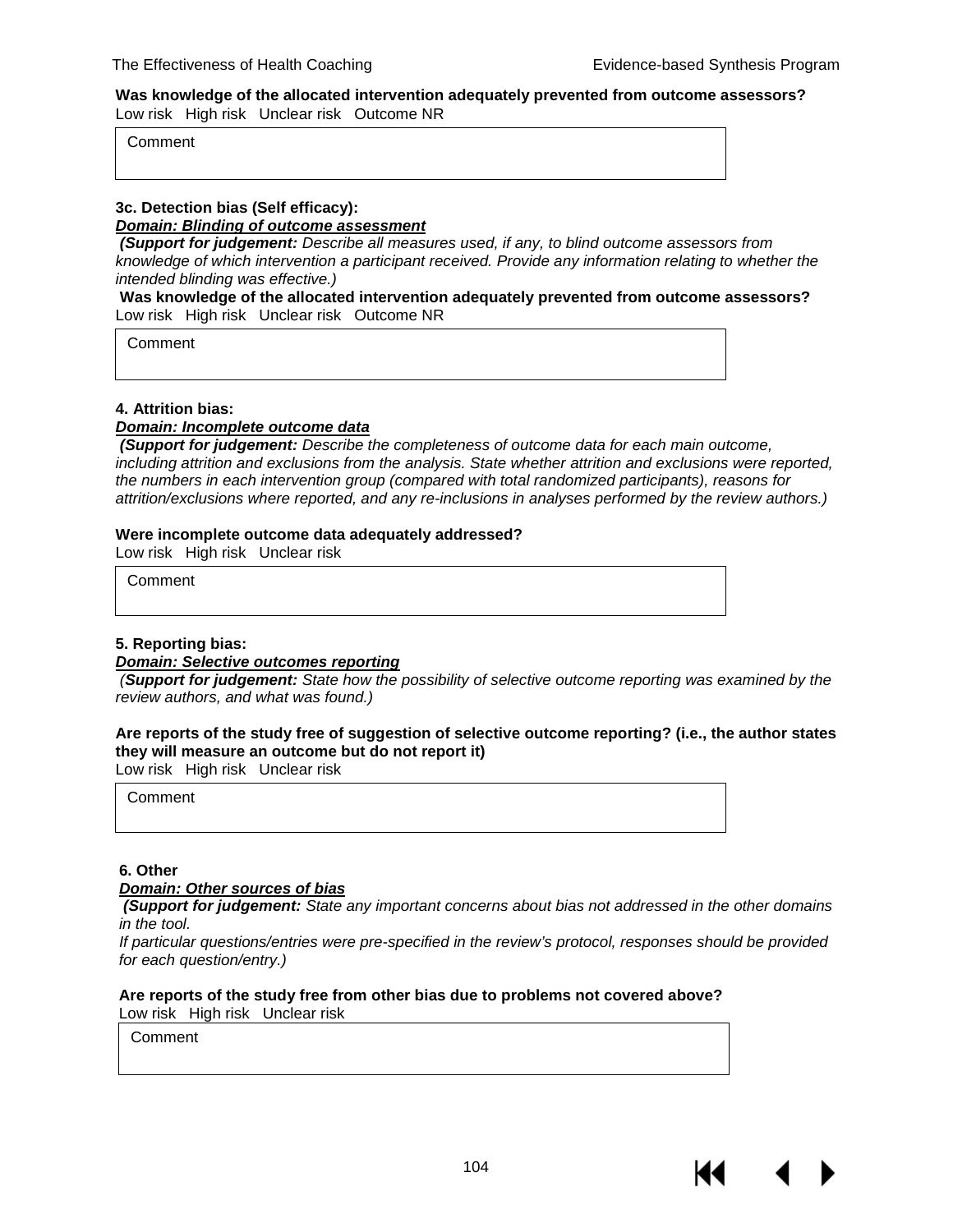#### **Was knowledge of the allocated intervention adequately prevented from outcome assessors?** Low risk High risk Unclear risk Outcome NR

Comment

## **3c. Detection bias (Self efficacy):**

*Domain: Blinding of outcome assessment*

*(Support for judgement: Describe all measures used, if any, to blind outcome assessors from knowledge of which intervention a participant received. Provide any information relating to whether the intended blinding was effective.)*

#### **Was knowledge of the allocated intervention adequately prevented from outcome assessors?** Low risk High risk Unclear risk Outcome NR

**Comment** 

#### **4. Attrition bias:**

#### *Domain: Incomplete outcome data*

*(Support for judgement: Describe the completeness of outcome data for each main outcome, including attrition and exclusions from the analysis. State whether attrition and exclusions were reported, the numbers in each intervention group (compared with total randomized participants), reasons for attrition/exclusions where reported, and any re-inclusions in analyses performed by the review authors.)*

#### **Were incomplete outcome data adequately addressed?**

Low risk High risk Unclear risk

Comment

#### **5. Reporting bias:**

#### *Domain: Selective outcomes reporting*

 *(Support for judgement: State how the possibility of selective outcome reporting was examined by the review authors, and what was found.)*

#### **Are reports of the study free of suggestion of selective outcome reporting? (i.e., the author states they will measure an outcome but do not report it)**

Low risk High risk Unclear risk

Comment

#### **6. Other**

#### *Domain: Other sources of bias*

*(Support for judgement: State any important concerns about bias not addressed in the other domains in the tool.*

*If particular questions/entries were pre-specified in the review's protocol, responses should be provided for each question/entry.)*

#### **Are reports of the study free from other bias due to problems not covered above?** Low risk High risk Unclear risk

**Comment**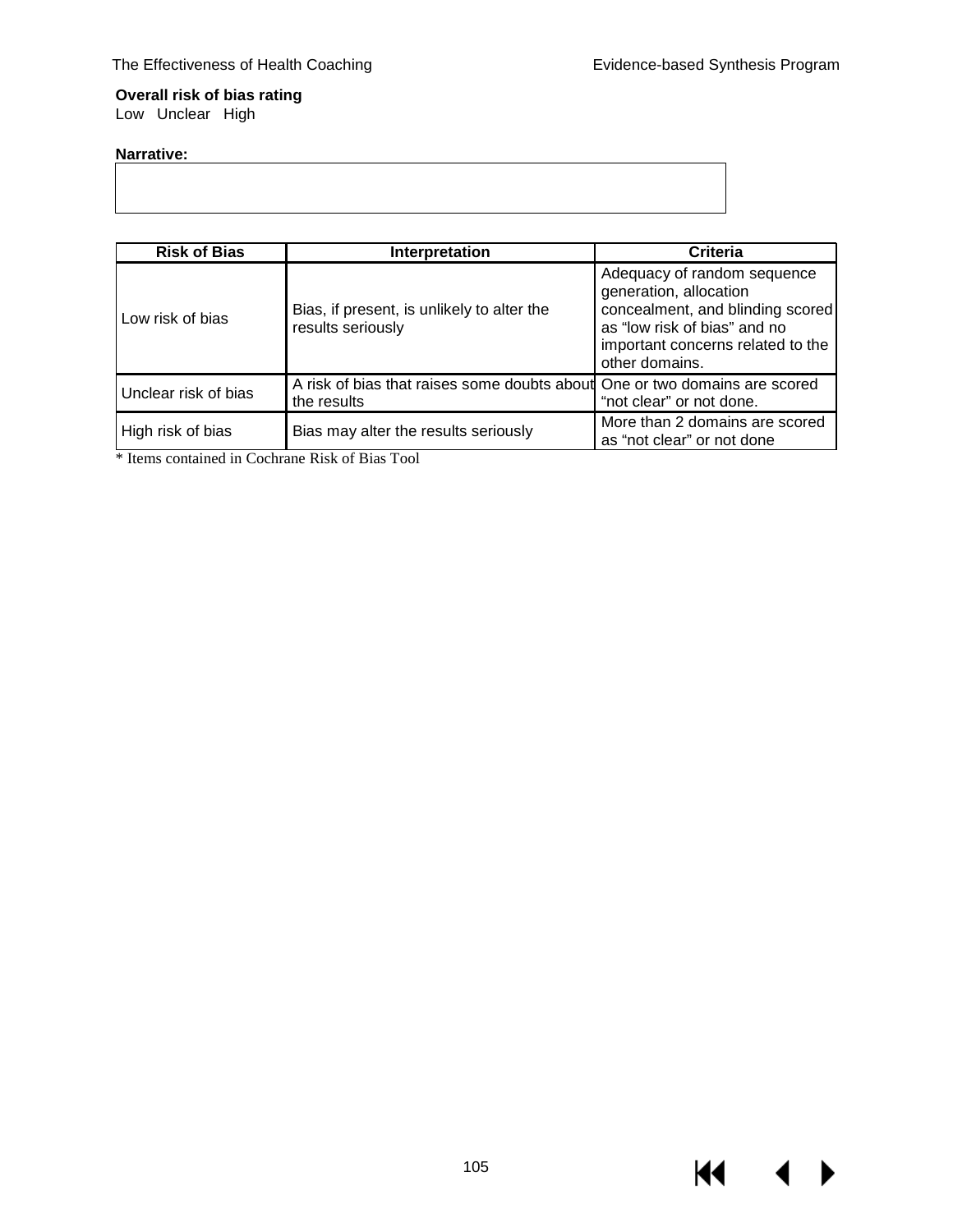**K4 4** 

▶

#### **Overall risk of bias rating** Low Unclear High

#### **Narrative:**

| <b>Risk of Bias</b>  | Interpretation                                                                            | Criteria                                                                                                                                                                         |
|----------------------|-------------------------------------------------------------------------------------------|----------------------------------------------------------------------------------------------------------------------------------------------------------------------------------|
| Low risk of bias     | Bias, if present, is unlikely to alter the<br>results seriously                           | Adequacy of random sequence<br>generation, allocation<br>concealment, and blinding scored<br>as "low risk of bias" and no<br>important concerns related to the<br>other domains. |
| Unclear risk of bias | A risk of bias that raises some doubts about One or two domains are scored<br>the results | "not clear" or not done.                                                                                                                                                         |
| High risk of bias    | Bias may alter the results seriously                                                      | More than 2 domains are scored<br>as "not clear" or not done                                                                                                                     |

\* Items contained in Cochrane Risk of Bias Tool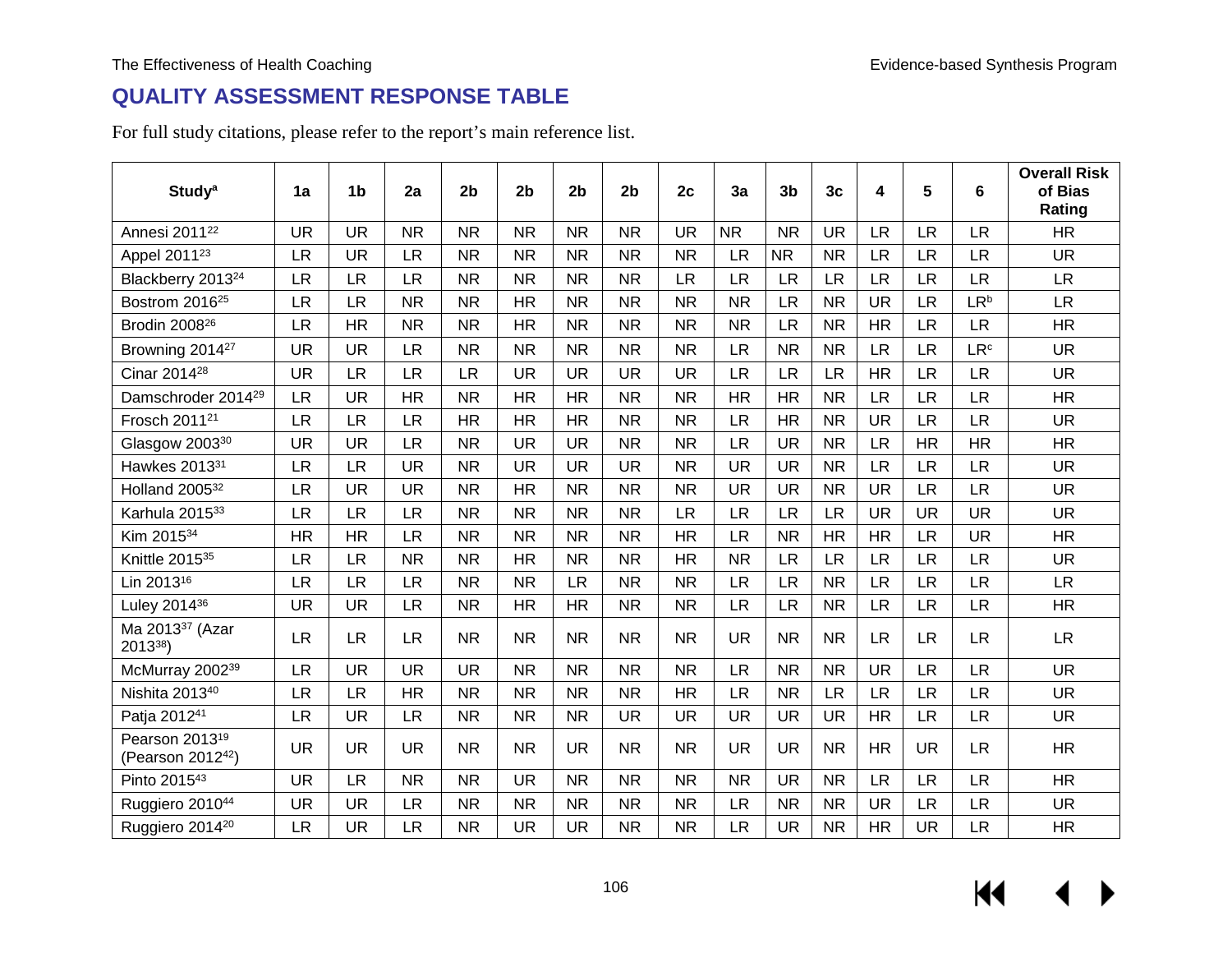## **QUALITY ASSESSMENT RESPONSE TABLE**

For full study citations, please refer to the report's main reference list.

| <b>Study<sup>a</sup></b>                                    | 1a        | 1 <sub>b</sub> | 2a        | 2 <sub>b</sub> | 2 <sub>b</sub> | 2 <sub>b</sub> | 2 <sub>b</sub> | 2c        | 3a        | 3 <sub>b</sub> | 3 <sub>c</sub> | 4         | 5         | 6                      | <b>Overall Risk</b><br>of Bias<br>Rating |
|-------------------------------------------------------------|-----------|----------------|-----------|----------------|----------------|----------------|----------------|-----------|-----------|----------------|----------------|-----------|-----------|------------------------|------------------------------------------|
| Annesi 2011 <sup>22</sup>                                   | <b>UR</b> | <b>UR</b>      | <b>NR</b> | <b>NR</b>      | <b>NR</b>      | <b>NR</b>      | <b>NR</b>      | <b>UR</b> | <b>NR</b> | <b>NR</b>      | <b>UR</b>      | <b>LR</b> | <b>LR</b> | <b>LR</b>              | <b>HR</b>                                |
| Appel 2011 <sup>23</sup>                                    | <b>LR</b> | <b>UR</b>      | <b>LR</b> | <b>NR</b>      | <b>NR</b>      | <b>NR</b>      | <b>NR</b>      | <b>NR</b> | <b>LR</b> | <b>NR</b>      | <b>NR</b>      | <b>LR</b> | <b>LR</b> | <b>LR</b>              | <b>UR</b>                                |
| Blackberry 2013 <sup>24</sup>                               | <b>LR</b> | <b>LR</b>      | <b>LR</b> | <b>NR</b>      | <b>NR</b>      | <b>NR</b>      | <b>NR</b>      | <b>LR</b> | <b>LR</b> | <b>LR</b>      | <b>LR</b>      | <b>LR</b> | <b>LR</b> | <b>LR</b>              | <b>LR</b>                                |
| Bostrom 2016 <sup>25</sup>                                  | <b>LR</b> | <b>LR</b>      | <b>NR</b> | <b>NR</b>      | <b>HR</b>      | <b>NR</b>      | <b>NR</b>      | <b>NR</b> | <b>NR</b> | <b>LR</b>      | <b>NR</b>      | <b>UR</b> | <b>LR</b> | LR <sup>b</sup>        | <b>LR</b>                                |
| Brodin 2008 <sup>26</sup>                                   | <b>LR</b> | <b>HR</b>      | <b>NR</b> | <b>NR</b>      | <b>HR</b>      | <b>NR</b>      | <b>NR</b>      | <b>NR</b> | <b>NR</b> | <b>LR</b>      | <b>NR</b>      | <b>HR</b> | <b>LR</b> | <b>LR</b>              | HR                                       |
| Browning 2014 <sup>27</sup>                                 | <b>UR</b> | <b>UR</b>      | <b>LR</b> | <b>NR</b>      | <b>NR</b>      | <b>NR</b>      | <b>NR</b>      | <b>NR</b> | <b>LR</b> | <b>NR</b>      | <b>NR</b>      | <b>LR</b> | <b>LR</b> | <b>LR</b> <sup>c</sup> | <b>UR</b>                                |
| Cinar 2014 <sup>28</sup>                                    | <b>UR</b> | <b>LR</b>      | LR        | <b>LR</b>      | <b>UR</b>      | <b>UR</b>      | <b>UR</b>      | <b>UR</b> | <b>LR</b> | <b>LR</b>      | <b>LR</b>      | <b>HR</b> | <b>LR</b> | <b>LR</b>              | <b>UR</b>                                |
| Damschroder 2014 <sup>29</sup>                              | <b>LR</b> | <b>UR</b>      | <b>HR</b> | <b>NR</b>      | <b>HR</b>      | <b>HR</b>      | <b>NR</b>      | <b>NR</b> | <b>HR</b> | <b>HR</b>      | <b>NR</b>      | <b>LR</b> | <b>LR</b> | <b>LR</b>              | HR                                       |
| Frosch 2011 <sup>21</sup>                                   | <b>LR</b> | <b>LR</b>      | <b>LR</b> | <b>HR</b>      | <b>HR</b>      | <b>HR</b>      | <b>NR</b>      | <b>NR</b> | <b>LR</b> | <b>HR</b>      | <b>NR</b>      | <b>UR</b> | <b>LR</b> | <b>LR</b>              | <b>UR</b>                                |
| Glasgow 2003 <sup>30</sup>                                  | <b>UR</b> | <b>UR</b>      | <b>LR</b> | <b>NR</b>      | <b>UR</b>      | <b>UR</b>      | <b>NR</b>      | <b>NR</b> | <b>LR</b> | <b>UR</b>      | <b>NR</b>      | <b>LR</b> | <b>HR</b> | <b>HR</b>              | HR                                       |
| Hawkes 201331                                               | <b>LR</b> | <b>LR</b>      | <b>UR</b> | <b>NR</b>      | <b>UR</b>      | <b>UR</b>      | <b>UR</b>      | <b>NR</b> | <b>UR</b> | <b>UR</b>      | <b>NR</b>      | <b>LR</b> | <b>LR</b> | LR                     | <b>UR</b>                                |
| Holland 200532                                              | <b>LR</b> | <b>UR</b>      | <b>UR</b> | <b>NR</b>      | <b>HR</b>      | <b>NR</b>      | <b>NR</b>      | <b>NR</b> | <b>UR</b> | <b>UR</b>      | <b>NR</b>      | <b>UR</b> | <b>LR</b> | <b>LR</b>              | <b>UR</b>                                |
| Karhula 201533                                              | <b>LR</b> | <b>LR</b>      | <b>LR</b> | <b>NR</b>      | <b>NR</b>      | <b>NR</b>      | <b>NR</b>      | <b>LR</b> | <b>LR</b> | <b>LR</b>      | <b>LR</b>      | <b>UR</b> | <b>UR</b> | <b>UR</b>              | <b>UR</b>                                |
| Kim 201534                                                  | <b>HR</b> | <b>HR</b>      | <b>LR</b> | <b>NR</b>      | <b>NR</b>      | <b>NR</b>      | <b>NR</b>      | <b>HR</b> | <b>LR</b> | <b>NR</b>      | <b>HR</b>      | <b>HR</b> | <b>LR</b> | <b>UR</b>              | HR                                       |
| Knittle 2015 <sup>35</sup>                                  | <b>LR</b> | <b>LR</b>      | <b>NR</b> | <b>NR</b>      | <b>HR</b>      | <b>NR</b>      | <b>NR</b>      | <b>HR</b> | <b>NR</b> | <b>LR</b>      | <b>LR</b>      | <b>LR</b> | <b>LR</b> | <b>LR</b>              | <b>UR</b>                                |
| Lin 2013 <sup>16</sup>                                      | <b>LR</b> | <b>LR</b>      | <b>LR</b> | <b>NR</b>      | <b>NR</b>      | <b>LR</b>      | <b>NR</b>      | <b>NR</b> | <b>LR</b> | <b>LR</b>      | <b>NR</b>      | <b>LR</b> | <b>LR</b> | <b>LR</b>              | <b>LR</b>                                |
| Luley 2014 <sup>36</sup>                                    | <b>UR</b> | <b>UR</b>      | <b>LR</b> | <b>NR</b>      | <b>HR</b>      | <b>HR</b>      | <b>NR</b>      | <b>NR</b> | <b>LR</b> | <b>LR</b>      | <b>NR</b>      | <b>LR</b> | <b>LR</b> | <b>LR</b>              | HR                                       |
| Ma 2013 <sup>37</sup> (Azar<br>201338)                      | <b>LR</b> | <b>LR</b>      | <b>LR</b> | <b>NR</b>      | <b>NR</b>      | <b>NR</b>      | <b>NR</b>      | <b>NR</b> | <b>UR</b> | <b>NR</b>      | <b>NR</b>      | <b>LR</b> | <b>LR</b> | <b>LR</b>              | <b>LR</b>                                |
| McMurray 2002 <sup>39</sup>                                 | <b>LR</b> | <b>UR</b>      | <b>UR</b> | <b>UR</b>      | <b>NR</b>      | <b>NR</b>      | <b>NR</b>      | <b>NR</b> | <b>LR</b> | <b>NR</b>      | <b>NR</b>      | <b>UR</b> | <b>LR</b> | <b>LR</b>              | <b>UR</b>                                |
| Nishita 201340                                              | <b>LR</b> | <b>LR</b>      | HR        | <b>NR</b>      | <b>NR</b>      | <b>NR</b>      | <b>NR</b>      | HR        | <b>LR</b> | <b>NR</b>      | <b>LR</b>      | <b>LR</b> | <b>LR</b> | <b>LR</b>              | <b>UR</b>                                |
| Patja 2012 <sup>41</sup>                                    | <b>LR</b> | <b>UR</b>      | <b>LR</b> | <b>NR</b>      | <b>NR</b>      | <b>NR</b>      | <b>UR</b>      | <b>UR</b> | <b>UR</b> | <b>UR</b>      | <b>UR</b>      | <b>HR</b> | <b>LR</b> | <b>LR</b>              | UR                                       |
| Pearson 2013 <sup>19</sup><br>(Pearson 2012 <sup>42</sup> ) | <b>UR</b> | <b>UR</b>      | <b>UR</b> | <b>NR</b>      | <b>NR</b>      | <b>UR</b>      | <b>NR</b>      | <b>NR</b> | <b>UR</b> | <b>UR</b>      | <b>NR</b>      | <b>HR</b> | <b>UR</b> | <b>LR</b>              | HR                                       |
| Pinto 201543                                                | <b>UR</b> | <b>LR</b>      | <b>NR</b> | <b>NR</b>      | <b>UR</b>      | <b>NR</b>      | <b>NR</b>      | <b>NR</b> | <b>NR</b> | <b>UR</b>      | <b>NR</b>      | <b>LR</b> | <b>LR</b> | <b>LR</b>              | <b>HR</b>                                |
| Ruggiero 201044                                             | <b>UR</b> | <b>UR</b>      | <b>LR</b> | <b>NR</b>      | <b>NR</b>      | <b>NR</b>      | <b>NR</b>      | <b>NR</b> | <b>LR</b> | <b>NR</b>      | <b>NR</b>      | <b>UR</b> | <b>LR</b> | <b>LR</b>              | <b>UR</b>                                |
| Ruggiero 2014 <sup>20</sup>                                 | <b>LR</b> | <b>UR</b>      | <b>LR</b> | <b>NR</b>      | <b>UR</b>      | <b>UR</b>      | <b>NR</b>      | <b>NR</b> | <b>LR</b> | <b>UR</b>      | <b>NR</b>      | <b>HR</b> | <b>UR</b> | <b>LR</b>              | HR                                       |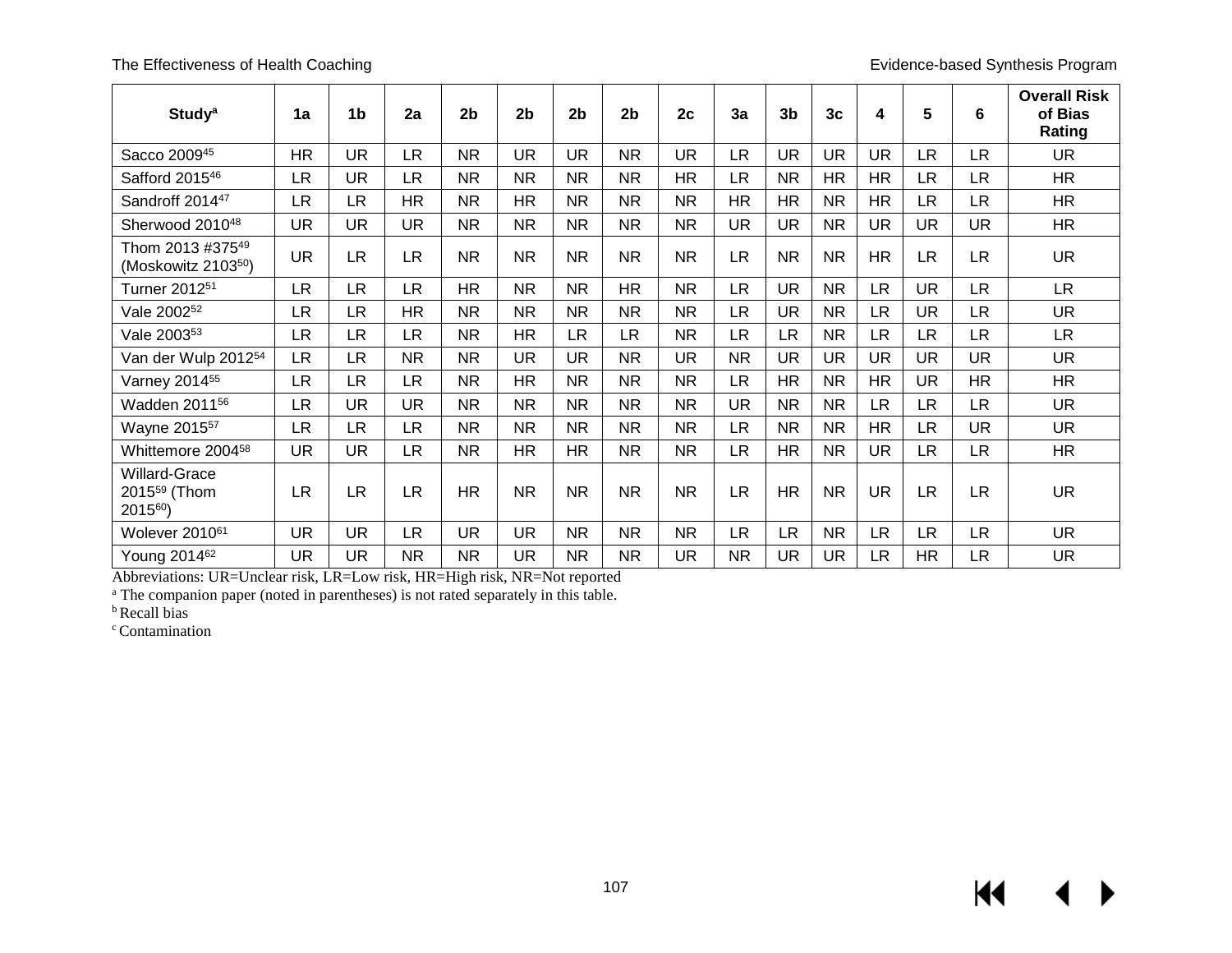| <b>Study<sup>a</sup></b>                                          | 1a        | 1 <sub>b</sub> | 2a        | 2 <sub>b</sub> | 2 <sub>b</sub> | 2 <sub>b</sub> | 2 <sub>b</sub> | 2c        | 3a        | 3 <sub>b</sub> | 3 <sub>c</sub> | 4         | 5         | $6\phantom{1}$ | <b>Overall Risk</b><br>of Bias<br>Rating |
|-------------------------------------------------------------------|-----------|----------------|-----------|----------------|----------------|----------------|----------------|-----------|-----------|----------------|----------------|-----------|-----------|----------------|------------------------------------------|
| Sacco 200945                                                      | <b>HR</b> | <b>UR</b>      | <b>LR</b> | <b>NR</b>      | <b>UR</b>      | <b>UR</b>      | <b>NR</b>      | <b>UR</b> | <b>LR</b> | <b>UR</b>      | <b>UR</b>      | <b>UR</b> | <b>LR</b> | <b>LR</b>      | <b>UR</b>                                |
| Safford 2015 <sup>46</sup>                                        | <b>LR</b> | <b>UR</b>      | <b>LR</b> | <b>NR</b>      | <b>NR</b>      | <b>NR</b>      | <b>NR</b>      | <b>HR</b> | <b>LR</b> | <b>NR</b>      | <b>HR</b>      | <b>HR</b> | <b>LR</b> | <b>LR</b>      | <b>HR</b>                                |
| Sandroff 2014 <sup>47</sup>                                       | <b>LR</b> | LR.            | HR        | <b>NR</b>      | <b>HR</b>      | <b>NR</b>      | <b>NR</b>      | <b>NR</b> | HR        | <b>HR</b>      | <b>NR</b>      | HR        | LR.       | LR             | <b>HR</b>                                |
| Sherwood 2010 <sup>48</sup>                                       | UR        | <b>UR</b>      | UR.       | <b>NR</b>      | <b>NR</b>      | <b>NR</b>      | <b>NR</b>      | NR.       | <b>UR</b> | <b>UR</b>      | <b>NR</b>      | <b>UR</b> | <b>UR</b> | <b>UR</b>      | <b>HR</b>                                |
| Thom 2013 #37549<br>(Moskowitz 210350)                            | <b>UR</b> | <b>LR</b>      | <b>LR</b> | <b>NR</b>      | <b>NR</b>      | <b>NR</b>      | <b>NR</b>      | <b>NR</b> | <b>LR</b> | <b>NR</b>      | <b>NR</b>      | <b>HR</b> | <b>LR</b> | <b>LR</b>      | <b>UR</b>                                |
| Turner 2012 <sup>51</sup>                                         | <b>LR</b> | LR.            | <b>LR</b> | <b>HR</b>      | <b>NR</b>      | <b>NR</b>      | <b>HR</b>      | NR.       | <b>LR</b> | <b>UR</b>      | <b>NR</b>      | <b>LR</b> | <b>UR</b> | <b>LR</b>      | <b>LR</b>                                |
| Vale 2002 <sup>52</sup>                                           | <b>LR</b> | LR             | <b>HR</b> | <b>NR</b>      | <b>NR</b>      | <b>NR</b>      | <b>NR</b>      | NR.       | LR.       | <b>UR</b>      | <b>NR</b>      | <b>LR</b> | <b>UR</b> | LR             | <b>UR</b>                                |
| Vale 2003 <sup>53</sup>                                           | <b>LR</b> | LR.            | <b>LR</b> | <b>NR</b>      | <b>HR</b>      | <b>LR</b>      | LR             | <b>NR</b> | <b>LR</b> | <b>LR</b>      | <b>NR</b>      | <b>LR</b> | <b>LR</b> | <b>LR</b>      | <b>LR</b>                                |
| Van der Wulp 2012 <sup>54</sup>                                   | <b>LR</b> | <b>LR</b>      | <b>NR</b> | <b>NR</b>      | <b>UR</b>      | <b>UR</b>      | <b>NR</b>      | <b>UR</b> | <b>NR</b> | <b>UR</b>      | <b>UR</b>      | <b>UR</b> | <b>UR</b> | UR             | <b>UR</b>                                |
| Varney 2014 <sup>55</sup>                                         | <b>LR</b> | LR.            | <b>LR</b> | <b>NR</b>      | <b>HR</b>      | <b>NR</b>      | <b>NR</b>      | <b>NR</b> | LR.       | <b>HR</b>      | <b>NR</b>      | <b>HR</b> | <b>UR</b> | <b>HR</b>      | <b>HR</b>                                |
| Wadden 2011 <sup>56</sup>                                         | <b>LR</b> | <b>UR</b>      | <b>UR</b> | <b>NR</b>      | <b>NR</b>      | <b>NR</b>      | <b>NR</b>      | <b>NR</b> | <b>UR</b> | <b>NR</b>      | <b>NR</b>      | <b>LR</b> | <b>LR</b> | LR             | <b>UR</b>                                |
| Wayne 2015 <sup>57</sup>                                          | <b>LR</b> | LR             | LR        | <b>NR</b>      | <b>NR</b>      | <b>NR</b>      | <b>NR</b>      | NR        | LR.       | <b>NR</b>      | <b>NR</b>      | <b>HR</b> | <b>LR</b> | UR             | <b>UR</b>                                |
| Whittemore 2004 <sup>58</sup>                                     | UR.       | <b>UR</b>      | LR        | <b>NR</b>      | <b>HR</b>      | HR             | <b>NR</b>      | NR        | <b>LR</b> | HR             | <b>NR</b>      | <b>UR</b> | <b>LR</b> | <b>LR</b>      | <b>HR</b>                                |
| Willard-Grace<br>2015 <sup>59</sup> (Thom<br>2015 <sup>60</sup> ) | <b>LR</b> | <b>LR</b>      | <b>LR</b> | <b>HR</b>      | <b>NR</b>      | <b>NR</b>      | <b>NR</b>      | <b>NR</b> | <b>LR</b> | <b>HR</b>      | <b>NR</b>      | <b>UR</b> | <b>LR</b> | <b>LR</b>      | <b>UR</b>                                |
| Wolever 2010 <sup>61</sup>                                        | <b>UR</b> | <b>UR</b>      | <b>LR</b> | <b>UR</b>      | <b>UR</b>      | <b>NR</b>      | <b>NR</b>      | <b>NR</b> | <b>LR</b> | <b>LR</b>      | <b>NR</b>      | LR.       | <b>LR</b> | <b>LR</b>      | <b>UR</b>                                |
| Young 2014 <sup>62</sup>                                          | UR        | UR             | <b>NR</b> | <b>NR</b>      | <b>UR</b>      | <b>NR</b>      | <b>NR</b>      | UR        | <b>NR</b> | <b>UR</b>      | UR             | <b>LR</b> | <b>HR</b> | LR             | <b>UR</b>                                |

Abbreviations: UR=Unclear risk, LR=Low risk, HR=High risk, NR=Not reported

<sup>a</sup> The companion paper (noted in parentheses) is not rated separately in this table.

<sup>b</sup> Recall bias

<sup>c</sup> Contamination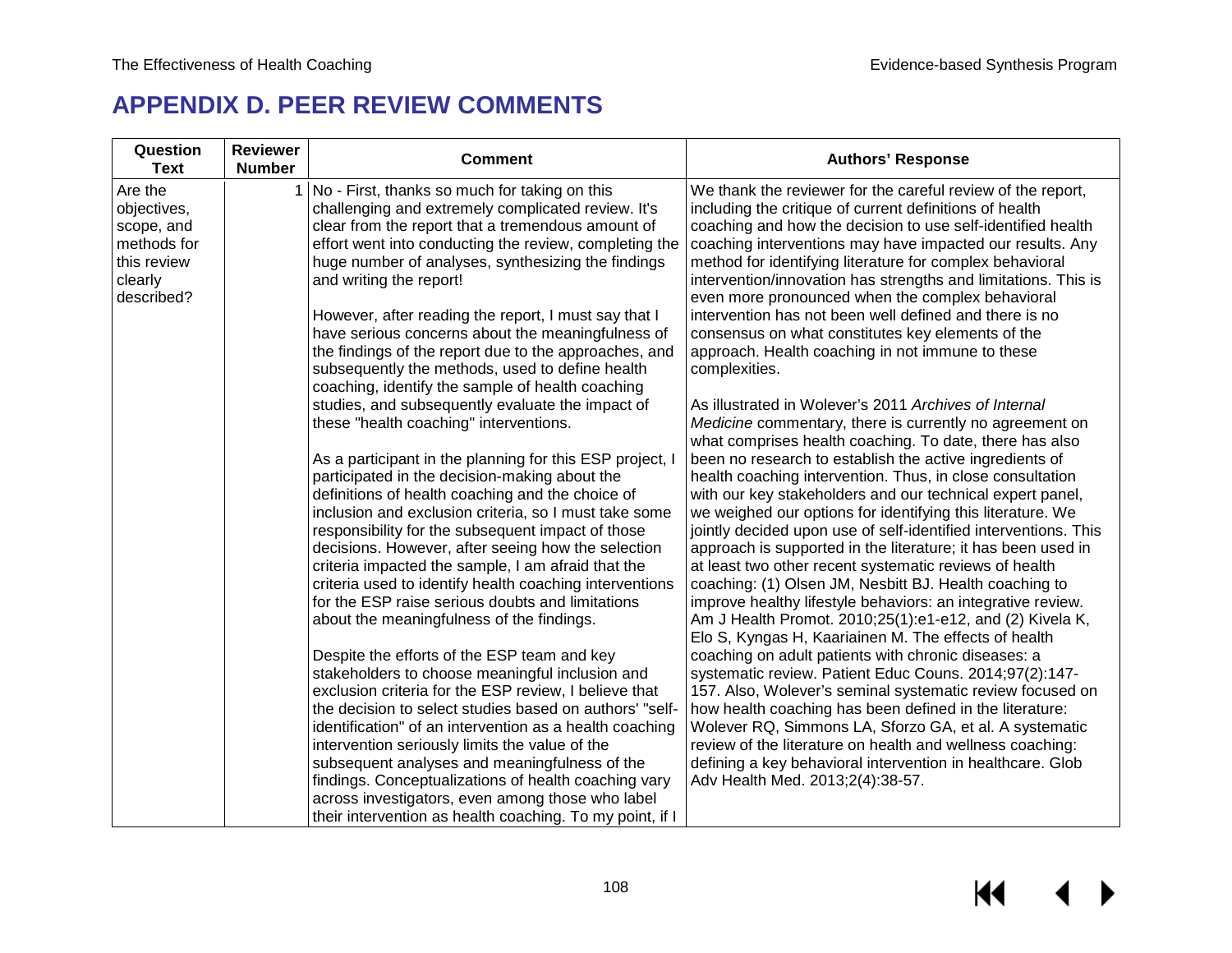# **APPENDIX D. PEER REVIEW COMMENTS**

| Question<br><b>Text</b>                                                                     | <b>Reviewer</b><br><b>Number</b> | <b>Comment</b>                                                                                                                                                                                                                                                                                                                                                                                                   | <b>Authors' Response</b>                                                                                                                                                                                                                                                                                                                                                                                                                                                                                                                            |
|---------------------------------------------------------------------------------------------|----------------------------------|------------------------------------------------------------------------------------------------------------------------------------------------------------------------------------------------------------------------------------------------------------------------------------------------------------------------------------------------------------------------------------------------------------------|-----------------------------------------------------------------------------------------------------------------------------------------------------------------------------------------------------------------------------------------------------------------------------------------------------------------------------------------------------------------------------------------------------------------------------------------------------------------------------------------------------------------------------------------------------|
| Are the<br>objectives,<br>scope, and<br>methods for<br>this review<br>clearly<br>described? |                                  | No - First, thanks so much for taking on this<br>challenging and extremely complicated review. It's<br>clear from the report that a tremendous amount of<br>effort went into conducting the review, completing the<br>huge number of analyses, synthesizing the findings<br>and writing the report!<br>However, after reading the report, I must say that I<br>have serious concerns about the meaningfulness of | We thank the reviewer for the careful review of the report,<br>including the critique of current definitions of health<br>coaching and how the decision to use self-identified health<br>coaching interventions may have impacted our results. Any<br>method for identifying literature for complex behavioral<br>intervention/innovation has strengths and limitations. This is<br>even more pronounced when the complex behavioral<br>intervention has not been well defined and there is no<br>consensus on what constitutes key elements of the |
|                                                                                             |                                  | the findings of the report due to the approaches, and<br>subsequently the methods, used to define health<br>coaching, identify the sample of health coaching                                                                                                                                                                                                                                                     | approach. Health coaching in not immune to these<br>complexities.                                                                                                                                                                                                                                                                                                                                                                                                                                                                                   |
|                                                                                             |                                  | studies, and subsequently evaluate the impact of<br>these "health coaching" interventions.                                                                                                                                                                                                                                                                                                                       | As illustrated in Wolever's 2011 Archives of Internal<br>Medicine commentary, there is currently no agreement on<br>what comprises health coaching. To date, there has also                                                                                                                                                                                                                                                                                                                                                                         |
|                                                                                             |                                  | As a participant in the planning for this ESP project, I<br>participated in the decision-making about the<br>definitions of health coaching and the choice of<br>inclusion and exclusion criteria, so I must take some                                                                                                                                                                                           | been no research to establish the active ingredients of<br>health coaching intervention. Thus, in close consultation<br>with our key stakeholders and our technical expert panel,<br>we weighed our options for identifying this literature. We                                                                                                                                                                                                                                                                                                     |
|                                                                                             |                                  | responsibility for the subsequent impact of those<br>decisions. However, after seeing how the selection<br>criteria impacted the sample, I am afraid that the<br>criteria used to identify health coaching interventions<br>for the ESP raise serious doubts and limitations                                                                                                                                     | jointly decided upon use of self-identified interventions. This<br>approach is supported in the literature; it has been used in<br>at least two other recent systematic reviews of health<br>coaching: (1) Olsen JM, Nesbitt BJ. Health coaching to                                                                                                                                                                                                                                                                                                 |
|                                                                                             |                                  | about the meaningfulness of the findings.                                                                                                                                                                                                                                                                                                                                                                        | improve healthy lifestyle behaviors: an integrative review.<br>Am J Health Promot. 2010;25(1):e1-e12, and (2) Kivela K,<br>Elo S, Kyngas H, Kaariainen M. The effects of health                                                                                                                                                                                                                                                                                                                                                                     |
|                                                                                             |                                  | Despite the efforts of the ESP team and key<br>stakeholders to choose meaningful inclusion and<br>exclusion criteria for the ESP review, I believe that<br>the decision to select studies based on authors' "self-                                                                                                                                                                                               | coaching on adult patients with chronic diseases: a<br>systematic review. Patient Educ Couns. 2014;97(2):147-<br>157. Also, Wolever's seminal systematic review focused on<br>how health coaching has been defined in the literature:                                                                                                                                                                                                                                                                                                               |
|                                                                                             |                                  | identification" of an intervention as a health coaching<br>intervention seriously limits the value of the<br>subsequent analyses and meaningfulness of the                                                                                                                                                                                                                                                       | Wolever RQ, Simmons LA, Sforzo GA, et al. A systematic<br>review of the literature on health and wellness coaching:<br>defining a key behavioral intervention in healthcare. Glob                                                                                                                                                                                                                                                                                                                                                                   |
|                                                                                             |                                  | findings. Conceptualizations of health coaching vary<br>across investigators, even among those who label<br>their intervention as health coaching. To my point, if I                                                                                                                                                                                                                                             | Adv Health Med. 2013;2(4):38-57.                                                                                                                                                                                                                                                                                                                                                                                                                                                                                                                    |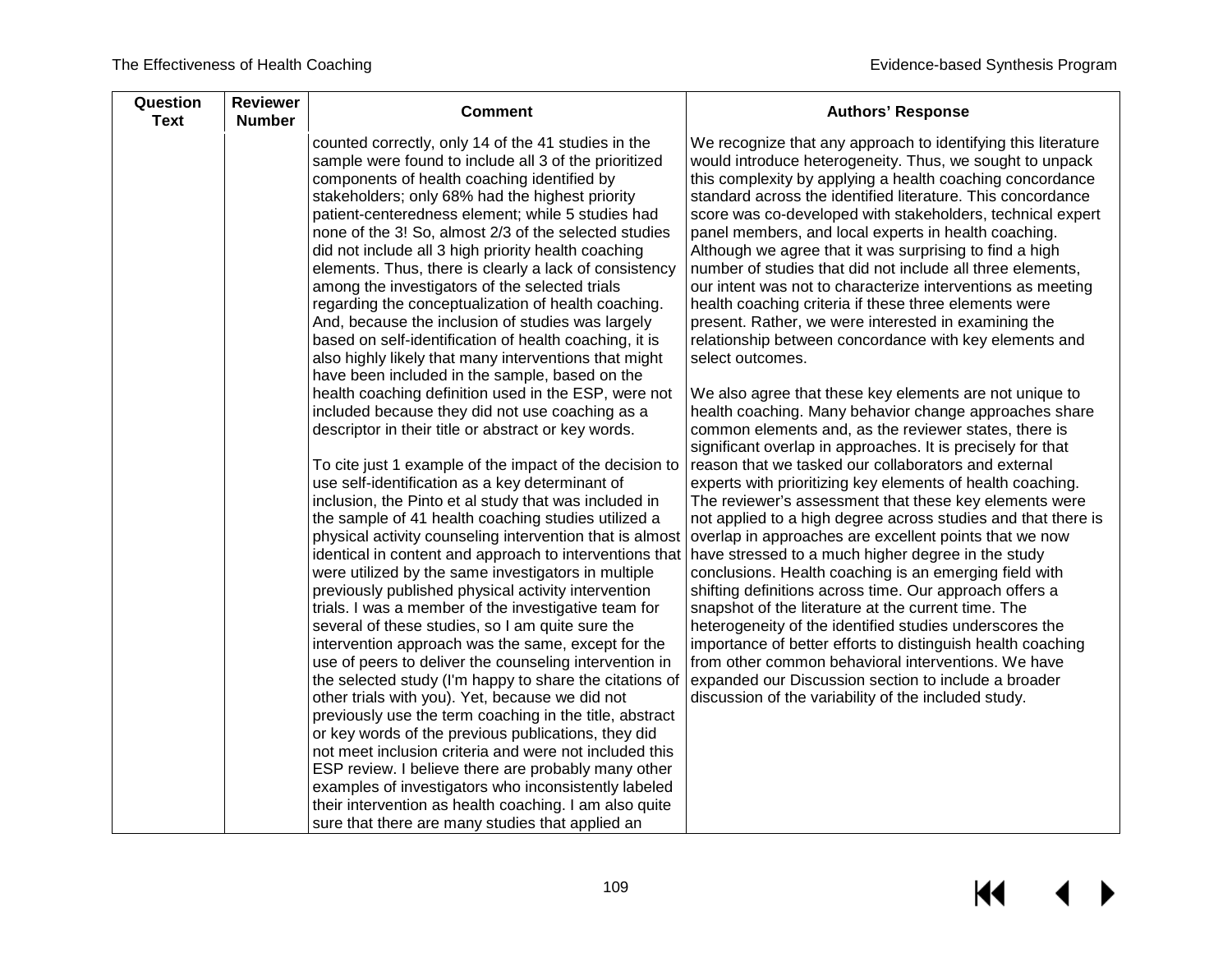| counted correctly, only 14 of the 41 studies in the                                                                                                                                                                                                                                                                                                                                                                                                                                                                                                                                                                                                                                                                                                                                                                                                                                                                                                                                                                                                                                                                                                                                                                                                                                                                                                                                                                                   | We recognize that any approach to identifying this literature                                                                                                                                                                                                                                                                                                                                                                                                                                                                                                                                                                                                                                                                                                                                                                                                                                                                                                                                                                     |
|---------------------------------------------------------------------------------------------------------------------------------------------------------------------------------------------------------------------------------------------------------------------------------------------------------------------------------------------------------------------------------------------------------------------------------------------------------------------------------------------------------------------------------------------------------------------------------------------------------------------------------------------------------------------------------------------------------------------------------------------------------------------------------------------------------------------------------------------------------------------------------------------------------------------------------------------------------------------------------------------------------------------------------------------------------------------------------------------------------------------------------------------------------------------------------------------------------------------------------------------------------------------------------------------------------------------------------------------------------------------------------------------------------------------------------------|-----------------------------------------------------------------------------------------------------------------------------------------------------------------------------------------------------------------------------------------------------------------------------------------------------------------------------------------------------------------------------------------------------------------------------------------------------------------------------------------------------------------------------------------------------------------------------------------------------------------------------------------------------------------------------------------------------------------------------------------------------------------------------------------------------------------------------------------------------------------------------------------------------------------------------------------------------------------------------------------------------------------------------------|
| components of health coaching identified by<br>stakeholders; only 68% had the highest priority<br>patient-centeredness element; while 5 studies had<br>none of the 3! So, almost 2/3 of the selected studies<br>did not include all 3 high priority health coaching<br>elements. Thus, there is clearly a lack of consistency<br>among the investigators of the selected trials<br>regarding the conceptualization of health coaching.<br>And, because the inclusion of studies was largely<br>based on self-identification of health coaching, it is<br>also highly likely that many interventions that might                                                                                                                                                                                                                                                                                                                                                                                                                                                                                                                                                                                                                                                                                                                                                                                                                        | would introduce heterogeneity. Thus, we sought to unpack<br>this complexity by applying a health coaching concordance<br>standard across the identified literature. This concordance<br>score was co-developed with stakeholders, technical expert<br>panel members, and local experts in health coaching.<br>Although we agree that it was surprising to find a high<br>number of studies that did not include all three elements,<br>our intent was not to characterize interventions as meeting<br>health coaching criteria if these three elements were<br>present. Rather, we were interested in examining the<br>relationship between concordance with key elements and<br>select outcomes.                                                                                                                                                                                                                                                                                                                                 |
| have been included in the sample, based on the<br>health coaching definition used in the ESP, were not<br>included because they did not use coaching as a<br>descriptor in their title or abstract or key words.<br>To cite just 1 example of the impact of the decision to<br>use self-identification as a key determinant of<br>inclusion, the Pinto et al study that was included in<br>the sample of 41 health coaching studies utilized a<br>physical activity counseling intervention that is almost<br>identical in content and approach to interventions that have stressed to a much higher degree in the study<br>were utilized by the same investigators in multiple<br>previously published physical activity intervention<br>trials. I was a member of the investigative team for<br>several of these studies, so I am quite sure the<br>intervention approach was the same, except for the<br>use of peers to deliver the counseling intervention in<br>the selected study (I'm happy to share the citations of<br>other trials with you). Yet, because we did not<br>previously use the term coaching in the title, abstract<br>or key words of the previous publications, they did<br>not meet inclusion criteria and were not included this<br>ESP review. I believe there are probably many other<br>examples of investigators who inconsistently labeled<br>their intervention as health coaching. I am also quite | We also agree that these key elements are not unique to<br>health coaching. Many behavior change approaches share<br>common elements and, as the reviewer states, there is<br>significant overlap in approaches. It is precisely for that<br>reason that we tasked our collaborators and external<br>experts with prioritizing key elements of health coaching.<br>The reviewer's assessment that these key elements were<br>not applied to a high degree across studies and that there is<br>overlap in approaches are excellent points that we now<br>conclusions. Health coaching is an emerging field with<br>shifting definitions across time. Our approach offers a<br>snapshot of the literature at the current time. The<br>heterogeneity of the identified studies underscores the<br>importance of better efforts to distinguish health coaching<br>from other common behavioral interventions. We have<br>expanded our Discussion section to include a broader<br>discussion of the variability of the included study. |
|                                                                                                                                                                                                                                                                                                                                                                                                                                                                                                                                                                                                                                                                                                                                                                                                                                                                                                                                                                                                                                                                                                                                                                                                                                                                                                                                                                                                                                       | sample were found to include all 3 of the prioritized<br>sure that there are many studies that applied an                                                                                                                                                                                                                                                                                                                                                                                                                                                                                                                                                                                                                                                                                                                                                                                                                                                                                                                         |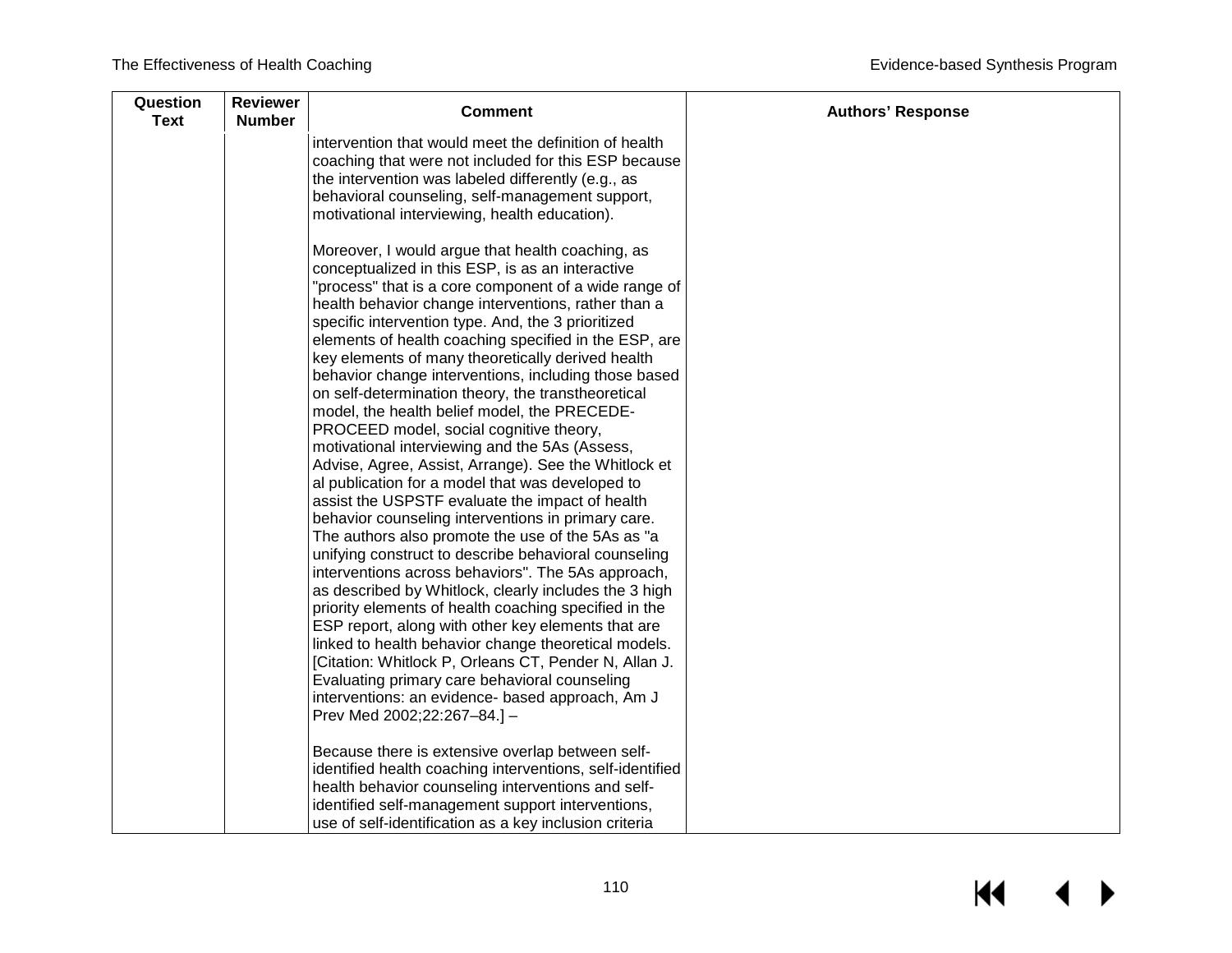| Question<br><b>Text</b> | <b>Reviewer</b><br><b>Number</b> | <b>Comment</b>                                                                                                                                                                                                                                                                                                                                                                                                                                                                                                                                                                                                                                                                                                                                                                                                                                                                                                                                                                                                                                                                                                                                                                                                                                                                                                                                                                        | <b>Authors' Response</b> |
|-------------------------|----------------------------------|---------------------------------------------------------------------------------------------------------------------------------------------------------------------------------------------------------------------------------------------------------------------------------------------------------------------------------------------------------------------------------------------------------------------------------------------------------------------------------------------------------------------------------------------------------------------------------------------------------------------------------------------------------------------------------------------------------------------------------------------------------------------------------------------------------------------------------------------------------------------------------------------------------------------------------------------------------------------------------------------------------------------------------------------------------------------------------------------------------------------------------------------------------------------------------------------------------------------------------------------------------------------------------------------------------------------------------------------------------------------------------------|--------------------------|
|                         |                                  | intervention that would meet the definition of health<br>coaching that were not included for this ESP because<br>the intervention was labeled differently (e.g., as<br>behavioral counseling, self-management support,<br>motivational interviewing, health education).                                                                                                                                                                                                                                                                                                                                                                                                                                                                                                                                                                                                                                                                                                                                                                                                                                                                                                                                                                                                                                                                                                               |                          |
|                         |                                  | Moreover, I would argue that health coaching, as<br>conceptualized in this ESP, is as an interactive<br>"process" that is a core component of a wide range of<br>health behavior change interventions, rather than a<br>specific intervention type. And, the 3 prioritized<br>elements of health coaching specified in the ESP, are<br>key elements of many theoretically derived health<br>behavior change interventions, including those based<br>on self-determination theory, the transtheoretical<br>model, the health belief model, the PRECEDE-<br>PROCEED model, social cognitive theory,<br>motivational interviewing and the 5As (Assess,<br>Advise, Agree, Assist, Arrange). See the Whitlock et<br>al publication for a model that was developed to<br>assist the USPSTF evaluate the impact of health<br>behavior counseling interventions in primary care.<br>The authors also promote the use of the 5As as "a<br>unifying construct to describe behavioral counseling<br>interventions across behaviors". The 5As approach,<br>as described by Whitlock, clearly includes the 3 high<br>priority elements of health coaching specified in the<br>ESP report, along with other key elements that are<br>linked to health behavior change theoretical models.<br>[Citation: Whitlock P, Orleans CT, Pender N, Allan J.<br>Evaluating primary care behavioral counseling |                          |
|                         |                                  | interventions: an evidence- based approach, Am J<br>Prev Med 2002;22:267-84.] -<br>Because there is extensive overlap between self-<br>identified health coaching interventions, self-identified<br>health behavior counseling interventions and self-                                                                                                                                                                                                                                                                                                                                                                                                                                                                                                                                                                                                                                                                                                                                                                                                                                                                                                                                                                                                                                                                                                                                |                          |
|                         |                                  | identified self-management support interventions,<br>use of self-identification as a key inclusion criteria                                                                                                                                                                                                                                                                                                                                                                                                                                                                                                                                                                                                                                                                                                                                                                                                                                                                                                                                                                                                                                                                                                                                                                                                                                                                           |                          |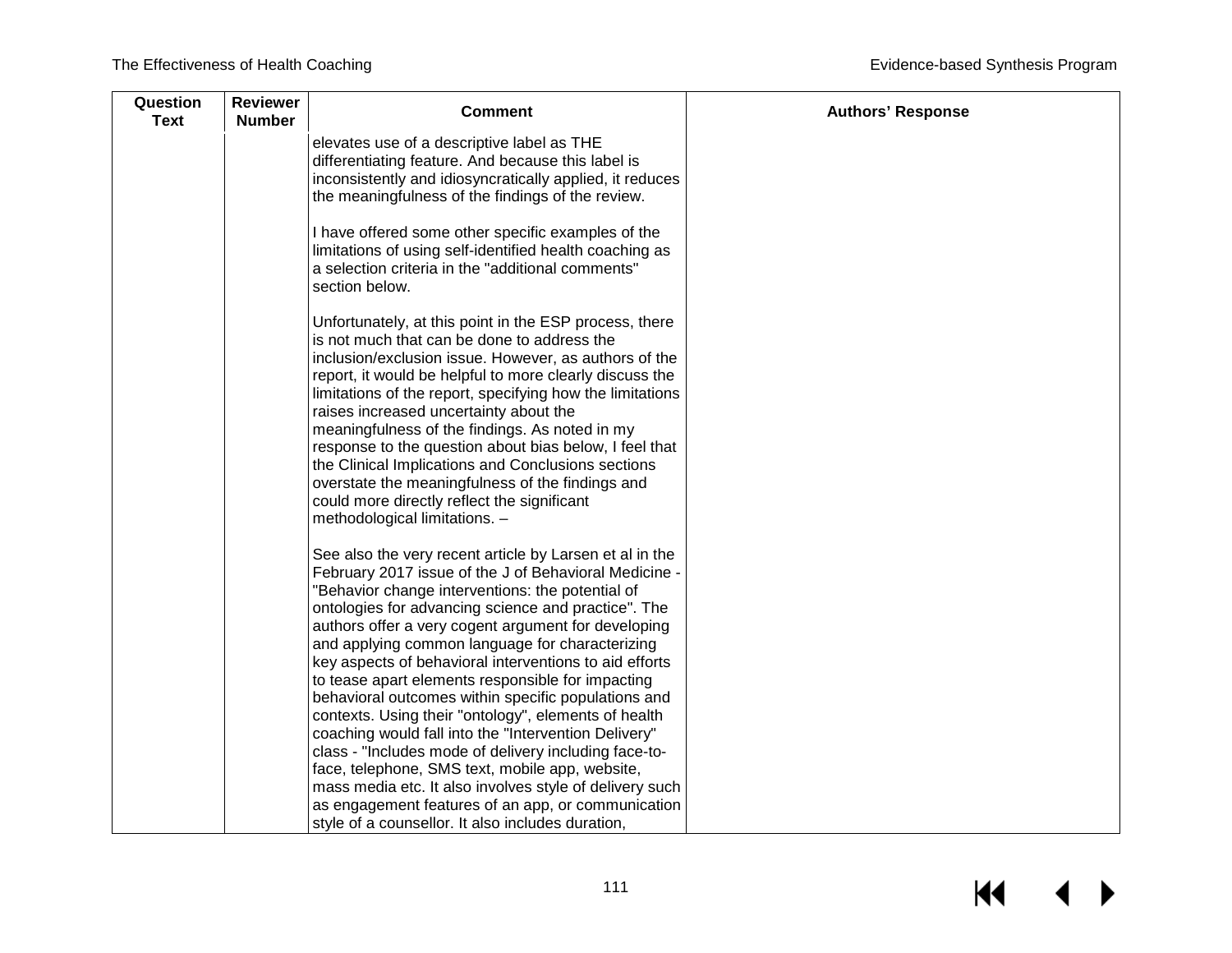| <b>Comment</b>                                                                                                                                                                                                                                                                                                                                                                                                                                                                                                                                                                                                                                                                                                                                                                                                                                           | <b>Authors' Response</b>                          |
|----------------------------------------------------------------------------------------------------------------------------------------------------------------------------------------------------------------------------------------------------------------------------------------------------------------------------------------------------------------------------------------------------------------------------------------------------------------------------------------------------------------------------------------------------------------------------------------------------------------------------------------------------------------------------------------------------------------------------------------------------------------------------------------------------------------------------------------------------------|---------------------------------------------------|
| elevates use of a descriptive label as THE<br>differentiating feature. And because this label is<br>inconsistently and idiosyncratically applied, it reduces<br>the meaningfulness of the findings of the review.                                                                                                                                                                                                                                                                                                                                                                                                                                                                                                                                                                                                                                        |                                                   |
| I have offered some other specific examples of the<br>limitations of using self-identified health coaching as<br>a selection criteria in the "additional comments"<br>section below.                                                                                                                                                                                                                                                                                                                                                                                                                                                                                                                                                                                                                                                                     |                                                   |
| Unfortunately, at this point in the ESP process, there<br>is not much that can be done to address the<br>inclusion/exclusion issue. However, as authors of the<br>report, it would be helpful to more clearly discuss the<br>limitations of the report, specifying how the limitations<br>raises increased uncertainty about the<br>meaningfulness of the findings. As noted in my<br>response to the question about bias below, I feel that<br>the Clinical Implications and Conclusions sections<br>overstate the meaningfulness of the findings and<br>could more directly reflect the significant<br>methodological limitations. -                                                                                                                                                                                                                   |                                                   |
| See also the very recent article by Larsen et al in the<br>February 2017 issue of the J of Behavioral Medicine -<br>"Behavior change interventions: the potential of<br>ontologies for advancing science and practice". The<br>authors offer a very cogent argument for developing<br>and applying common language for characterizing<br>key aspects of behavioral interventions to aid efforts<br>to tease apart elements responsible for impacting<br>behavioral outcomes within specific populations and<br>contexts. Using their "ontology", elements of health<br>coaching would fall into the "Intervention Delivery"<br>class - "Includes mode of delivery including face-to-<br>face, telephone, SMS text, mobile app, website,<br>mass media etc. It also involves style of delivery such<br>as engagement features of an app, or communication |                                                   |
|                                                                                                                                                                                                                                                                                                                                                                                                                                                                                                                                                                                                                                                                                                                                                                                                                                                          | style of a counsellor. It also includes duration, |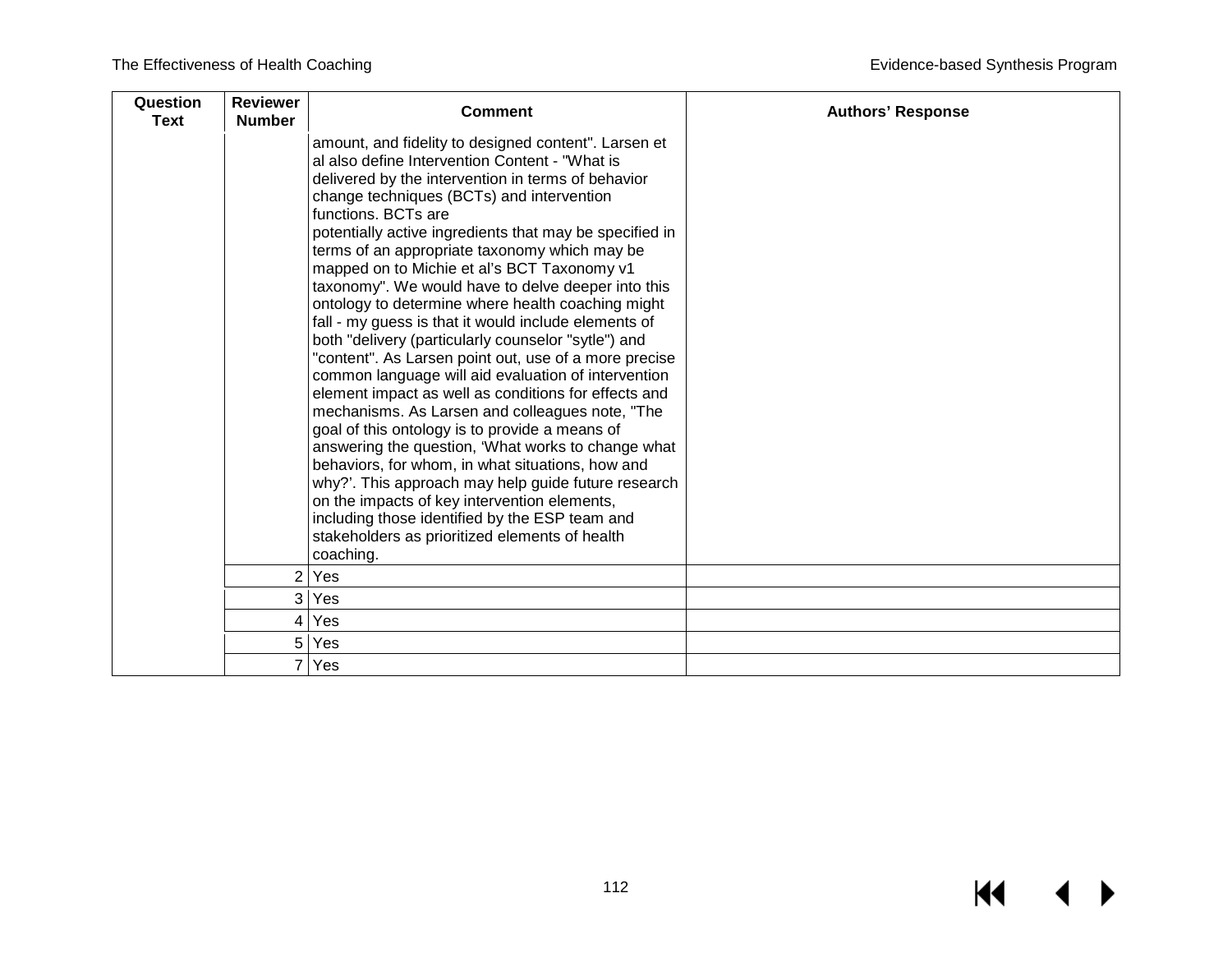| Question<br><b>Text</b> | <b>Reviewer</b><br><b>Number</b> | <b>Comment</b>                                                                                                                                                                                                                                                                                                                                                                                                                                                                                                                                                                                                                                                                                                                                                                                                                                                                                                                                                                                                                                                                                                                                                                                                                       | <b>Authors' Response</b> |
|-------------------------|----------------------------------|--------------------------------------------------------------------------------------------------------------------------------------------------------------------------------------------------------------------------------------------------------------------------------------------------------------------------------------------------------------------------------------------------------------------------------------------------------------------------------------------------------------------------------------------------------------------------------------------------------------------------------------------------------------------------------------------------------------------------------------------------------------------------------------------------------------------------------------------------------------------------------------------------------------------------------------------------------------------------------------------------------------------------------------------------------------------------------------------------------------------------------------------------------------------------------------------------------------------------------------|--------------------------|
|                         |                                  | amount, and fidelity to designed content". Larsen et<br>al also define Intervention Content - "What is<br>delivered by the intervention in terms of behavior<br>change techniques (BCTs) and intervention<br>functions. BCTs are<br>potentially active ingredients that may be specified in<br>terms of an appropriate taxonomy which may be<br>mapped on to Michie et al's BCT Taxonomy v1<br>taxonomy". We would have to delve deeper into this<br>ontology to determine where health coaching might<br>fall - my guess is that it would include elements of<br>both "delivery (particularly counselor "sytle") and<br>"content". As Larsen point out, use of a more precise<br>common language will aid evaluation of intervention<br>element impact as well as conditions for effects and<br>mechanisms. As Larsen and colleagues note, "The<br>goal of this ontology is to provide a means of<br>answering the question, 'What works to change what<br>behaviors, for whom, in what situations, how and<br>why?'. This approach may help guide future research<br>on the impacts of key intervention elements,<br>including those identified by the ESP team and<br>stakeholders as prioritized elements of health<br>coaching. |                          |
|                         | 2                                | Yes                                                                                                                                                                                                                                                                                                                                                                                                                                                                                                                                                                                                                                                                                                                                                                                                                                                                                                                                                                                                                                                                                                                                                                                                                                  |                          |
|                         | 3                                | Yes                                                                                                                                                                                                                                                                                                                                                                                                                                                                                                                                                                                                                                                                                                                                                                                                                                                                                                                                                                                                                                                                                                                                                                                                                                  |                          |
|                         | 4                                | Yes                                                                                                                                                                                                                                                                                                                                                                                                                                                                                                                                                                                                                                                                                                                                                                                                                                                                                                                                                                                                                                                                                                                                                                                                                                  |                          |
|                         | 5                                | Yes                                                                                                                                                                                                                                                                                                                                                                                                                                                                                                                                                                                                                                                                                                                                                                                                                                                                                                                                                                                                                                                                                                                                                                                                                                  |                          |
|                         |                                  | Yes                                                                                                                                                                                                                                                                                                                                                                                                                                                                                                                                                                                                                                                                                                                                                                                                                                                                                                                                                                                                                                                                                                                                                                                                                                  |                          |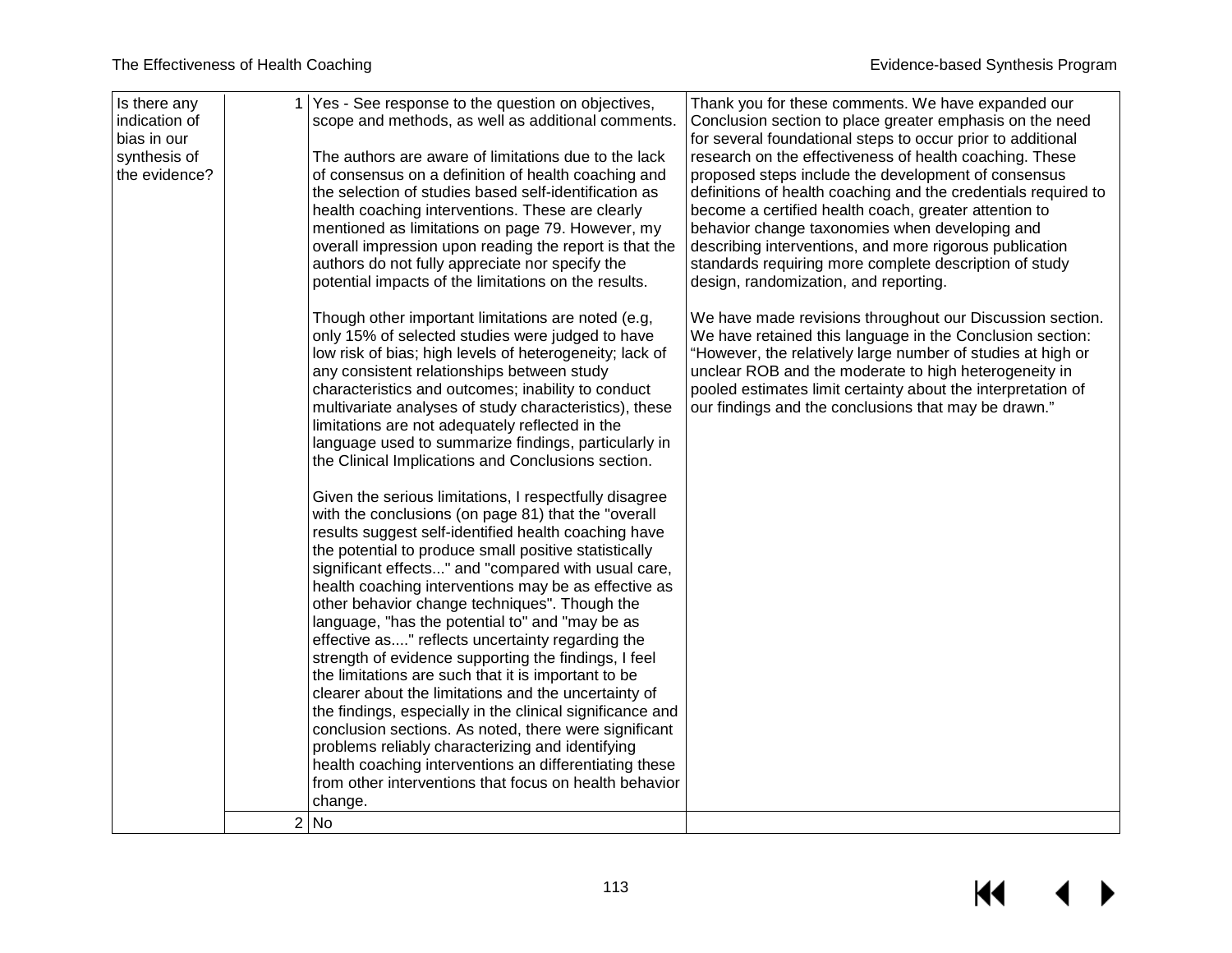| Is there any<br>indication of<br>bias in our<br>synthesis of<br>the evidence? | Yes - See response to the question on objectives,<br>scope and methods, as well as additional comments.<br>The authors are aware of limitations due to the lack<br>of consensus on a definition of health coaching and<br>the selection of studies based self-identification as<br>health coaching interventions. These are clearly<br>mentioned as limitations on page 79. However, my<br>overall impression upon reading the report is that the<br>authors do not fully appreciate nor specify the<br>potential impacts of the limitations on the results.<br>Though other important limitations are noted (e.g,                                                                                                                                                                                                                                                                                                                                                                                                                                                                                                                                                                                                                                                                                                                                                                                                                  | Thank you for these comments. We have expanded our<br>Conclusion section to place greater emphasis on the need<br>for several foundational steps to occur prior to additional<br>research on the effectiveness of health coaching. These<br>proposed steps include the development of consensus<br>definitions of health coaching and the credentials required to<br>become a certified health coach, greater attention to<br>behavior change taxonomies when developing and<br>describing interventions, and more rigorous publication<br>standards requiring more complete description of study<br>design, randomization, and reporting.<br>We have made revisions throughout our Discussion section. |
|-------------------------------------------------------------------------------|-------------------------------------------------------------------------------------------------------------------------------------------------------------------------------------------------------------------------------------------------------------------------------------------------------------------------------------------------------------------------------------------------------------------------------------------------------------------------------------------------------------------------------------------------------------------------------------------------------------------------------------------------------------------------------------------------------------------------------------------------------------------------------------------------------------------------------------------------------------------------------------------------------------------------------------------------------------------------------------------------------------------------------------------------------------------------------------------------------------------------------------------------------------------------------------------------------------------------------------------------------------------------------------------------------------------------------------------------------------------------------------------------------------------------------------|---------------------------------------------------------------------------------------------------------------------------------------------------------------------------------------------------------------------------------------------------------------------------------------------------------------------------------------------------------------------------------------------------------------------------------------------------------------------------------------------------------------------------------------------------------------------------------------------------------------------------------------------------------------------------------------------------------|
|                                                                               | only 15% of selected studies were judged to have<br>low risk of bias; high levels of heterogeneity; lack of<br>any consistent relationships between study<br>characteristics and outcomes; inability to conduct<br>multivariate analyses of study characteristics), these<br>limitations are not adequately reflected in the<br>language used to summarize findings, particularly in<br>the Clinical Implications and Conclusions section.<br>Given the serious limitations, I respectfully disagree<br>with the conclusions (on page 81) that the "overall<br>results suggest self-identified health coaching have<br>the potential to produce small positive statistically<br>significant effects" and "compared with usual care,<br>health coaching interventions may be as effective as<br>other behavior change techniques". Though the<br>language, "has the potential to" and "may be as<br>effective as" reflects uncertainty regarding the<br>strength of evidence supporting the findings, I feel<br>the limitations are such that it is important to be<br>clearer about the limitations and the uncertainty of<br>the findings, especially in the clinical significance and<br>conclusion sections. As noted, there were significant<br>problems reliably characterizing and identifying<br>health coaching interventions an differentiating these<br>from other interventions that focus on health behavior<br>change. | We have retained this language in the Conclusion section:<br>"However, the relatively large number of studies at high or<br>unclear ROB and the moderate to high heterogeneity in<br>pooled estimates limit certainty about the interpretation of<br>our findings and the conclusions that may be drawn."                                                                                                                                                                                                                                                                                                                                                                                               |
|                                                                               | 2 No                                                                                                                                                                                                                                                                                                                                                                                                                                                                                                                                                                                                                                                                                                                                                                                                                                                                                                                                                                                                                                                                                                                                                                                                                                                                                                                                                                                                                                |                                                                                                                                                                                                                                                                                                                                                                                                                                                                                                                                                                                                                                                                                                         |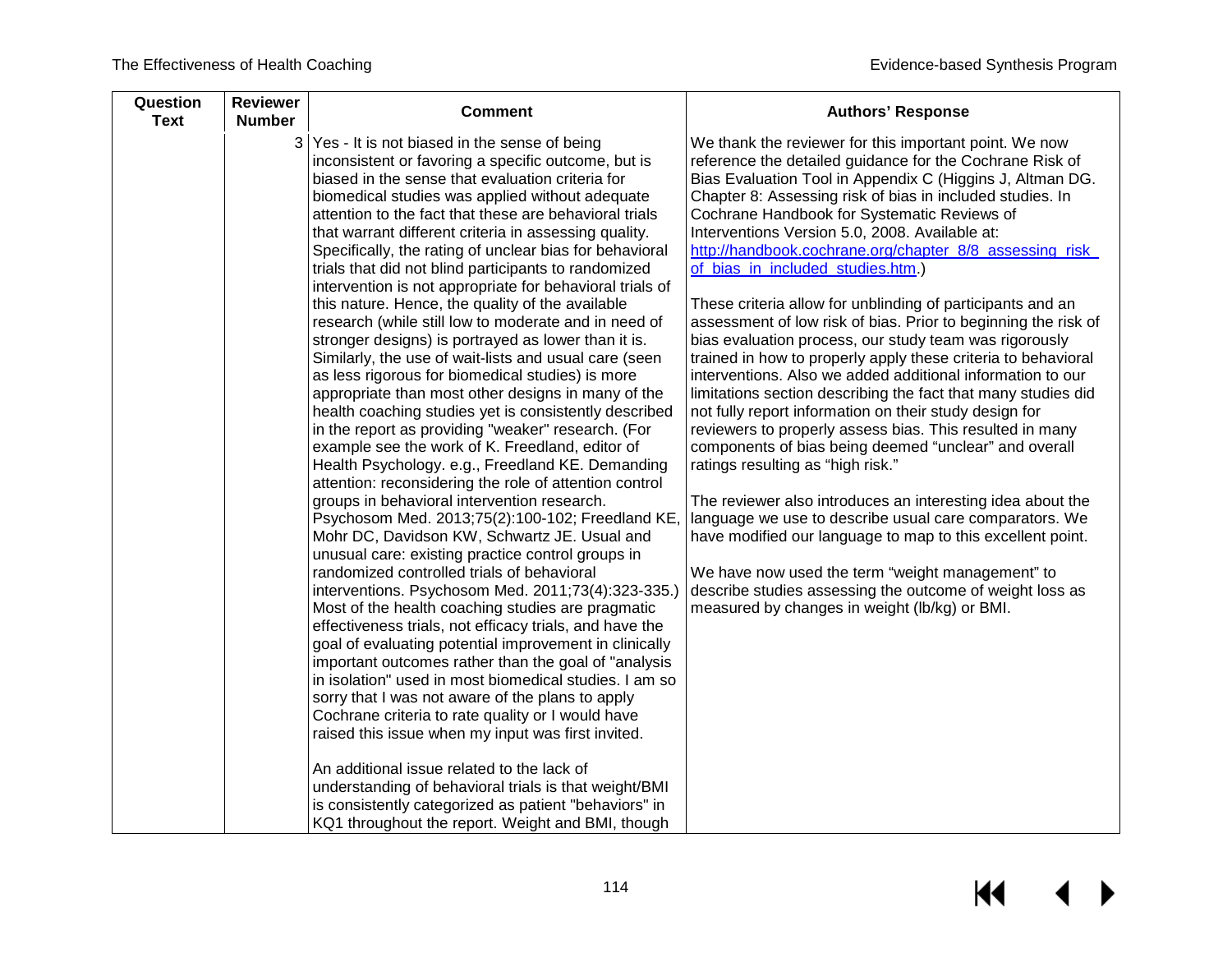| 3 Yes - It is not biased in the sense of being<br>We thank the reviewer for this important point. We now<br>inconsistent or favoring a specific outcome, but is<br>reference the detailed guidance for the Cochrane Risk of<br>biased in the sense that evaluation criteria for<br>Chapter 8: Assessing risk of bias in included studies. In<br>biomedical studies was applied without adequate<br>attention to the fact that these are behavioral trials<br>Cochrane Handbook for Systematic Reviews of<br>Interventions Version 5.0, 2008. Available at:<br>that warrant different criteria in assessing quality.<br>Specifically, the rating of unclear bias for behavioral<br>of_bias_in_included_studies.htm.)<br>trials that did not blind participants to randomized<br>intervention is not appropriate for behavioral trials of<br>this nature. Hence, the quality of the available<br>These criteria allow for unblinding of participants and an<br>research (while still low to moderate and in need of<br>bias evaluation process, our study team was rigorously<br>stronger designs) is portrayed as lower than it is.                                                                                                                                                                                                                                                                                                                                                                                                                                                                                                                                                                                                                                    | Question<br><b>Reviewer</b><br><b>Text</b><br><b>Number</b> | <b>Comment</b> | <b>Authors' Response</b>                                                                                                                                                                                                                                                                                                                                                                                                                                                                                                                                                                                                                  |
|-----------------------------------------------------------------------------------------------------------------------------------------------------------------------------------------------------------------------------------------------------------------------------------------------------------------------------------------------------------------------------------------------------------------------------------------------------------------------------------------------------------------------------------------------------------------------------------------------------------------------------------------------------------------------------------------------------------------------------------------------------------------------------------------------------------------------------------------------------------------------------------------------------------------------------------------------------------------------------------------------------------------------------------------------------------------------------------------------------------------------------------------------------------------------------------------------------------------------------------------------------------------------------------------------------------------------------------------------------------------------------------------------------------------------------------------------------------------------------------------------------------------------------------------------------------------------------------------------------------------------------------------------------------------------------------------------------------------------------------------------------------------------|-------------------------------------------------------------|----------------|-------------------------------------------------------------------------------------------------------------------------------------------------------------------------------------------------------------------------------------------------------------------------------------------------------------------------------------------------------------------------------------------------------------------------------------------------------------------------------------------------------------------------------------------------------------------------------------------------------------------------------------------|
| Similarly, the use of wait-lists and usual care (seen<br>as less rigorous for biomedical studies) is more<br>appropriate than most other designs in many of the<br>health coaching studies yet is consistently described<br>not fully report information on their study design for<br>in the report as providing "weaker" research. (For<br>reviewers to properly assess bias. This resulted in many<br>example see the work of K. Freedland, editor of<br>components of bias being deemed "unclear" and overall<br>Health Psychology. e.g., Freedland KE. Demanding<br>ratings resulting as "high risk."<br>attention: reconsidering the role of attention control<br>groups in behavioral intervention research.<br>Psychosom Med. 2013;75(2):100-102; Freedland KE,<br>Mohr DC, Davidson KW, Schwartz JE. Usual and<br>unusual care: existing practice control groups in<br>randomized controlled trials of behavioral<br>We have now used the term "weight management" to<br>interventions. Psychosom Med. 2011;73(4):323-335.)<br>measured by changes in weight (lb/kg) or BMI.<br>Most of the health coaching studies are pragmatic<br>effectiveness trials, not efficacy trials, and have the<br>goal of evaluating potential improvement in clinically<br>important outcomes rather than the goal of "analysis"<br>in isolation" used in most biomedical studies. I am so<br>sorry that I was not aware of the plans to apply<br>Cochrane criteria to rate quality or I would have<br>raised this issue when my input was first invited.<br>An additional issue related to the lack of<br>understanding of behavioral trials is that weight/BMI<br>is consistently categorized as patient "behaviors" in<br>KQ1 throughout the report. Weight and BMI, though |                                                             |                | Bias Evaluation Tool in Appendix C (Higgins J, Altman DG.<br>http://handbook.cochrane.org/chapter_8/8_assessing_risk_<br>assessment of low risk of bias. Prior to beginning the risk of<br>trained in how to properly apply these criteria to behavioral<br>interventions. Also we added additional information to our<br>limitations section describing the fact that many studies did<br>The reviewer also introduces an interesting idea about the<br>language we use to describe usual care comparators. We<br>have modified our language to map to this excellent point.<br>describe studies assessing the outcome of weight loss as |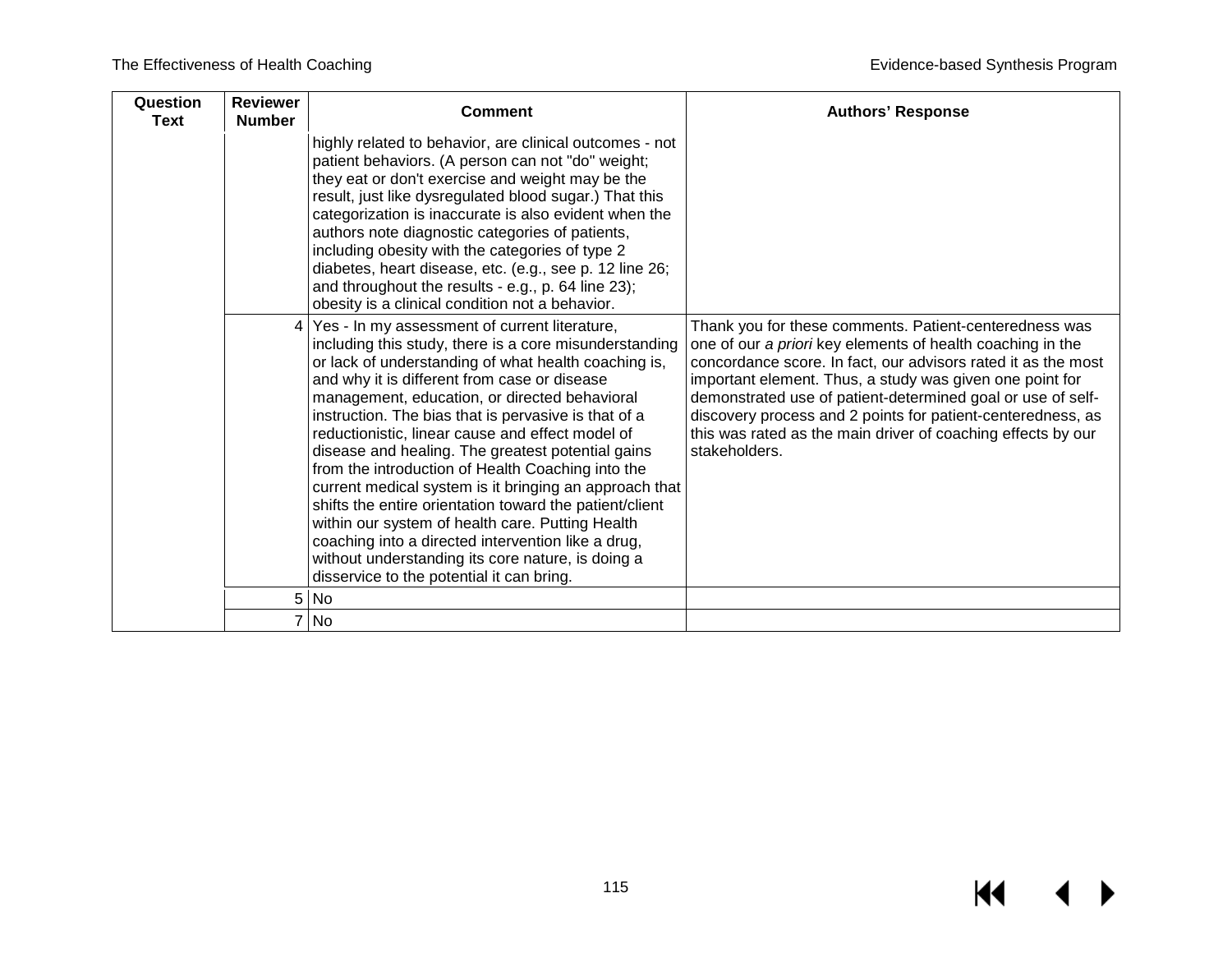| Question<br><b>Text</b> | <b>Reviewer</b><br><b>Number</b> | <b>Comment</b>                                                                                                                                                                                                                                                                                                                                                                                                                                                                                                                                                                                                                                                                                                                                                                                                          | <b>Authors' Response</b>                                                                                                                                                                                                                                                                                                                                                                                                                                         |
|-------------------------|----------------------------------|-------------------------------------------------------------------------------------------------------------------------------------------------------------------------------------------------------------------------------------------------------------------------------------------------------------------------------------------------------------------------------------------------------------------------------------------------------------------------------------------------------------------------------------------------------------------------------------------------------------------------------------------------------------------------------------------------------------------------------------------------------------------------------------------------------------------------|------------------------------------------------------------------------------------------------------------------------------------------------------------------------------------------------------------------------------------------------------------------------------------------------------------------------------------------------------------------------------------------------------------------------------------------------------------------|
|                         |                                  | highly related to behavior, are clinical outcomes - not<br>patient behaviors. (A person can not "do" weight;<br>they eat or don't exercise and weight may be the<br>result, just like dysregulated blood sugar.) That this<br>categorization is inaccurate is also evident when the<br>authors note diagnostic categories of patients,<br>including obesity with the categories of type 2<br>diabetes, heart disease, etc. (e.g., see p. 12 line 26;<br>and throughout the results - e.g., p. 64 line 23);<br>obesity is a clinical condition not a behavior.                                                                                                                                                                                                                                                           |                                                                                                                                                                                                                                                                                                                                                                                                                                                                  |
|                         |                                  | Yes - In my assessment of current literature,<br>including this study, there is a core misunderstanding<br>or lack of understanding of what health coaching is,<br>and why it is different from case or disease<br>management, education, or directed behavioral<br>instruction. The bias that is pervasive is that of a<br>reductionistic, linear cause and effect model of<br>disease and healing. The greatest potential gains<br>from the introduction of Health Coaching into the<br>current medical system is it bringing an approach that<br>shifts the entire orientation toward the patient/client<br>within our system of health care. Putting Health<br>coaching into a directed intervention like a drug,<br>without understanding its core nature, is doing a<br>disservice to the potential it can bring. | Thank you for these comments. Patient-centeredness was<br>one of our a priori key elements of health coaching in the<br>concordance score. In fact, our advisors rated it as the most<br>important element. Thus, a study was given one point for<br>demonstrated use of patient-determined goal or use of self-<br>discovery process and 2 points for patient-centeredness, as<br>this was rated as the main driver of coaching effects by our<br>stakeholders. |
|                         | 5 <sup>1</sup>                   | <b>No</b>                                                                                                                                                                                                                                                                                                                                                                                                                                                                                                                                                                                                                                                                                                                                                                                                               |                                                                                                                                                                                                                                                                                                                                                                                                                                                                  |
|                         |                                  | 7 No                                                                                                                                                                                                                                                                                                                                                                                                                                                                                                                                                                                                                                                                                                                                                                                                                    |                                                                                                                                                                                                                                                                                                                                                                                                                                                                  |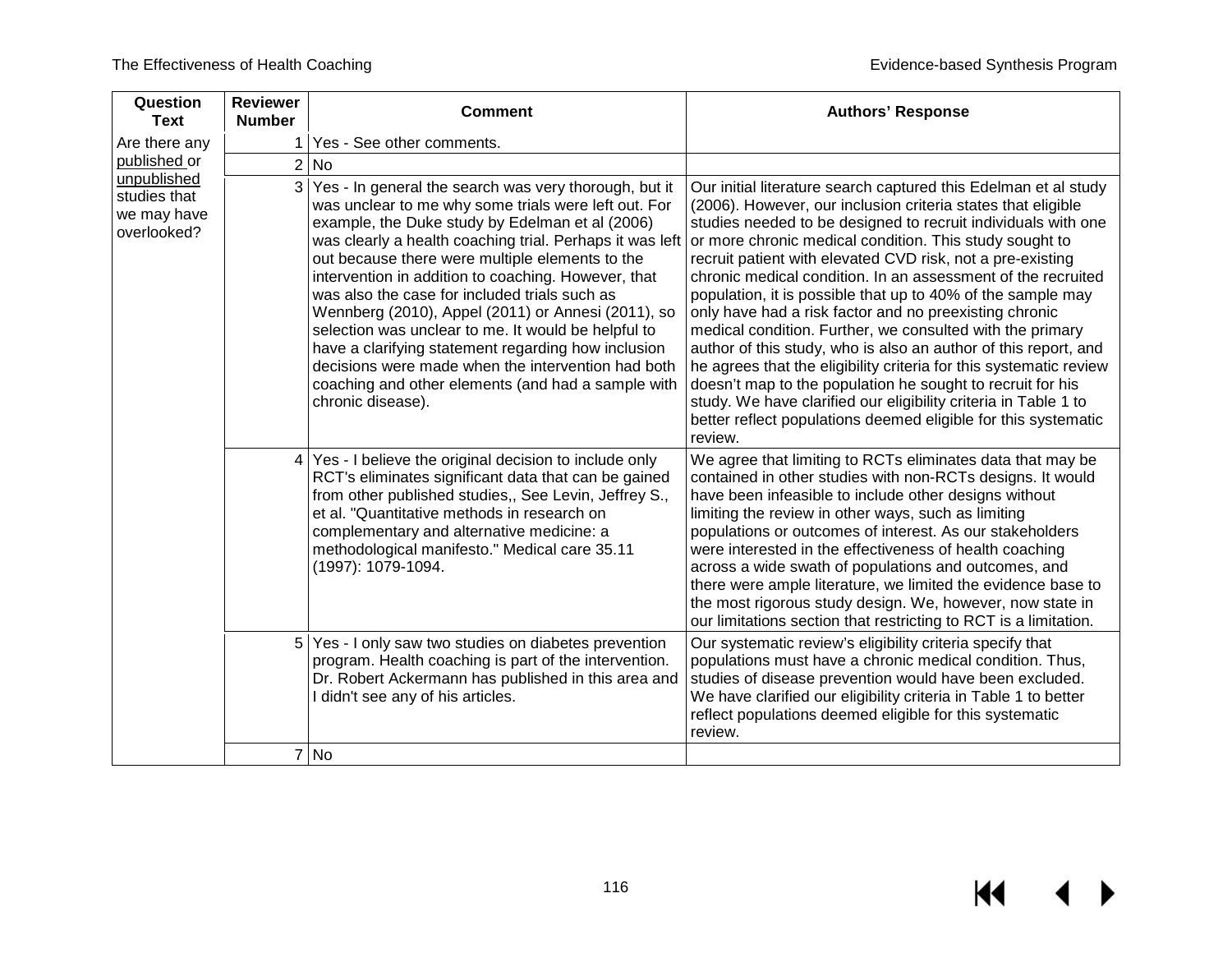| Question<br><b>Text</b>                                   | <b>Reviewer</b><br><b>Number</b> | <b>Comment</b>                                                                                                                                                                                                                                                                                                                                                                                                                                                                                                                                                                                                                                                                               | <b>Authors' Response</b>                                                                                                                                                                                                                                                                                                                                                                                                                                                                                                                                                                                                                                                                                                                                                                                                                                                                                                               |
|-----------------------------------------------------------|----------------------------------|----------------------------------------------------------------------------------------------------------------------------------------------------------------------------------------------------------------------------------------------------------------------------------------------------------------------------------------------------------------------------------------------------------------------------------------------------------------------------------------------------------------------------------------------------------------------------------------------------------------------------------------------------------------------------------------------|----------------------------------------------------------------------------------------------------------------------------------------------------------------------------------------------------------------------------------------------------------------------------------------------------------------------------------------------------------------------------------------------------------------------------------------------------------------------------------------------------------------------------------------------------------------------------------------------------------------------------------------------------------------------------------------------------------------------------------------------------------------------------------------------------------------------------------------------------------------------------------------------------------------------------------------|
| Are there any                                             |                                  | Yes - See other comments.                                                                                                                                                                                                                                                                                                                                                                                                                                                                                                                                                                                                                                                                    |                                                                                                                                                                                                                                                                                                                                                                                                                                                                                                                                                                                                                                                                                                                                                                                                                                                                                                                                        |
| published or                                              |                                  | 2 No                                                                                                                                                                                                                                                                                                                                                                                                                                                                                                                                                                                                                                                                                         |                                                                                                                                                                                                                                                                                                                                                                                                                                                                                                                                                                                                                                                                                                                                                                                                                                                                                                                                        |
| unpublished<br>studies that<br>we may have<br>overlooked? | 3                                | Yes - In general the search was very thorough, but it<br>was unclear to me why some trials were left out. For<br>example, the Duke study by Edelman et al (2006)<br>was clearly a health coaching trial. Perhaps it was left<br>out because there were multiple elements to the<br>intervention in addition to coaching. However, that<br>was also the case for included trials such as<br>Wennberg (2010), Appel (2011) or Annesi (2011), so<br>selection was unclear to me. It would be helpful to<br>have a clarifying statement regarding how inclusion<br>decisions were made when the intervention had both<br>coaching and other elements (and had a sample with<br>chronic disease). | Our initial literature search captured this Edelman et al study<br>(2006). However, our inclusion criteria states that eligible<br>studies needed to be designed to recruit individuals with one<br>or more chronic medical condition. This study sought to<br>recruit patient with elevated CVD risk, not a pre-existing<br>chronic medical condition. In an assessment of the recruited<br>population, it is possible that up to 40% of the sample may<br>only have had a risk factor and no preexisting chronic<br>medical condition. Further, we consulted with the primary<br>author of this study, who is also an author of this report, and<br>he agrees that the eligibility criteria for this systematic review<br>doesn't map to the population he sought to recruit for his<br>study. We have clarified our eligibility criteria in Table 1 to<br>better reflect populations deemed eligible for this systematic<br>review. |
|                                                           | 4                                | Yes - I believe the original decision to include only<br>RCT's eliminates significant data that can be gained<br>from other published studies,, See Levin, Jeffrey S.,<br>et al. "Quantitative methods in research on<br>complementary and alternative medicine: a<br>methodological manifesto." Medical care 35.11<br>(1997): 1079-1094.                                                                                                                                                                                                                                                                                                                                                    | We agree that limiting to RCTs eliminates data that may be<br>contained in other studies with non-RCTs designs. It would<br>have been infeasible to include other designs without<br>limiting the review in other ways, such as limiting<br>populations or outcomes of interest. As our stakeholders<br>were interested in the effectiveness of health coaching<br>across a wide swath of populations and outcomes, and<br>there were ample literature, we limited the evidence base to<br>the most rigorous study design. We, however, now state in<br>our limitations section that restricting to RCT is a limitation.                                                                                                                                                                                                                                                                                                               |
|                                                           |                                  | 5 Yes - I only saw two studies on diabetes prevention<br>program. Health coaching is part of the intervention.<br>Dr. Robert Ackermann has published in this area and<br>I didn't see any of his articles.                                                                                                                                                                                                                                                                                                                                                                                                                                                                                   | Our systematic review's eligibility criteria specify that<br>populations must have a chronic medical condition. Thus,<br>studies of disease prevention would have been excluded.<br>We have clarified our eligibility criteria in Table 1 to better<br>reflect populations deemed eligible for this systematic<br>review.                                                                                                                                                                                                                                                                                                                                                                                                                                                                                                                                                                                                              |
|                                                           |                                  | 7 No                                                                                                                                                                                                                                                                                                                                                                                                                                                                                                                                                                                                                                                                                         |                                                                                                                                                                                                                                                                                                                                                                                                                                                                                                                                                                                                                                                                                                                                                                                                                                                                                                                                        |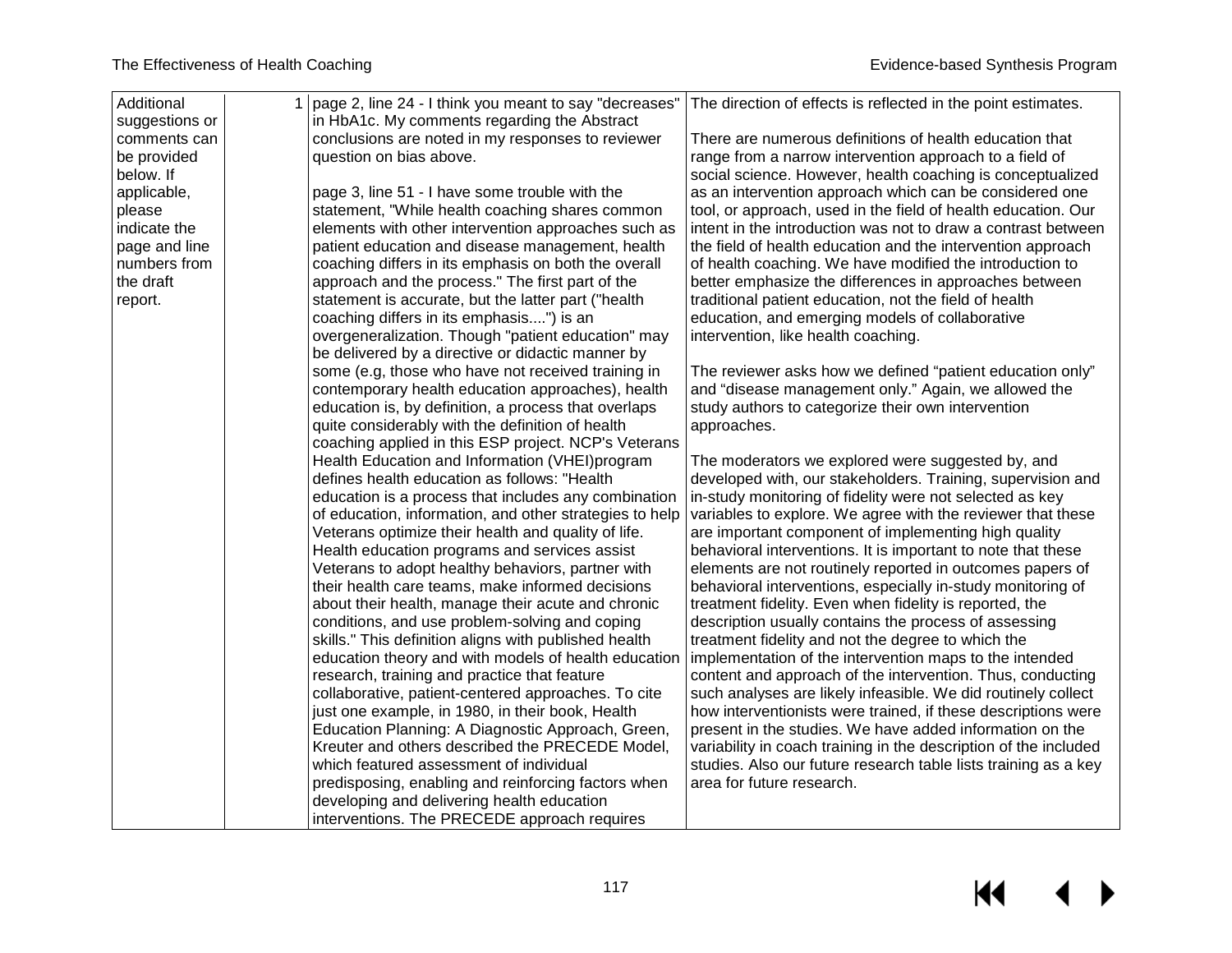| Additional     | 1   page 2, line 24 - I think you meant to say "decreases" | The direction of effects is reflected in the point estimates.                                                  |
|----------------|------------------------------------------------------------|----------------------------------------------------------------------------------------------------------------|
| suggestions or | in HbA1c. My comments regarding the Abstract               |                                                                                                                |
| comments can   | conclusions are noted in my responses to reviewer          | There are numerous definitions of health education that                                                        |
| be provided    | question on bias above.                                    | range from a narrow intervention approach to a field of                                                        |
| below. If      |                                                            | social science. However, health coaching is conceptualized                                                     |
| applicable,    | page 3, line 51 - I have some trouble with the             | as an intervention approach which can be considered one                                                        |
| please         | statement, "While health coaching shares common            | tool, or approach, used in the field of health education. Our                                                  |
| indicate the   | elements with other intervention approaches such as        | intent in the introduction was not to draw a contrast between                                                  |
| page and line  | patient education and disease management, health           | the field of health education and the intervention approach                                                    |
| numbers from   | coaching differs in its emphasis on both the overall       | of health coaching. We have modified the introduction to                                                       |
| the draft      | approach and the process." The first part of the           | better emphasize the differences in approaches between                                                         |
| report.        | statement is accurate, but the latter part ("health        | traditional patient education, not the field of health                                                         |
|                | coaching differs in its emphasis") is an                   | education, and emerging models of collaborative                                                                |
|                | overgeneralization. Though "patient education" may         | intervention, like health coaching.                                                                            |
|                | be delivered by a directive or didactic manner by          |                                                                                                                |
|                | some (e.g, those who have not received training in         | The reviewer asks how we defined "patient education only"                                                      |
|                | contemporary health education approaches), health          | and "disease management only." Again, we allowed the                                                           |
|                | education is, by definition, a process that overlaps       | study authors to categorize their own intervention                                                             |
|                | quite considerably with the definition of health           | approaches.                                                                                                    |
|                | coaching applied in this ESP project. NCP's Veterans       |                                                                                                                |
|                | Health Education and Information (VHEI)program             | The moderators we explored were suggested by, and                                                              |
|                | defines health education as follows: "Health               | developed with, our stakeholders. Training, supervision and                                                    |
|                | education is a process that includes any combination       | in-study monitoring of fidelity were not selected as key                                                       |
|                | of education, information, and other strategies to help    | variables to explore. We agree with the reviewer that these                                                    |
|                | Veterans optimize their health and quality of life.        | are important component of implementing high quality                                                           |
|                | Health education programs and services assist              | behavioral interventions. It is important to note that these                                                   |
|                | Veterans to adopt healthy behaviors, partner with          | elements are not routinely reported in outcomes papers of                                                      |
|                | their health care teams, make informed decisions           | behavioral interventions, especially in-study monitoring of                                                    |
|                | about their health, manage their acute and chronic         | treatment fidelity. Even when fidelity is reported, the                                                        |
|                | conditions, and use problem-solving and coping             | description usually contains the process of assessing                                                          |
|                | skills." This definition aligns with published health      | treatment fidelity and not the degree to which the                                                             |
|                |                                                            | education theory and with models of health education   implementation of the intervention maps to the intended |
|                | research, training and practice that feature               | content and approach of the intervention. Thus, conducting                                                     |
|                | collaborative, patient-centered approaches. To cite        | such analyses are likely infeasible. We did routinely collect                                                  |
|                | just one example, in 1980, in their book, Health           | how interventionists were trained, if these descriptions were                                                  |
|                | Education Planning: A Diagnostic Approach, Green,          | present in the studies. We have added information on the                                                       |
|                | Kreuter and others described the PRECEDE Model,            | variability in coach training in the description of the included                                               |
|                | which featured assessment of individual                    | studies. Also our future research table lists training as a key                                                |
|                | predisposing, enabling and reinforcing factors when        | area for future research.                                                                                      |
|                | developing and delivering health education                 |                                                                                                                |
|                | interventions. The PRECEDE approach requires               |                                                                                                                |
|                |                                                            |                                                                                                                |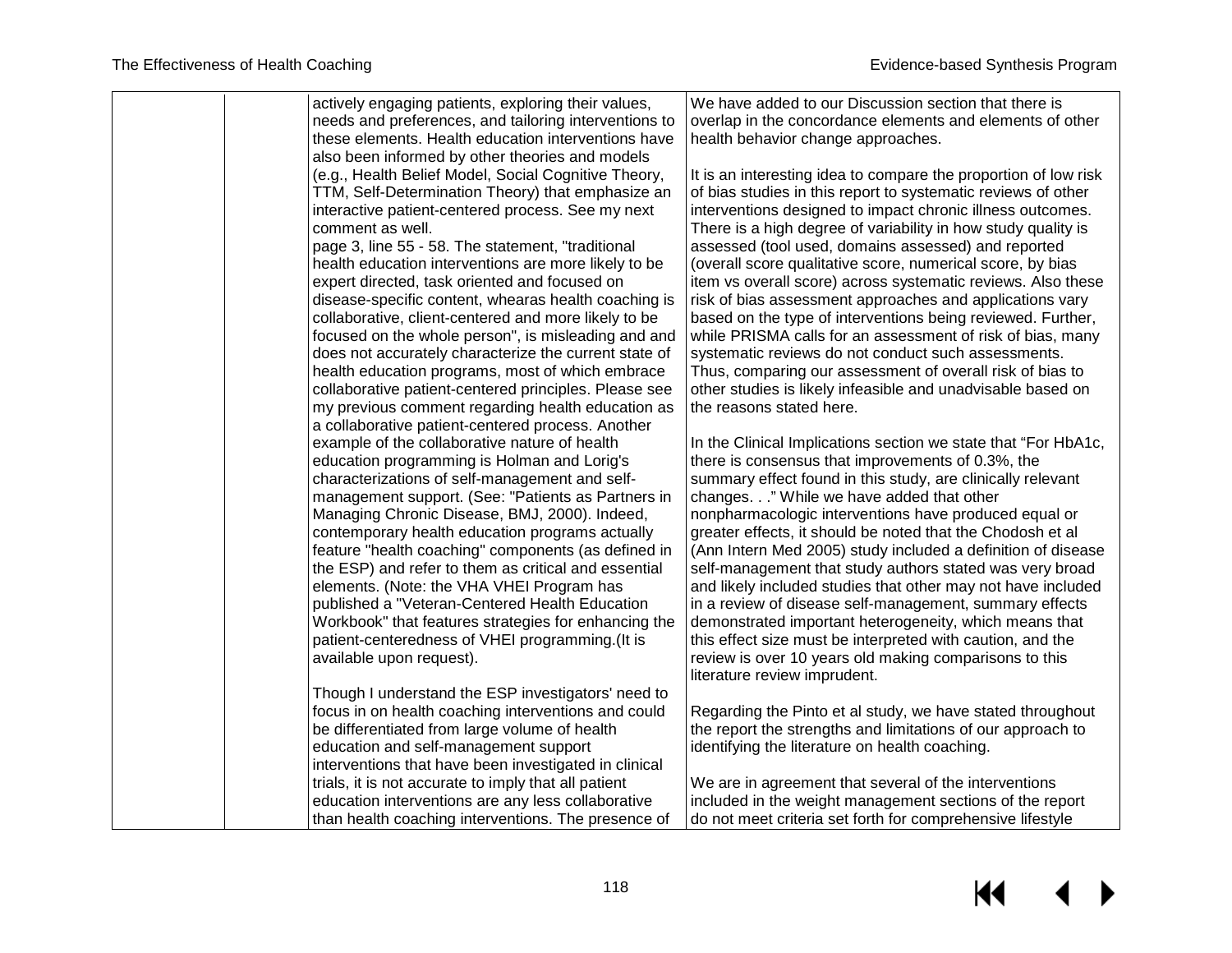| actively engaging patients, exploring their values,<br>needs and preferences, and tailoring interventions to<br>overlap in the concordance elements and elements of other<br>these elements. Health education interventions have<br>health behavior change approaches.<br>also been informed by other theories and models<br>(e.g., Health Belief Model, Social Cognitive Theory,<br>It is an interesting idea to compare the proportion of low risk<br>TTM, Self-Determination Theory) that emphasize an<br>of bias studies in this report to systematic reviews of other<br>interactive patient-centered process. See my next<br>interventions designed to impact chronic illness outcomes.<br>There is a high degree of variability in how study quality is<br>comment as well.<br>page 3, line 55 - 58. The statement, "traditional<br>assessed (tool used, domains assessed) and reported<br>health education interventions are more likely to be<br>(overall score qualitative score, numerical score, by bias<br>expert directed, task oriented and focused on<br>item vs overall score) across systematic reviews. Also these<br>disease-specific content, whearas health coaching is<br>risk of bias assessment approaches and applications vary<br>collaborative, client-centered and more likely to be<br>based on the type of interventions being reviewed. Further,<br>focused on the whole person", is misleading and and<br>while PRISMA calls for an assessment of risk of bias, many<br>does not accurately characterize the current state of<br>systematic reviews do not conduct such assessments.<br>health education programs, most of which embrace<br>Thus, comparing our assessment of overall risk of bias to |
|----------------------------------------------------------------------------------------------------------------------------------------------------------------------------------------------------------------------------------------------------------------------------------------------------------------------------------------------------------------------------------------------------------------------------------------------------------------------------------------------------------------------------------------------------------------------------------------------------------------------------------------------------------------------------------------------------------------------------------------------------------------------------------------------------------------------------------------------------------------------------------------------------------------------------------------------------------------------------------------------------------------------------------------------------------------------------------------------------------------------------------------------------------------------------------------------------------------------------------------------------------------------------------------------------------------------------------------------------------------------------------------------------------------------------------------------------------------------------------------------------------------------------------------------------------------------------------------------------------------------------------------------------------------------------------------------------------------------------------------|
|                                                                                                                                                                                                                                                                                                                                                                                                                                                                                                                                                                                                                                                                                                                                                                                                                                                                                                                                                                                                                                                                                                                                                                                                                                                                                                                                                                                                                                                                                                                                                                                                                                                                                                                                        |
|                                                                                                                                                                                                                                                                                                                                                                                                                                                                                                                                                                                                                                                                                                                                                                                                                                                                                                                                                                                                                                                                                                                                                                                                                                                                                                                                                                                                                                                                                                                                                                                                                                                                                                                                        |
|                                                                                                                                                                                                                                                                                                                                                                                                                                                                                                                                                                                                                                                                                                                                                                                                                                                                                                                                                                                                                                                                                                                                                                                                                                                                                                                                                                                                                                                                                                                                                                                                                                                                                                                                        |
|                                                                                                                                                                                                                                                                                                                                                                                                                                                                                                                                                                                                                                                                                                                                                                                                                                                                                                                                                                                                                                                                                                                                                                                                                                                                                                                                                                                                                                                                                                                                                                                                                                                                                                                                        |
|                                                                                                                                                                                                                                                                                                                                                                                                                                                                                                                                                                                                                                                                                                                                                                                                                                                                                                                                                                                                                                                                                                                                                                                                                                                                                                                                                                                                                                                                                                                                                                                                                                                                                                                                        |
|                                                                                                                                                                                                                                                                                                                                                                                                                                                                                                                                                                                                                                                                                                                                                                                                                                                                                                                                                                                                                                                                                                                                                                                                                                                                                                                                                                                                                                                                                                                                                                                                                                                                                                                                        |
|                                                                                                                                                                                                                                                                                                                                                                                                                                                                                                                                                                                                                                                                                                                                                                                                                                                                                                                                                                                                                                                                                                                                                                                                                                                                                                                                                                                                                                                                                                                                                                                                                                                                                                                                        |
|                                                                                                                                                                                                                                                                                                                                                                                                                                                                                                                                                                                                                                                                                                                                                                                                                                                                                                                                                                                                                                                                                                                                                                                                                                                                                                                                                                                                                                                                                                                                                                                                                                                                                                                                        |
|                                                                                                                                                                                                                                                                                                                                                                                                                                                                                                                                                                                                                                                                                                                                                                                                                                                                                                                                                                                                                                                                                                                                                                                                                                                                                                                                                                                                                                                                                                                                                                                                                                                                                                                                        |
|                                                                                                                                                                                                                                                                                                                                                                                                                                                                                                                                                                                                                                                                                                                                                                                                                                                                                                                                                                                                                                                                                                                                                                                                                                                                                                                                                                                                                                                                                                                                                                                                                                                                                                                                        |
|                                                                                                                                                                                                                                                                                                                                                                                                                                                                                                                                                                                                                                                                                                                                                                                                                                                                                                                                                                                                                                                                                                                                                                                                                                                                                                                                                                                                                                                                                                                                                                                                                                                                                                                                        |
|                                                                                                                                                                                                                                                                                                                                                                                                                                                                                                                                                                                                                                                                                                                                                                                                                                                                                                                                                                                                                                                                                                                                                                                                                                                                                                                                                                                                                                                                                                                                                                                                                                                                                                                                        |
|                                                                                                                                                                                                                                                                                                                                                                                                                                                                                                                                                                                                                                                                                                                                                                                                                                                                                                                                                                                                                                                                                                                                                                                                                                                                                                                                                                                                                                                                                                                                                                                                                                                                                                                                        |
|                                                                                                                                                                                                                                                                                                                                                                                                                                                                                                                                                                                                                                                                                                                                                                                                                                                                                                                                                                                                                                                                                                                                                                                                                                                                                                                                                                                                                                                                                                                                                                                                                                                                                                                                        |
|                                                                                                                                                                                                                                                                                                                                                                                                                                                                                                                                                                                                                                                                                                                                                                                                                                                                                                                                                                                                                                                                                                                                                                                                                                                                                                                                                                                                                                                                                                                                                                                                                                                                                                                                        |
| collaborative patient-centered principles. Please see<br>other studies is likely infeasible and unadvisable based on                                                                                                                                                                                                                                                                                                                                                                                                                                                                                                                                                                                                                                                                                                                                                                                                                                                                                                                                                                                                                                                                                                                                                                                                                                                                                                                                                                                                                                                                                                                                                                                                                   |
| the reasons stated here.<br>my previous comment regarding health education as                                                                                                                                                                                                                                                                                                                                                                                                                                                                                                                                                                                                                                                                                                                                                                                                                                                                                                                                                                                                                                                                                                                                                                                                                                                                                                                                                                                                                                                                                                                                                                                                                                                          |
| a collaborative patient-centered process. Another                                                                                                                                                                                                                                                                                                                                                                                                                                                                                                                                                                                                                                                                                                                                                                                                                                                                                                                                                                                                                                                                                                                                                                                                                                                                                                                                                                                                                                                                                                                                                                                                                                                                                      |
| example of the collaborative nature of health<br>In the Clinical Implications section we state that "For HbA1c,                                                                                                                                                                                                                                                                                                                                                                                                                                                                                                                                                                                                                                                                                                                                                                                                                                                                                                                                                                                                                                                                                                                                                                                                                                                                                                                                                                                                                                                                                                                                                                                                                        |
| there is consensus that improvements of 0.3%, the<br>education programming is Holman and Lorig's                                                                                                                                                                                                                                                                                                                                                                                                                                                                                                                                                                                                                                                                                                                                                                                                                                                                                                                                                                                                                                                                                                                                                                                                                                                                                                                                                                                                                                                                                                                                                                                                                                       |
| characterizations of self-management and self-<br>summary effect found in this study, are clinically relevant                                                                                                                                                                                                                                                                                                                                                                                                                                                                                                                                                                                                                                                                                                                                                                                                                                                                                                                                                                                                                                                                                                                                                                                                                                                                                                                                                                                                                                                                                                                                                                                                                          |
| management support. (See: "Patients as Partners in<br>changes." While we have added that other                                                                                                                                                                                                                                                                                                                                                                                                                                                                                                                                                                                                                                                                                                                                                                                                                                                                                                                                                                                                                                                                                                                                                                                                                                                                                                                                                                                                                                                                                                                                                                                                                                         |
| Managing Chronic Disease, BMJ, 2000). Indeed,<br>nonpharmacologic interventions have produced equal or                                                                                                                                                                                                                                                                                                                                                                                                                                                                                                                                                                                                                                                                                                                                                                                                                                                                                                                                                                                                                                                                                                                                                                                                                                                                                                                                                                                                                                                                                                                                                                                                                                 |
| contemporary health education programs actually<br>greater effects, it should be noted that the Chodosh et al<br>feature "health coaching" components (as defined in<br>(Ann Intern Med 2005) study included a definition of disease                                                                                                                                                                                                                                                                                                                                                                                                                                                                                                                                                                                                                                                                                                                                                                                                                                                                                                                                                                                                                                                                                                                                                                                                                                                                                                                                                                                                                                                                                                   |
| the ESP) and refer to them as critical and essential<br>self-management that study authors stated was very broad                                                                                                                                                                                                                                                                                                                                                                                                                                                                                                                                                                                                                                                                                                                                                                                                                                                                                                                                                                                                                                                                                                                                                                                                                                                                                                                                                                                                                                                                                                                                                                                                                       |
| elements. (Note: the VHA VHEI Program has<br>and likely included studies that other may not have included                                                                                                                                                                                                                                                                                                                                                                                                                                                                                                                                                                                                                                                                                                                                                                                                                                                                                                                                                                                                                                                                                                                                                                                                                                                                                                                                                                                                                                                                                                                                                                                                                              |
| published a "Veteran-Centered Health Education<br>in a review of disease self-management, summary effects                                                                                                                                                                                                                                                                                                                                                                                                                                                                                                                                                                                                                                                                                                                                                                                                                                                                                                                                                                                                                                                                                                                                                                                                                                                                                                                                                                                                                                                                                                                                                                                                                              |
| Workbook" that features strategies for enhancing the<br>demonstrated important heterogeneity, which means that                                                                                                                                                                                                                                                                                                                                                                                                                                                                                                                                                                                                                                                                                                                                                                                                                                                                                                                                                                                                                                                                                                                                                                                                                                                                                                                                                                                                                                                                                                                                                                                                                         |
| patient-centeredness of VHEI programming.(It is<br>this effect size must be interpreted with caution, and the                                                                                                                                                                                                                                                                                                                                                                                                                                                                                                                                                                                                                                                                                                                                                                                                                                                                                                                                                                                                                                                                                                                                                                                                                                                                                                                                                                                                                                                                                                                                                                                                                          |
| available upon request).<br>review is over 10 years old making comparisons to this                                                                                                                                                                                                                                                                                                                                                                                                                                                                                                                                                                                                                                                                                                                                                                                                                                                                                                                                                                                                                                                                                                                                                                                                                                                                                                                                                                                                                                                                                                                                                                                                                                                     |
| literature review imprudent.                                                                                                                                                                                                                                                                                                                                                                                                                                                                                                                                                                                                                                                                                                                                                                                                                                                                                                                                                                                                                                                                                                                                                                                                                                                                                                                                                                                                                                                                                                                                                                                                                                                                                                           |
| Though I understand the ESP investigators' need to                                                                                                                                                                                                                                                                                                                                                                                                                                                                                                                                                                                                                                                                                                                                                                                                                                                                                                                                                                                                                                                                                                                                                                                                                                                                                                                                                                                                                                                                                                                                                                                                                                                                                     |
| focus in on health coaching interventions and could<br>Regarding the Pinto et al study, we have stated throughout                                                                                                                                                                                                                                                                                                                                                                                                                                                                                                                                                                                                                                                                                                                                                                                                                                                                                                                                                                                                                                                                                                                                                                                                                                                                                                                                                                                                                                                                                                                                                                                                                      |
| the report the strengths and limitations of our approach to<br>be differentiated from large volume of health                                                                                                                                                                                                                                                                                                                                                                                                                                                                                                                                                                                                                                                                                                                                                                                                                                                                                                                                                                                                                                                                                                                                                                                                                                                                                                                                                                                                                                                                                                                                                                                                                           |
| education and self-management support<br>identifying the literature on health coaching.                                                                                                                                                                                                                                                                                                                                                                                                                                                                                                                                                                                                                                                                                                                                                                                                                                                                                                                                                                                                                                                                                                                                                                                                                                                                                                                                                                                                                                                                                                                                                                                                                                                |
| interventions that have been investigated in clinical                                                                                                                                                                                                                                                                                                                                                                                                                                                                                                                                                                                                                                                                                                                                                                                                                                                                                                                                                                                                                                                                                                                                                                                                                                                                                                                                                                                                                                                                                                                                                                                                                                                                                  |
| trials, it is not accurate to imply that all patient<br>We are in agreement that several of the interventions                                                                                                                                                                                                                                                                                                                                                                                                                                                                                                                                                                                                                                                                                                                                                                                                                                                                                                                                                                                                                                                                                                                                                                                                                                                                                                                                                                                                                                                                                                                                                                                                                          |
| included in the weight management sections of the report<br>education interventions are any less collaborative                                                                                                                                                                                                                                                                                                                                                                                                                                                                                                                                                                                                                                                                                                                                                                                                                                                                                                                                                                                                                                                                                                                                                                                                                                                                                                                                                                                                                                                                                                                                                                                                                         |
| than health coaching interventions. The presence of<br>do not meet criteria set forth for comprehensive lifestyle                                                                                                                                                                                                                                                                                                                                                                                                                                                                                                                                                                                                                                                                                                                                                                                                                                                                                                                                                                                                                                                                                                                                                                                                                                                                                                                                                                                                                                                                                                                                                                                                                      |
|                                                                                                                                                                                                                                                                                                                                                                                                                                                                                                                                                                                                                                                                                                                                                                                                                                                                                                                                                                                                                                                                                                                                                                                                                                                                                                                                                                                                                                                                                                                                                                                                                                                                                                                                        |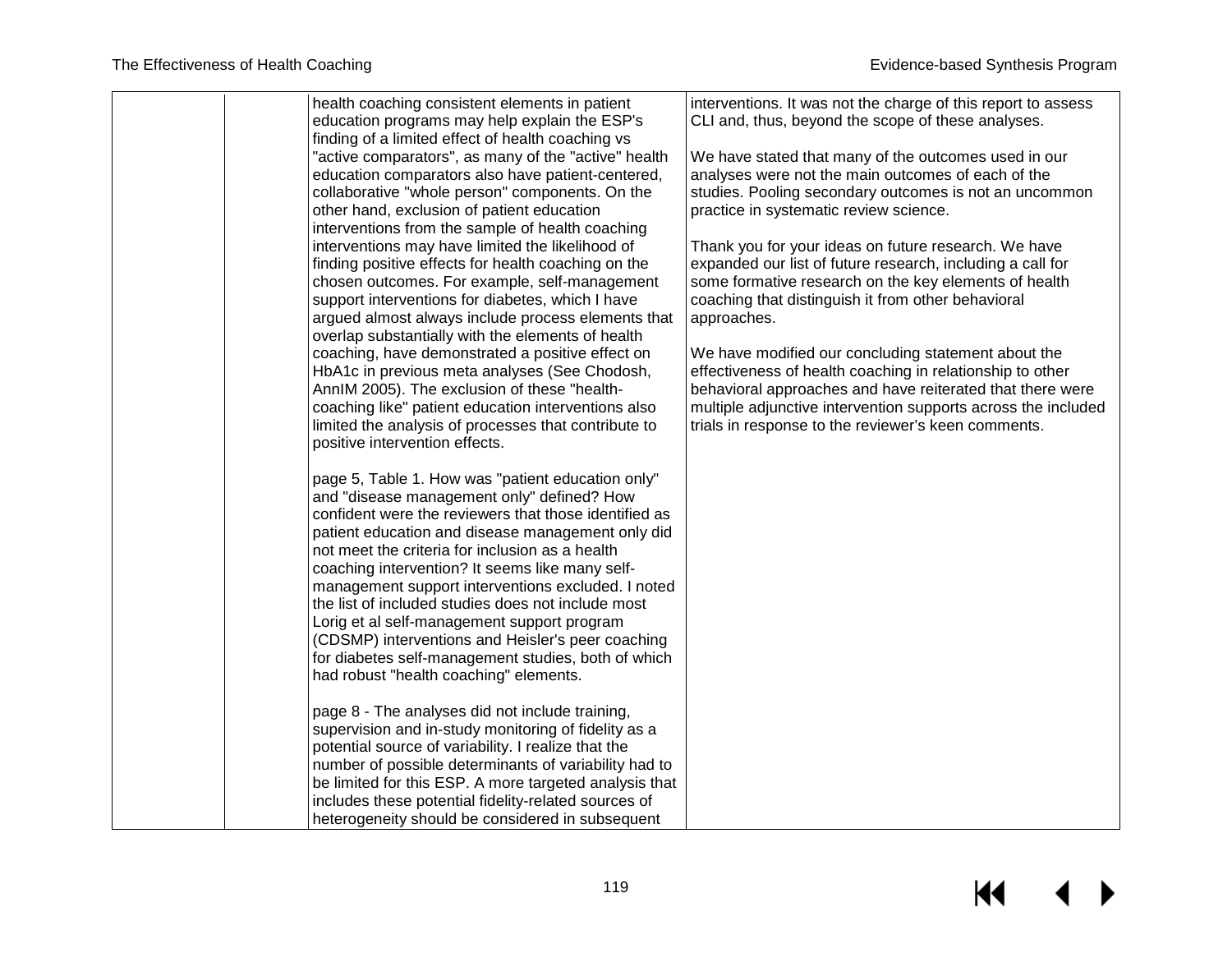| health coaching consistent elements in patient<br>education programs may help explain the ESP's<br>finding of a limited effect of health coaching vs<br>"active comparators", as many of the "active" health<br>education comparators also have patient-centered,<br>collaborative "whole person" components. On the<br>other hand, exclusion of patient education<br>interventions from the sample of health coaching<br>interventions may have limited the likelihood of<br>finding positive effects for health coaching on the<br>chosen outcomes. For example, self-management<br>support interventions for diabetes, which I have<br>argued almost always include process elements that<br>overlap substantially with the elements of health<br>coaching, have demonstrated a positive effect on<br>HbA1c in previous meta analyses (See Chodosh,<br>AnnIM 2005). The exclusion of these "health-<br>coaching like" patient education interventions also<br>limited the analysis of processes that contribute to<br>positive intervention effects. | interventions. It was not the charge of this report to assess<br>CLI and, thus, beyond the scope of these analyses.<br>We have stated that many of the outcomes used in our<br>analyses were not the main outcomes of each of the<br>studies. Pooling secondary outcomes is not an uncommon<br>practice in systematic review science.<br>Thank you for your ideas on future research. We have<br>expanded our list of future research, including a call for<br>some formative research on the key elements of health<br>coaching that distinguish it from other behavioral<br>approaches.<br>We have modified our concluding statement about the<br>effectiveness of health coaching in relationship to other<br>behavioral approaches and have reiterated that there were<br>multiple adjunctive intervention supports across the included<br>trials in response to the reviewer's keen comments. |
|---------------------------------------------------------------------------------------------------------------------------------------------------------------------------------------------------------------------------------------------------------------------------------------------------------------------------------------------------------------------------------------------------------------------------------------------------------------------------------------------------------------------------------------------------------------------------------------------------------------------------------------------------------------------------------------------------------------------------------------------------------------------------------------------------------------------------------------------------------------------------------------------------------------------------------------------------------------------------------------------------------------------------------------------------------|----------------------------------------------------------------------------------------------------------------------------------------------------------------------------------------------------------------------------------------------------------------------------------------------------------------------------------------------------------------------------------------------------------------------------------------------------------------------------------------------------------------------------------------------------------------------------------------------------------------------------------------------------------------------------------------------------------------------------------------------------------------------------------------------------------------------------------------------------------------------------------------------------|
| page 5, Table 1. How was "patient education only"<br>and "disease management only" defined? How<br>confident were the reviewers that those identified as<br>patient education and disease management only did<br>not meet the criteria for inclusion as a health<br>coaching intervention? It seems like many self-<br>management support interventions excluded. I noted<br>the list of included studies does not include most<br>Lorig et al self-management support program<br>(CDSMP) interventions and Heisler's peer coaching<br>for diabetes self-management studies, both of which<br>had robust "health coaching" elements.<br>page 8 - The analyses did not include training,<br>supervision and in-study monitoring of fidelity as a<br>potential source of variability. I realize that the<br>number of possible determinants of variability had to<br>be limited for this ESP. A more targeted analysis that<br>includes these potential fidelity-related sources of<br>heterogeneity should be considered in subsequent                   |                                                                                                                                                                                                                                                                                                                                                                                                                                                                                                                                                                                                                                                                                                                                                                                                                                                                                                    |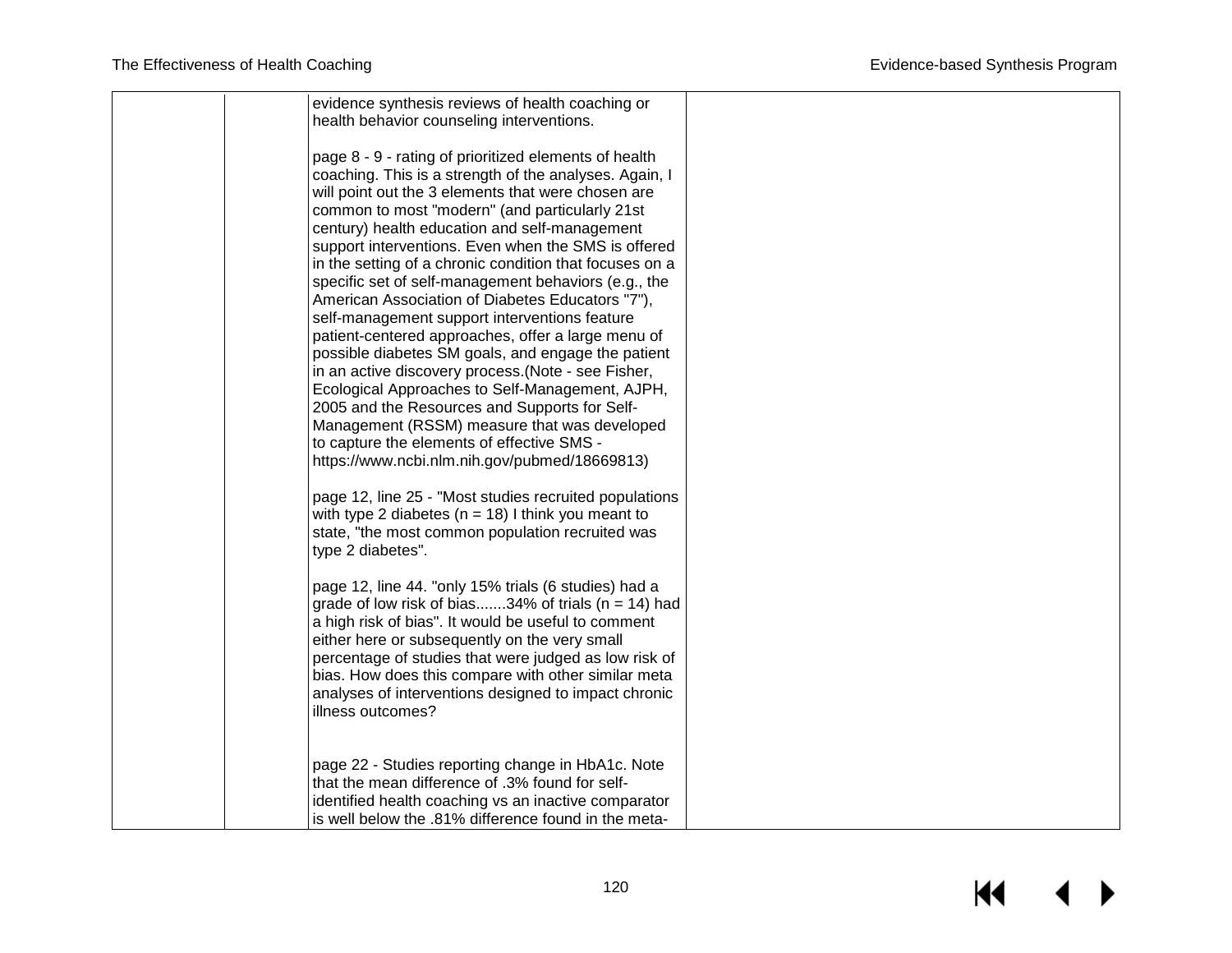| evidence synthesis reviews of health coaching or<br>health behavior counseling interventions.                                                                                                                                                                                                                                                                                                                                                                                                                                                                                                                                                                                                                                                                                                                                                                                                                                |  |
|------------------------------------------------------------------------------------------------------------------------------------------------------------------------------------------------------------------------------------------------------------------------------------------------------------------------------------------------------------------------------------------------------------------------------------------------------------------------------------------------------------------------------------------------------------------------------------------------------------------------------------------------------------------------------------------------------------------------------------------------------------------------------------------------------------------------------------------------------------------------------------------------------------------------------|--|
| page 8 - 9 - rating of prioritized elements of health<br>coaching. This is a strength of the analyses. Again, I<br>will point out the 3 elements that were chosen are<br>common to most "modern" (and particularly 21st<br>century) health education and self-management<br>support interventions. Even when the SMS is offered<br>in the setting of a chronic condition that focuses on a<br>specific set of self-management behaviors (e.g., the<br>American Association of Diabetes Educators "7"),<br>self-management support interventions feature<br>patient-centered approaches, offer a large menu of<br>possible diabetes SM goals, and engage the patient<br>in an active discovery process. (Note - see Fisher,<br>Ecological Approaches to Self-Management, AJPH,<br>2005 and the Resources and Supports for Self-<br>Management (RSSM) measure that was developed<br>to capture the elements of effective SMS - |  |
| https://www.ncbi.nlm.nih.gov/pubmed/18669813)<br>page 12, line 25 - "Most studies recruited populations<br>with type 2 diabetes ( $n = 18$ ) I think you meant to<br>state, "the most common population recruited was<br>type 2 diabetes".                                                                                                                                                                                                                                                                                                                                                                                                                                                                                                                                                                                                                                                                                   |  |
| page 12, line 44. "only 15% trials (6 studies) had a<br>grade of low risk of bias34% of trials ( $n = 14$ ) had<br>a high risk of bias". It would be useful to comment<br>either here or subsequently on the very small<br>percentage of studies that were judged as low risk of<br>bias. How does this compare with other similar meta<br>analyses of interventions designed to impact chronic<br>illness outcomes?                                                                                                                                                                                                                                                                                                                                                                                                                                                                                                         |  |
| page 22 - Studies reporting change in HbA1c. Note<br>that the mean difference of .3% found for self-<br>identified health coaching vs an inactive comparator<br>is well below the .81% difference found in the meta-                                                                                                                                                                                                                                                                                                                                                                                                                                                                                                                                                                                                                                                                                                         |  |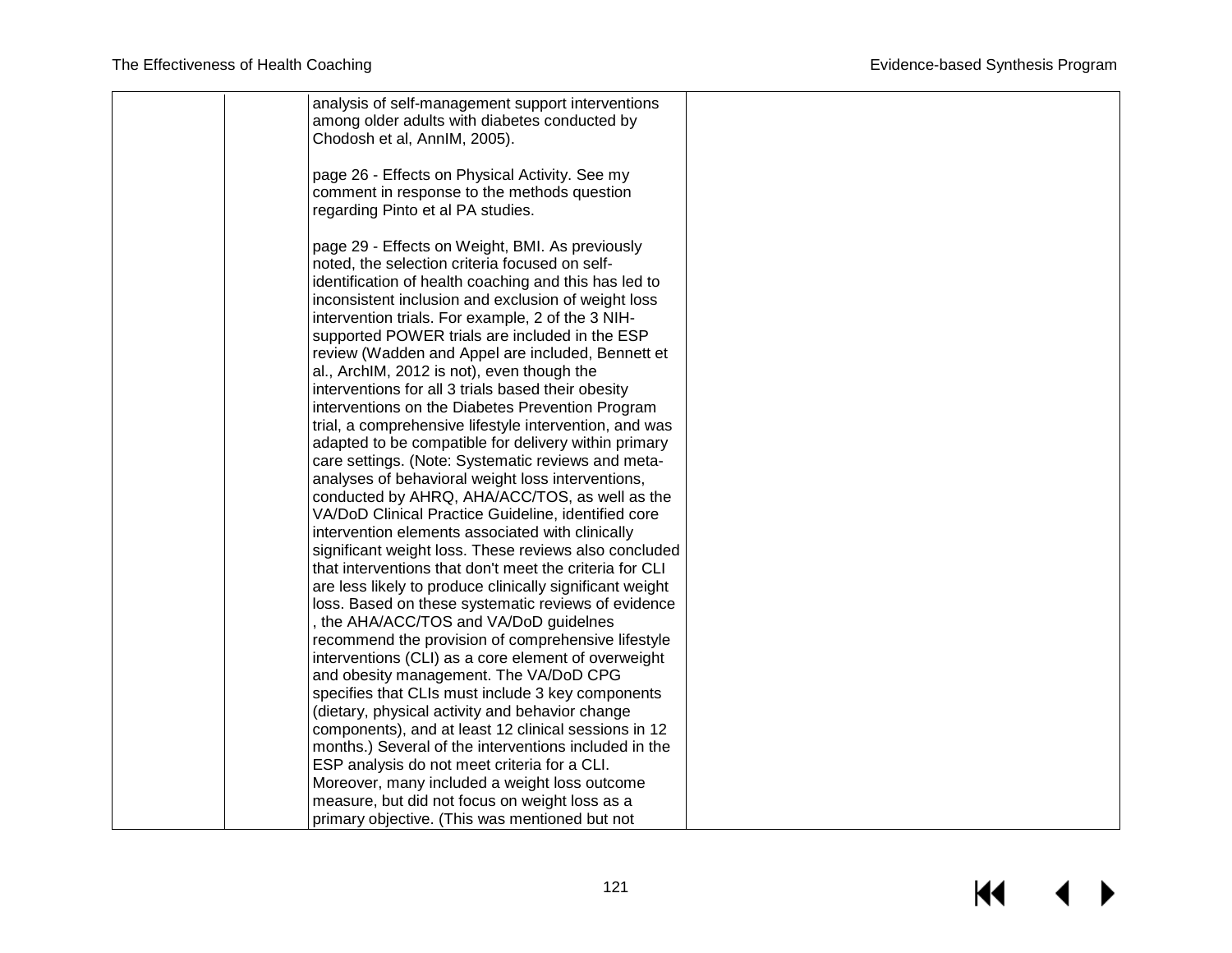|  | analysis of self-management support interventions        |  |
|--|----------------------------------------------------------|--|
|  | among older adults with diabetes conducted by            |  |
|  | Chodosh et al, AnnIM, 2005).                             |  |
|  |                                                          |  |
|  | page 26 - Effects on Physical Activity. See my           |  |
|  | comment in response to the methods question              |  |
|  | regarding Pinto et al PA studies.                        |  |
|  |                                                          |  |
|  | page 29 - Effects on Weight, BMI. As previously          |  |
|  | noted, the selection criteria focused on self-           |  |
|  | identification of health coaching and this has led to    |  |
|  | inconsistent inclusion and exclusion of weight loss      |  |
|  | intervention trials. For example, 2 of the 3 NIH-        |  |
|  | supported POWER trials are included in the ESP           |  |
|  | review (Wadden and Appel are included, Bennett et        |  |
|  | al., ArchIM, 2012 is not), even though the               |  |
|  | interventions for all 3 trials based their obesity       |  |
|  | interventions on the Diabetes Prevention Program         |  |
|  | trial, a comprehensive lifestyle intervention, and was   |  |
|  | adapted to be compatible for delivery within primary     |  |
|  | care settings. (Note: Systematic reviews and meta-       |  |
|  | analyses of behavioral weight loss interventions,        |  |
|  | conducted by AHRQ, AHA/ACC/TOS, as well as the           |  |
|  | VA/DoD Clinical Practice Guideline, identified core      |  |
|  | intervention elements associated with clinically         |  |
|  | significant weight loss. These reviews also concluded    |  |
|  | that interventions that don't meet the criteria for CLI  |  |
|  | are less likely to produce clinically significant weight |  |
|  | loss. Based on these systematic reviews of evidence      |  |
|  | , the AHA/ACC/TOS and VA/DoD guidelnes                   |  |
|  | recommend the provision of comprehensive lifestyle       |  |
|  | interventions (CLI) as a core element of overweight      |  |
|  | and obesity management. The VA/DoD CPG                   |  |
|  | specifies that CLIs must include 3 key components        |  |
|  | (dietary, physical activity and behavior change          |  |
|  | components), and at least 12 clinical sessions in 12     |  |
|  | months.) Several of the interventions included in the    |  |
|  | ESP analysis do not meet criteria for a CLI.             |  |
|  | Moreover, many included a weight loss outcome            |  |
|  | measure, but did not focus on weight loss as a           |  |
|  | primary objective. (This was mentioned but not           |  |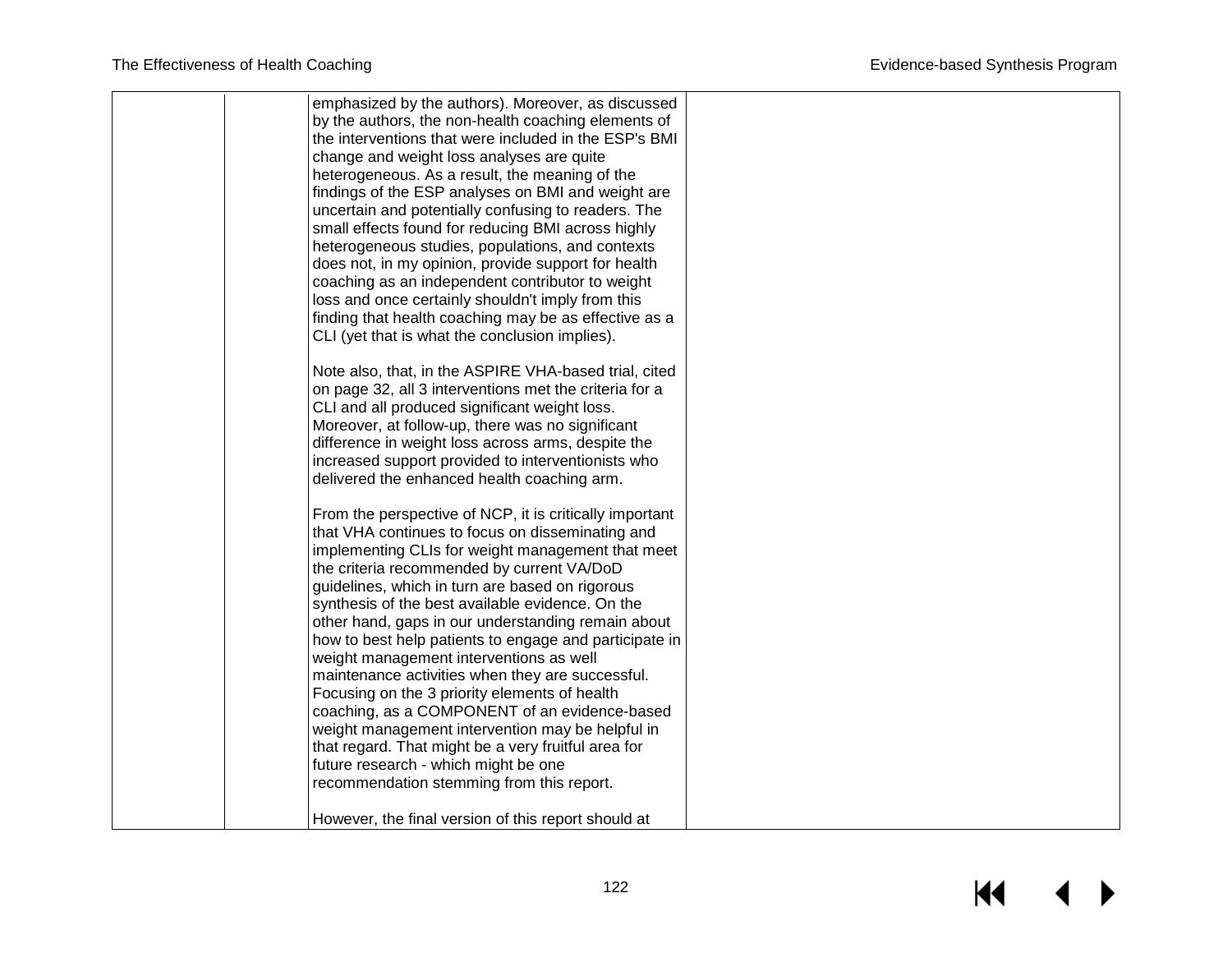|  | emphasized by the authors). Moreover, as discussed<br>by the authors, the non-health coaching elements of |  |
|--|-----------------------------------------------------------------------------------------------------------|--|
|  | the interventions that were included in the ESP's BMI                                                     |  |
|  | change and weight loss analyses are quite                                                                 |  |
|  | heterogeneous. As a result, the meaning of the                                                            |  |
|  | findings of the ESP analyses on BMI and weight are                                                        |  |
|  | uncertain and potentially confusing to readers. The                                                       |  |
|  | small effects found for reducing BMI across highly                                                        |  |
|  | heterogeneous studies, populations, and contexts                                                          |  |
|  | does not, in my opinion, provide support for health                                                       |  |
|  | coaching as an independent contributor to weight                                                          |  |
|  | loss and once certainly shouldn't imply from this                                                         |  |
|  | finding that health coaching may be as effective as a                                                     |  |
|  | CLI (yet that is what the conclusion implies).                                                            |  |
|  | Note also, that, in the ASPIRE VHA-based trial, cited                                                     |  |
|  | on page 32, all 3 interventions met the criteria for a                                                    |  |
|  | CLI and all produced significant weight loss.                                                             |  |
|  | Moreover, at follow-up, there was no significant                                                          |  |
|  | difference in weight loss across arms, despite the                                                        |  |
|  | increased support provided to interventionists who                                                        |  |
|  | delivered the enhanced health coaching arm.                                                               |  |
|  | From the perspective of NCP, it is critically important                                                   |  |
|  | that VHA continues to focus on disseminating and                                                          |  |
|  | implementing CLIs for weight management that meet                                                         |  |
|  | the criteria recommended by current VA/DoD                                                                |  |
|  | guidelines, which in turn are based on rigorous                                                           |  |
|  | synthesis of the best available evidence. On the                                                          |  |
|  | other hand, gaps in our understanding remain about                                                        |  |
|  | how to best help patients to engage and participate in                                                    |  |
|  | weight management interventions as well<br>maintenance activities when they are successful.               |  |
|  | Focusing on the 3 priority elements of health                                                             |  |
|  | coaching, as a COMPONENT of an evidence-based                                                             |  |
|  | weight management intervention may be helpful in                                                          |  |
|  | that regard. That might be a very fruitful area for                                                       |  |
|  | future research - which might be one                                                                      |  |
|  | recommendation stemming from this report.                                                                 |  |
|  |                                                                                                           |  |
|  | However, the final version of this report should at                                                       |  |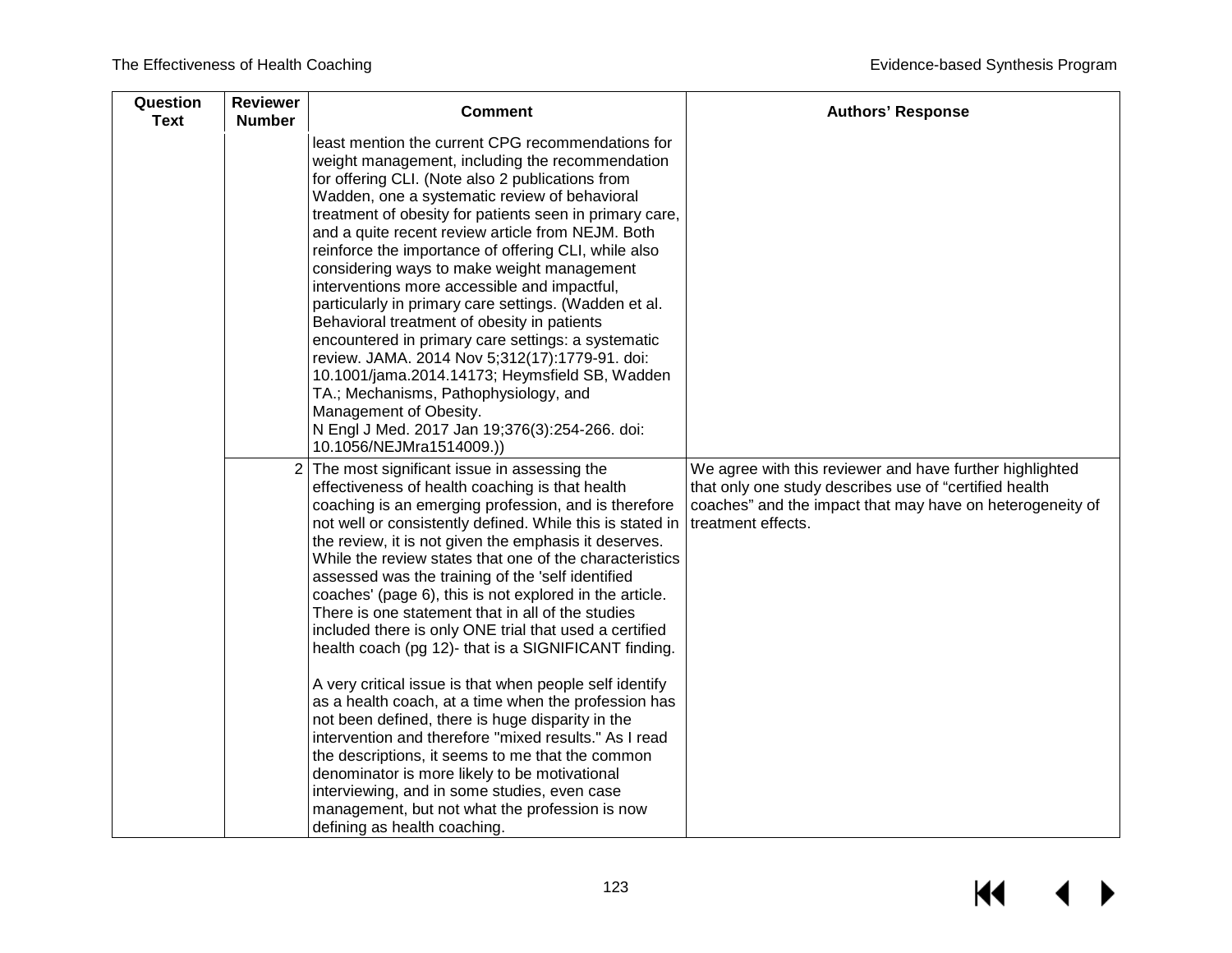| Question<br><b>Text</b> | <b>Reviewer</b><br><b>Number</b> | <b>Comment</b>                                                                                                                                                                                                                                                                                                                                                                                                                                                                                                                                                                                                                                                                                                                                                                                                                                                                                                                                                                                                                                                                                        | <b>Authors' Response</b>                                                                                                                                                                              |
|-------------------------|----------------------------------|-------------------------------------------------------------------------------------------------------------------------------------------------------------------------------------------------------------------------------------------------------------------------------------------------------------------------------------------------------------------------------------------------------------------------------------------------------------------------------------------------------------------------------------------------------------------------------------------------------------------------------------------------------------------------------------------------------------------------------------------------------------------------------------------------------------------------------------------------------------------------------------------------------------------------------------------------------------------------------------------------------------------------------------------------------------------------------------------------------|-------------------------------------------------------------------------------------------------------------------------------------------------------------------------------------------------------|
|                         |                                  | least mention the current CPG recommendations for<br>weight management, including the recommendation<br>for offering CLI. (Note also 2 publications from<br>Wadden, one a systematic review of behavioral<br>treatment of obesity for patients seen in primary care,<br>and a quite recent review article from NEJM. Both<br>reinforce the importance of offering CLI, while also<br>considering ways to make weight management<br>interventions more accessible and impactful,<br>particularly in primary care settings. (Wadden et al.<br>Behavioral treatment of obesity in patients<br>encountered in primary care settings: a systematic<br>review. JAMA. 2014 Nov 5;312(17):1779-91. doi:<br>10.1001/jama.2014.14173; Heymsfield SB, Wadden<br>TA.; Mechanisms, Pathophysiology, and<br>Management of Obesity.<br>N Engl J Med. 2017 Jan 19;376(3):254-266. doi:<br>10.1056/NEJMra1514009.))                                                                                                                                                                                                    |                                                                                                                                                                                                       |
|                         | $\overline{2}$                   | The most significant issue in assessing the<br>effectiveness of health coaching is that health<br>coaching is an emerging profession, and is therefore<br>not well or consistently defined. While this is stated in<br>the review, it is not given the emphasis it deserves.<br>While the review states that one of the characteristics<br>assessed was the training of the 'self identified<br>coaches' (page 6), this is not explored in the article.<br>There is one statement that in all of the studies<br>included there is only ONE trial that used a certified<br>health coach (pg 12)- that is a SIGNIFICANT finding.<br>A very critical issue is that when people self identify<br>as a health coach, at a time when the profession has<br>not been defined, there is huge disparity in the<br>intervention and therefore "mixed results." As I read<br>the descriptions, it seems to me that the common<br>denominator is more likely to be motivational<br>interviewing, and in some studies, even case<br>management, but not what the profession is now<br>defining as health coaching. | We agree with this reviewer and have further highlighted<br>that only one study describes use of "certified health<br>coaches" and the impact that may have on heterogeneity of<br>treatment effects. |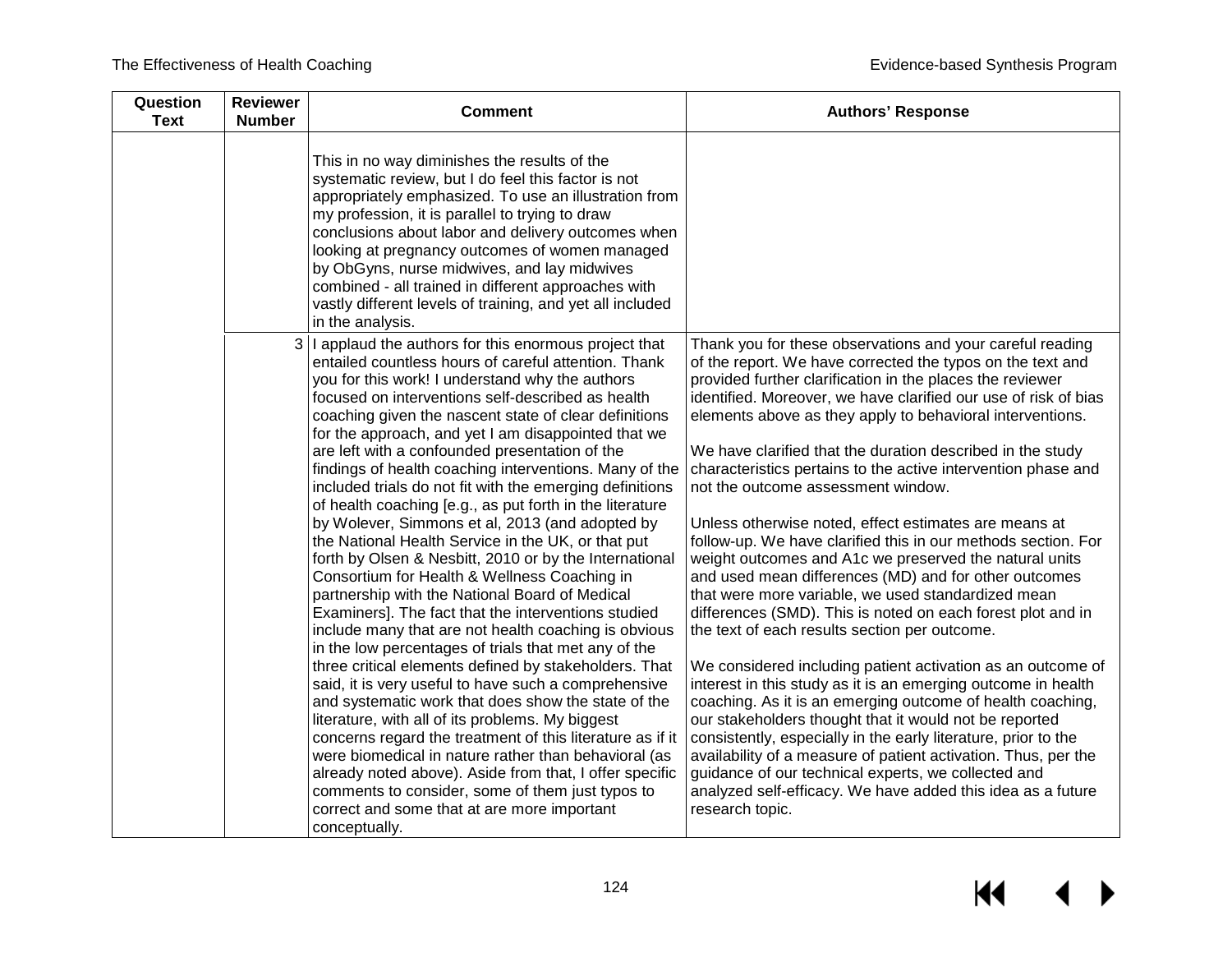| Question<br><b>Text</b> | <b>Reviewer</b><br><b>Number</b> | <b>Comment</b>                                                                                                                                                                                                                                                                                                                                                                                                                                                                                                                                                                                                                                                                                                                                                                                                                                                                                                                                                                                                                                                                                                                                                                                                                                                                                                                                                                                                                                                                                                                                       | <b>Authors' Response</b>                                                                                                                                                                                                                                                                                                                                                                                                                                                                                                                                                                                                                                                                                                                                                                                                                                                                                                                                                                                                                                                                                                                                                                                                                                                                                                                                                                                                                          |
|-------------------------|----------------------------------|------------------------------------------------------------------------------------------------------------------------------------------------------------------------------------------------------------------------------------------------------------------------------------------------------------------------------------------------------------------------------------------------------------------------------------------------------------------------------------------------------------------------------------------------------------------------------------------------------------------------------------------------------------------------------------------------------------------------------------------------------------------------------------------------------------------------------------------------------------------------------------------------------------------------------------------------------------------------------------------------------------------------------------------------------------------------------------------------------------------------------------------------------------------------------------------------------------------------------------------------------------------------------------------------------------------------------------------------------------------------------------------------------------------------------------------------------------------------------------------------------------------------------------------------------|---------------------------------------------------------------------------------------------------------------------------------------------------------------------------------------------------------------------------------------------------------------------------------------------------------------------------------------------------------------------------------------------------------------------------------------------------------------------------------------------------------------------------------------------------------------------------------------------------------------------------------------------------------------------------------------------------------------------------------------------------------------------------------------------------------------------------------------------------------------------------------------------------------------------------------------------------------------------------------------------------------------------------------------------------------------------------------------------------------------------------------------------------------------------------------------------------------------------------------------------------------------------------------------------------------------------------------------------------------------------------------------------------------------------------------------------------|
|                         |                                  | This in no way diminishes the results of the<br>systematic review, but I do feel this factor is not<br>appropriately emphasized. To use an illustration from<br>my profession, it is parallel to trying to draw<br>conclusions about labor and delivery outcomes when<br>looking at pregnancy outcomes of women managed<br>by ObGyns, nurse midwives, and lay midwives<br>combined - all trained in different approaches with<br>vastly different levels of training, and yet all included<br>in the analysis.                                                                                                                                                                                                                                                                                                                                                                                                                                                                                                                                                                                                                                                                                                                                                                                                                                                                                                                                                                                                                                       |                                                                                                                                                                                                                                                                                                                                                                                                                                                                                                                                                                                                                                                                                                                                                                                                                                                                                                                                                                                                                                                                                                                                                                                                                                                                                                                                                                                                                                                   |
|                         | 3                                | I applaud the authors for this enormous project that<br>entailed countless hours of careful attention. Thank<br>you for this work! I understand why the authors<br>focused on interventions self-described as health<br>coaching given the nascent state of clear definitions<br>for the approach, and yet I am disappointed that we<br>are left with a confounded presentation of the<br>findings of health coaching interventions. Many of the<br>included trials do not fit with the emerging definitions<br>of health coaching [e.g., as put forth in the literature<br>by Wolever, Simmons et al, 2013 (and adopted by<br>the National Health Service in the UK, or that put<br>forth by Olsen & Nesbitt, 2010 or by the International<br>Consortium for Health & Wellness Coaching in<br>partnership with the National Board of Medical<br>Examiners]. The fact that the interventions studied<br>include many that are not health coaching is obvious<br>in the low percentages of trials that met any of the<br>three critical elements defined by stakeholders. That<br>said, it is very useful to have such a comprehensive<br>and systematic work that does show the state of the<br>literature, with all of its problems. My biggest<br>concerns regard the treatment of this literature as if it<br>were biomedical in nature rather than behavioral (as<br>already noted above). Aside from that, I offer specific<br>comments to consider, some of them just typos to<br>correct and some that at are more important<br>conceptually. | Thank you for these observations and your careful reading<br>of the report. We have corrected the typos on the text and<br>provided further clarification in the places the reviewer<br>identified. Moreover, we have clarified our use of risk of bias<br>elements above as they apply to behavioral interventions.<br>We have clarified that the duration described in the study<br>characteristics pertains to the active intervention phase and<br>not the outcome assessment window.<br>Unless otherwise noted, effect estimates are means at<br>follow-up. We have clarified this in our methods section. For<br>weight outcomes and A1c we preserved the natural units<br>and used mean differences (MD) and for other outcomes<br>that were more variable, we used standardized mean<br>differences (SMD). This is noted on each forest plot and in<br>the text of each results section per outcome.<br>We considered including patient activation as an outcome of<br>interest in this study as it is an emerging outcome in health<br>coaching. As it is an emerging outcome of health coaching,<br>our stakeholders thought that it would not be reported<br>consistently, especially in the early literature, prior to the<br>availability of a measure of patient activation. Thus, per the<br>guidance of our technical experts, we collected and<br>analyzed self-efficacy. We have added this idea as a future<br>research topic. |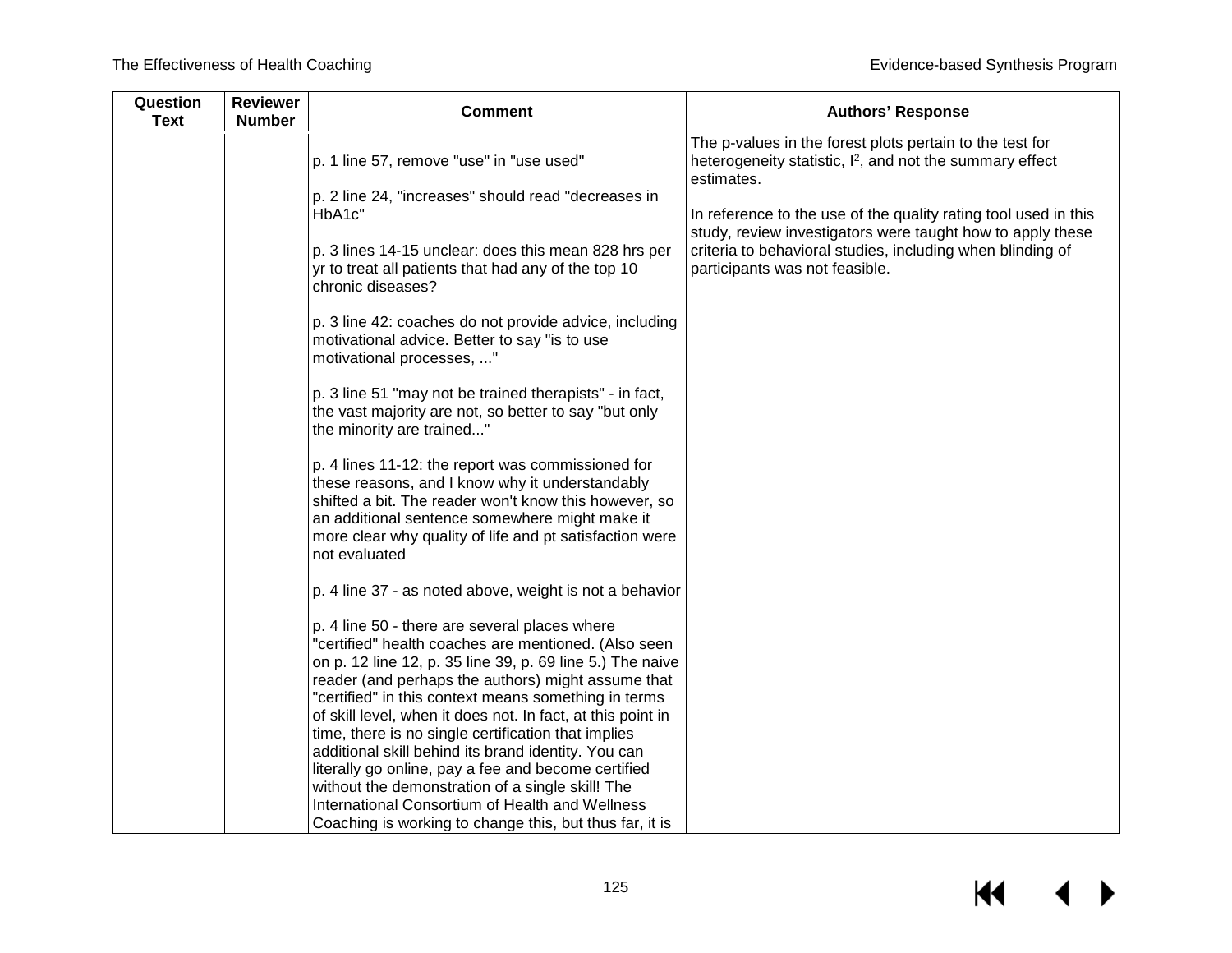| Question<br><b>Text</b> | <b>Reviewer</b><br><b>Number</b> | <b>Comment</b>                                                                                                                                                                                                                                                                                                                                                                                                                                                                                                       | <b>Authors' Response</b>                                                                                                                       |
|-------------------------|----------------------------------|----------------------------------------------------------------------------------------------------------------------------------------------------------------------------------------------------------------------------------------------------------------------------------------------------------------------------------------------------------------------------------------------------------------------------------------------------------------------------------------------------------------------|------------------------------------------------------------------------------------------------------------------------------------------------|
|                         |                                  | p. 1 line 57, remove "use" in "use used"                                                                                                                                                                                                                                                                                                                                                                                                                                                                             | The p-values in the forest plots pertain to the test for<br>heterogeneity statistic, I <sup>2</sup> , and not the summary effect<br>estimates. |
|                         |                                  | p. 2 line 24, "increases" should read "decreases in<br>HbA1c"                                                                                                                                                                                                                                                                                                                                                                                                                                                        | In reference to the use of the quality rating tool used in this<br>study, review investigators were taught how to apply these                  |
|                         |                                  | p. 3 lines 14-15 unclear: does this mean 828 hrs per<br>yr to treat all patients that had any of the top 10<br>chronic diseases?                                                                                                                                                                                                                                                                                                                                                                                     | criteria to behavioral studies, including when blinding of<br>participants was not feasible.                                                   |
|                         |                                  | p. 3 line 42: coaches do not provide advice, including<br>motivational advice. Better to say "is to use<br>motivational processes, "                                                                                                                                                                                                                                                                                                                                                                                 |                                                                                                                                                |
|                         |                                  | p. 3 line 51 "may not be trained therapists" - in fact,<br>the vast majority are not, so better to say "but only<br>the minority are trained"                                                                                                                                                                                                                                                                                                                                                                        |                                                                                                                                                |
|                         |                                  | p. 4 lines 11-12: the report was commissioned for<br>these reasons, and I know why it understandably<br>shifted a bit. The reader won't know this however, so<br>an additional sentence somewhere might make it<br>more clear why quality of life and pt satisfaction were<br>not evaluated                                                                                                                                                                                                                          |                                                                                                                                                |
|                         |                                  | p. 4 line 37 - as noted above, weight is not a behavior                                                                                                                                                                                                                                                                                                                                                                                                                                                              |                                                                                                                                                |
|                         |                                  | p. 4 line 50 - there are several places where<br>"certified" health coaches are mentioned. (Also seen<br>on p. 12 line 12, p. 35 line 39, p. 69 line 5.) The naive<br>reader (and perhaps the authors) might assume that<br>"certified" in this context means something in terms<br>of skill level, when it does not. In fact, at this point in<br>time, there is no single certification that implies<br>additional skill behind its brand identity. You can<br>literally go online, pay a fee and become certified |                                                                                                                                                |
|                         |                                  | without the demonstration of a single skill! The<br>International Consortium of Health and Wellness<br>Coaching is working to change this, but thus far, it is                                                                                                                                                                                                                                                                                                                                                       |                                                                                                                                                |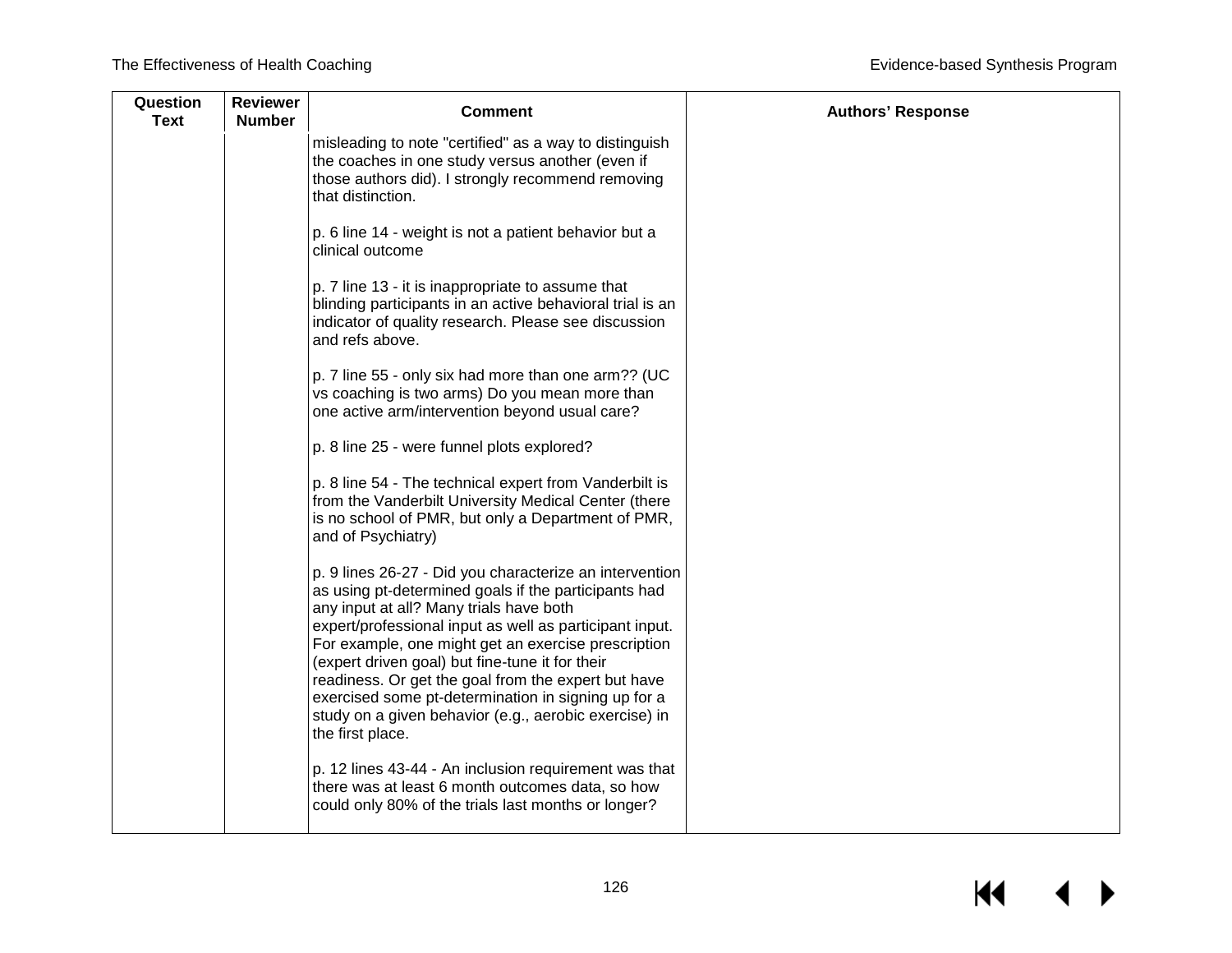| Question<br><b>Text</b> | <b>Reviewer</b><br><b>Number</b> | <b>Comment</b>                                                                                                                                                                                                                                                                                                                                                                                                                                                                                                             | <b>Authors' Response</b> |
|-------------------------|----------------------------------|----------------------------------------------------------------------------------------------------------------------------------------------------------------------------------------------------------------------------------------------------------------------------------------------------------------------------------------------------------------------------------------------------------------------------------------------------------------------------------------------------------------------------|--------------------------|
|                         |                                  | misleading to note "certified" as a way to distinguish<br>the coaches in one study versus another (even if<br>those authors did). I strongly recommend removing<br>that distinction.                                                                                                                                                                                                                                                                                                                                       |                          |
|                         |                                  | p. 6 line 14 - weight is not a patient behavior but a<br>clinical outcome                                                                                                                                                                                                                                                                                                                                                                                                                                                  |                          |
|                         |                                  | p. 7 line 13 - it is inappropriate to assume that<br>blinding participants in an active behavioral trial is an<br>indicator of quality research. Please see discussion<br>and refs above.                                                                                                                                                                                                                                                                                                                                  |                          |
|                         |                                  | p. 7 line 55 - only six had more than one arm?? (UC<br>vs coaching is two arms) Do you mean more than<br>one active arm/intervention beyond usual care?                                                                                                                                                                                                                                                                                                                                                                    |                          |
|                         |                                  | p. 8 line 25 - were funnel plots explored?                                                                                                                                                                                                                                                                                                                                                                                                                                                                                 |                          |
|                         |                                  | p. 8 line 54 - The technical expert from Vanderbilt is<br>from the Vanderbilt University Medical Center (there<br>is no school of PMR, but only a Department of PMR,<br>and of Psychiatry)                                                                                                                                                                                                                                                                                                                                 |                          |
|                         |                                  | p. 9 lines 26-27 - Did you characterize an intervention<br>as using pt-determined goals if the participants had<br>any input at all? Many trials have both<br>expert/professional input as well as participant input.<br>For example, one might get an exercise prescription<br>(expert driven goal) but fine-tune it for their<br>readiness. Or get the goal from the expert but have<br>exercised some pt-determination in signing up for a<br>study on a given behavior (e.g., aerobic exercise) in<br>the first place. |                          |
|                         |                                  | p. 12 lines 43-44 - An inclusion requirement was that<br>there was at least 6 month outcomes data, so how<br>could only 80% of the trials last months or longer?                                                                                                                                                                                                                                                                                                                                                           |                          |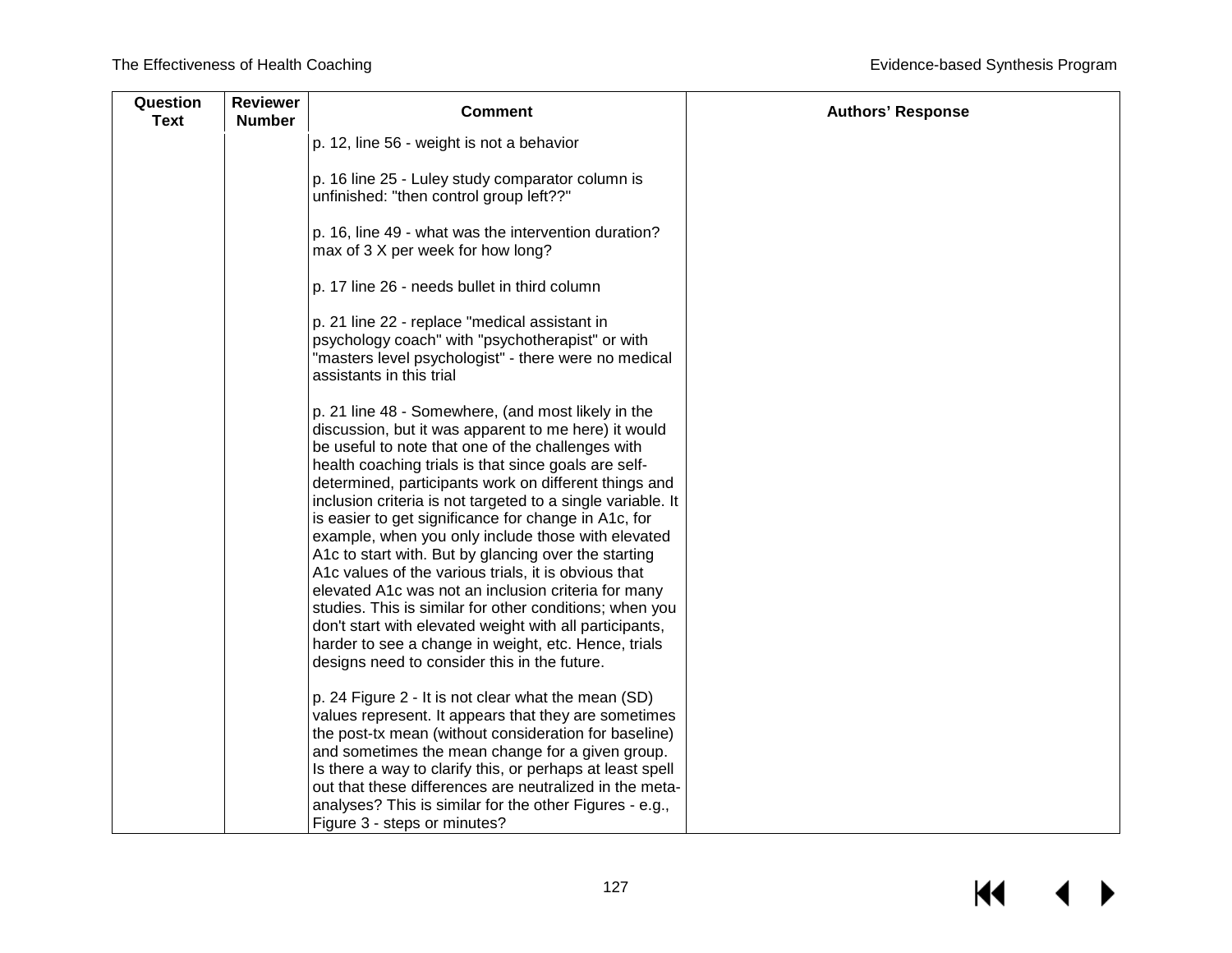| Question<br><b>Text</b> | <b>Reviewer</b><br><b>Number</b> | <b>Comment</b>                                                                                                                                                                                                                                                                                                                                                                                                                                                                                                                                                                                                                                                                                                                                                                                                                                                     | <b>Authors' Response</b> |
|-------------------------|----------------------------------|--------------------------------------------------------------------------------------------------------------------------------------------------------------------------------------------------------------------------------------------------------------------------------------------------------------------------------------------------------------------------------------------------------------------------------------------------------------------------------------------------------------------------------------------------------------------------------------------------------------------------------------------------------------------------------------------------------------------------------------------------------------------------------------------------------------------------------------------------------------------|--------------------------|
|                         |                                  | p. 12, line 56 - weight is not a behavior                                                                                                                                                                                                                                                                                                                                                                                                                                                                                                                                                                                                                                                                                                                                                                                                                          |                          |
|                         |                                  | p. 16 line 25 - Luley study comparator column is<br>unfinished: "then control group left??"                                                                                                                                                                                                                                                                                                                                                                                                                                                                                                                                                                                                                                                                                                                                                                        |                          |
|                         |                                  | p. 16, line 49 - what was the intervention duration?<br>max of 3 X per week for how long?                                                                                                                                                                                                                                                                                                                                                                                                                                                                                                                                                                                                                                                                                                                                                                          |                          |
|                         |                                  | p. 17 line 26 - needs bullet in third column                                                                                                                                                                                                                                                                                                                                                                                                                                                                                                                                                                                                                                                                                                                                                                                                                       |                          |
|                         |                                  | p. 21 line 22 - replace "medical assistant in<br>psychology coach" with "psychotherapist" or with<br>"masters level psychologist" - there were no medical<br>assistants in this trial                                                                                                                                                                                                                                                                                                                                                                                                                                                                                                                                                                                                                                                                              |                          |
|                         |                                  | p. 21 line 48 - Somewhere, (and most likely in the<br>discussion, but it was apparent to me here) it would<br>be useful to note that one of the challenges with<br>health coaching trials is that since goals are self-<br>determined, participants work on different things and<br>inclusion criteria is not targeted to a single variable. It<br>is easier to get significance for change in A1c, for<br>example, when you only include those with elevated<br>A1c to start with. But by glancing over the starting<br>A1c values of the various trials, it is obvious that<br>elevated A1c was not an inclusion criteria for many<br>studies. This is similar for other conditions; when you<br>don't start with elevated weight with all participants,<br>harder to see a change in weight, etc. Hence, trials<br>designs need to consider this in the future. |                          |
|                         |                                  | p. 24 Figure 2 - It is not clear what the mean (SD)<br>values represent. It appears that they are sometimes<br>the post-tx mean (without consideration for baseline)<br>and sometimes the mean change for a given group.<br>Is there a way to clarify this, or perhaps at least spell<br>out that these differences are neutralized in the meta-<br>analyses? This is similar for the other Figures - e.g.,<br>Figure 3 - steps or minutes?                                                                                                                                                                                                                                                                                                                                                                                                                        |                          |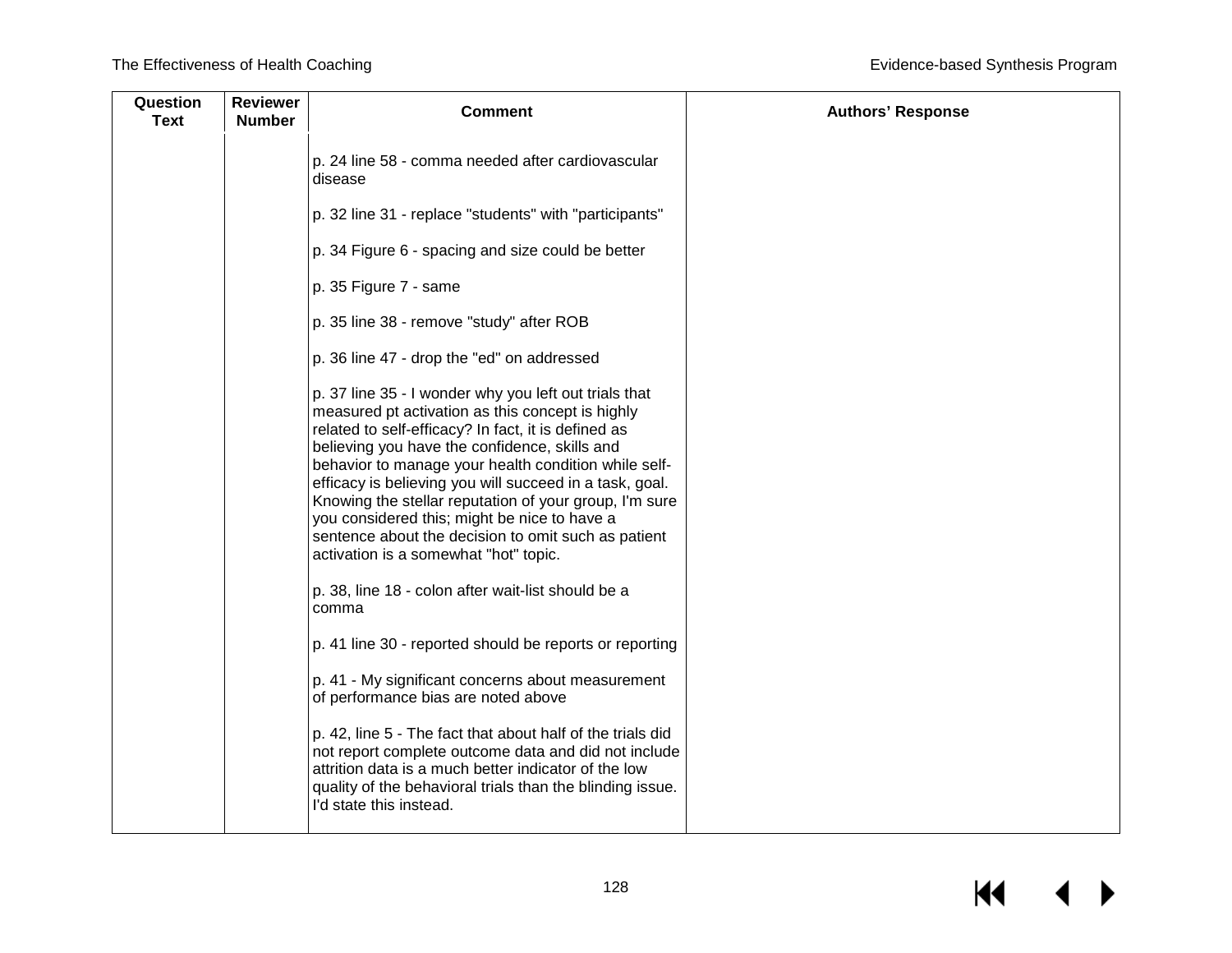| Question<br><b>Text</b> | <b>Reviewer</b><br><b>Number</b> | <b>Comment</b>                                                                                                                                                                                                                                                                                                                                                                                                                                                                                                                                 | <b>Authors' Response</b> |
|-------------------------|----------------------------------|------------------------------------------------------------------------------------------------------------------------------------------------------------------------------------------------------------------------------------------------------------------------------------------------------------------------------------------------------------------------------------------------------------------------------------------------------------------------------------------------------------------------------------------------|--------------------------|
|                         |                                  | p. 24 line 58 - comma needed after cardiovascular<br>disease                                                                                                                                                                                                                                                                                                                                                                                                                                                                                   |                          |
|                         |                                  | p. 32 line 31 - replace "students" with "participants"                                                                                                                                                                                                                                                                                                                                                                                                                                                                                         |                          |
|                         |                                  | p. 34 Figure 6 - spacing and size could be better                                                                                                                                                                                                                                                                                                                                                                                                                                                                                              |                          |
|                         |                                  | p. 35 Figure 7 - same                                                                                                                                                                                                                                                                                                                                                                                                                                                                                                                          |                          |
|                         |                                  | p. 35 line 38 - remove "study" after ROB                                                                                                                                                                                                                                                                                                                                                                                                                                                                                                       |                          |
|                         |                                  | p. 36 line 47 - drop the "ed" on addressed                                                                                                                                                                                                                                                                                                                                                                                                                                                                                                     |                          |
|                         |                                  | p. 37 line 35 - I wonder why you left out trials that<br>measured pt activation as this concept is highly<br>related to self-efficacy? In fact, it is defined as<br>believing you have the confidence, skills and<br>behavior to manage your health condition while self-<br>efficacy is believing you will succeed in a task, goal.<br>Knowing the stellar reputation of your group, I'm sure<br>you considered this; might be nice to have a<br>sentence about the decision to omit such as patient<br>activation is a somewhat "hot" topic. |                          |
|                         |                                  | p. 38, line 18 - colon after wait-list should be a<br>comma                                                                                                                                                                                                                                                                                                                                                                                                                                                                                    |                          |
|                         |                                  | p. 41 line 30 - reported should be reports or reporting                                                                                                                                                                                                                                                                                                                                                                                                                                                                                        |                          |
|                         |                                  | p. 41 - My significant concerns about measurement<br>of performance bias are noted above                                                                                                                                                                                                                                                                                                                                                                                                                                                       |                          |
|                         |                                  | p. 42, line 5 - The fact that about half of the trials did<br>not report complete outcome data and did not include<br>attrition data is a much better indicator of the low<br>quality of the behavioral trials than the blinding issue.<br>I'd state this instead.                                                                                                                                                                                                                                                                             |                          |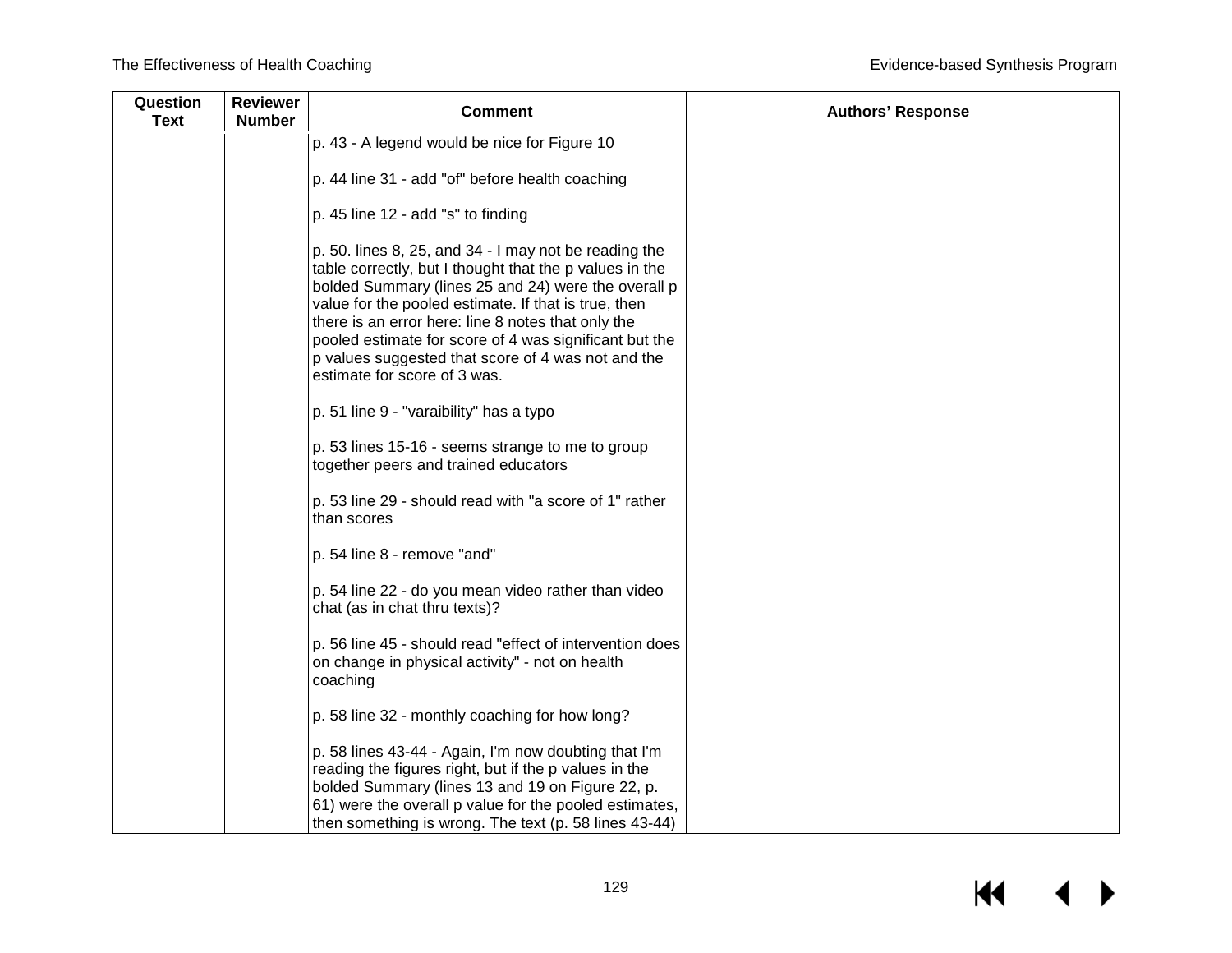| Question<br><b>Text</b> | <b>Reviewer</b><br><b>Number</b> | <b>Comment</b>                                                                                                                                                                                                                                                                                                                                                                                                                        | <b>Authors' Response</b> |
|-------------------------|----------------------------------|---------------------------------------------------------------------------------------------------------------------------------------------------------------------------------------------------------------------------------------------------------------------------------------------------------------------------------------------------------------------------------------------------------------------------------------|--------------------------|
|                         |                                  | p. 43 - A legend would be nice for Figure 10                                                                                                                                                                                                                                                                                                                                                                                          |                          |
|                         |                                  | p. 44 line 31 - add "of" before health coaching                                                                                                                                                                                                                                                                                                                                                                                       |                          |
|                         |                                  | p. 45 line 12 - add "s" to finding                                                                                                                                                                                                                                                                                                                                                                                                    |                          |
|                         |                                  | p. 50. lines 8, 25, and 34 - I may not be reading the<br>table correctly, but I thought that the p values in the<br>bolded Summary (lines 25 and 24) were the overall p<br>value for the pooled estimate. If that is true, then<br>there is an error here: line 8 notes that only the<br>pooled estimate for score of 4 was significant but the<br>p values suggested that score of 4 was not and the<br>estimate for score of 3 was. |                          |
|                         |                                  | p. 51 line 9 - "varaibility" has a typo                                                                                                                                                                                                                                                                                                                                                                                               |                          |
|                         |                                  | p. 53 lines 15-16 - seems strange to me to group<br>together peers and trained educators                                                                                                                                                                                                                                                                                                                                              |                          |
|                         |                                  | p. 53 line 29 - should read with "a score of 1" rather<br>than scores                                                                                                                                                                                                                                                                                                                                                                 |                          |
|                         |                                  | p. 54 line 8 - remove "and"                                                                                                                                                                                                                                                                                                                                                                                                           |                          |
|                         |                                  | p. 54 line 22 - do you mean video rather than video<br>chat (as in chat thru texts)?                                                                                                                                                                                                                                                                                                                                                  |                          |
|                         |                                  | p. 56 line 45 - should read "effect of intervention does<br>on change in physical activity" - not on health<br>coaching                                                                                                                                                                                                                                                                                                               |                          |
|                         |                                  | p. 58 line 32 - monthly coaching for how long?                                                                                                                                                                                                                                                                                                                                                                                        |                          |
|                         |                                  | p. 58 lines 43-44 - Again, I'm now doubting that I'm<br>reading the figures right, but if the p values in the<br>bolded Summary (lines 13 and 19 on Figure 22, p.<br>61) were the overall p value for the pooled estimates,<br>then something is wrong. The text (p. 58 lines 43-44)                                                                                                                                                  |                          |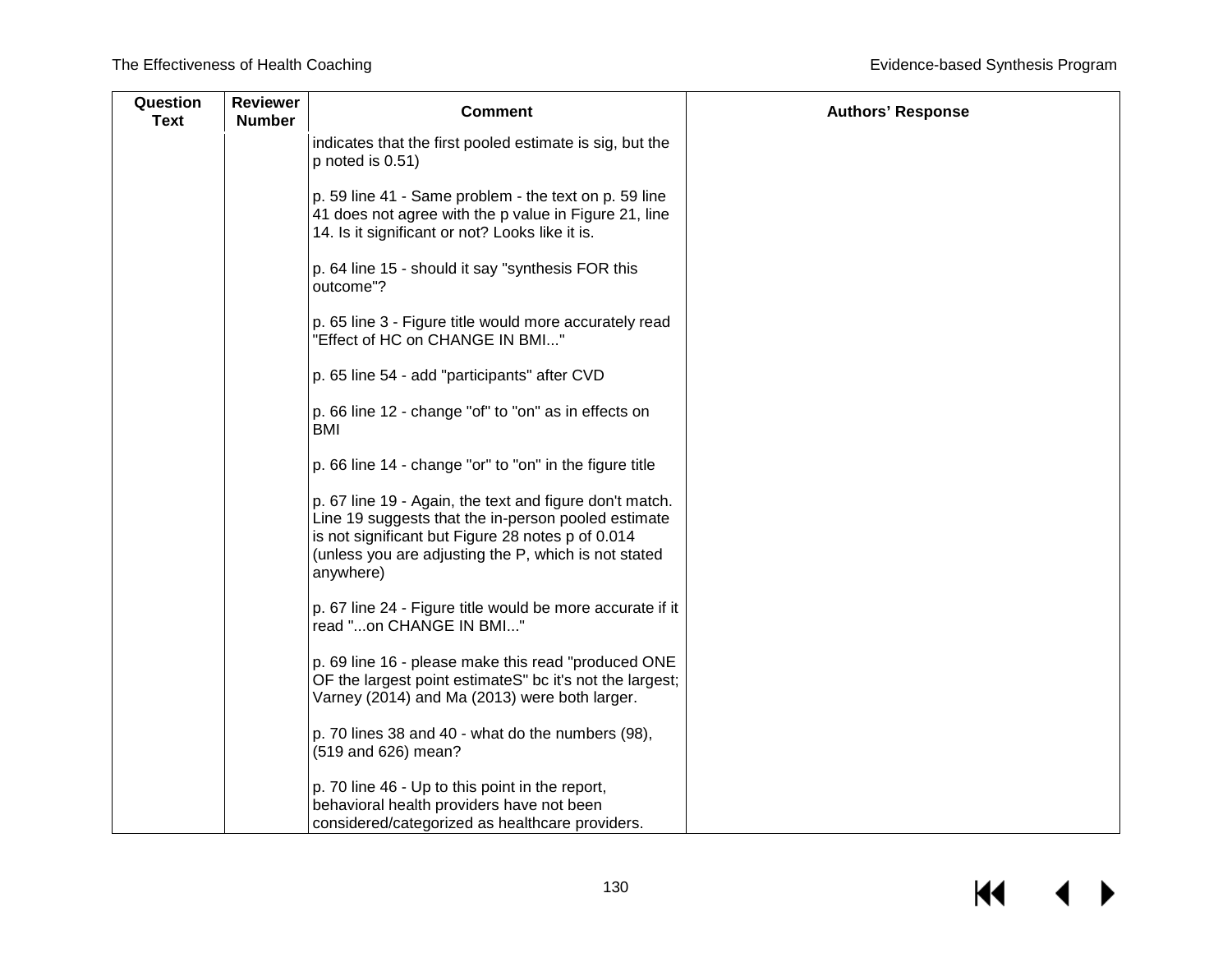| Question<br><b>Text</b> | <b>Reviewer</b><br><b>Number</b> | <b>Comment</b>                                                                                                                                                                                                                           | <b>Authors' Response</b> |
|-------------------------|----------------------------------|------------------------------------------------------------------------------------------------------------------------------------------------------------------------------------------------------------------------------------------|--------------------------|
|                         |                                  | indicates that the first pooled estimate is sig, but the<br>$p$ noted is $0.51$ )                                                                                                                                                        |                          |
|                         |                                  | p. 59 line 41 - Same problem - the text on p. 59 line<br>41 does not agree with the p value in Figure 21, line<br>14. Is it significant or not? Looks like it is.                                                                        |                          |
|                         |                                  | p. 64 line 15 - should it say "synthesis FOR this<br>outcome"?                                                                                                                                                                           |                          |
|                         |                                  | p. 65 line 3 - Figure title would more accurately read<br>"Effect of HC on CHANGE IN BMI"                                                                                                                                                |                          |
|                         |                                  | p. 65 line 54 - add "participants" after CVD                                                                                                                                                                                             |                          |
|                         |                                  | p. 66 line 12 - change "of" to "on" as in effects on<br>BMI                                                                                                                                                                              |                          |
|                         |                                  | p. 66 line 14 - change "or" to "on" in the figure title                                                                                                                                                                                  |                          |
|                         |                                  | p. 67 line 19 - Again, the text and figure don't match.<br>Line 19 suggests that the in-person pooled estimate<br>is not significant but Figure 28 notes p of 0.014<br>(unless you are adjusting the P, which is not stated<br>anywhere) |                          |
|                         |                                  | p. 67 line 24 - Figure title would be more accurate if it<br>read "on CHANGE IN BMI"                                                                                                                                                     |                          |
|                         |                                  | p. 69 line 16 - please make this read "produced ONE<br>OF the largest point estimateS" bc it's not the largest;<br>Varney (2014) and Ma (2013) were both larger.                                                                         |                          |
|                         |                                  | p. 70 lines 38 and 40 - what do the numbers (98),<br>(519 and 626) mean?                                                                                                                                                                 |                          |
|                         |                                  | p. 70 line 46 - Up to this point in the report,<br>behavioral health providers have not been<br>considered/categorized as healthcare providers.                                                                                          |                          |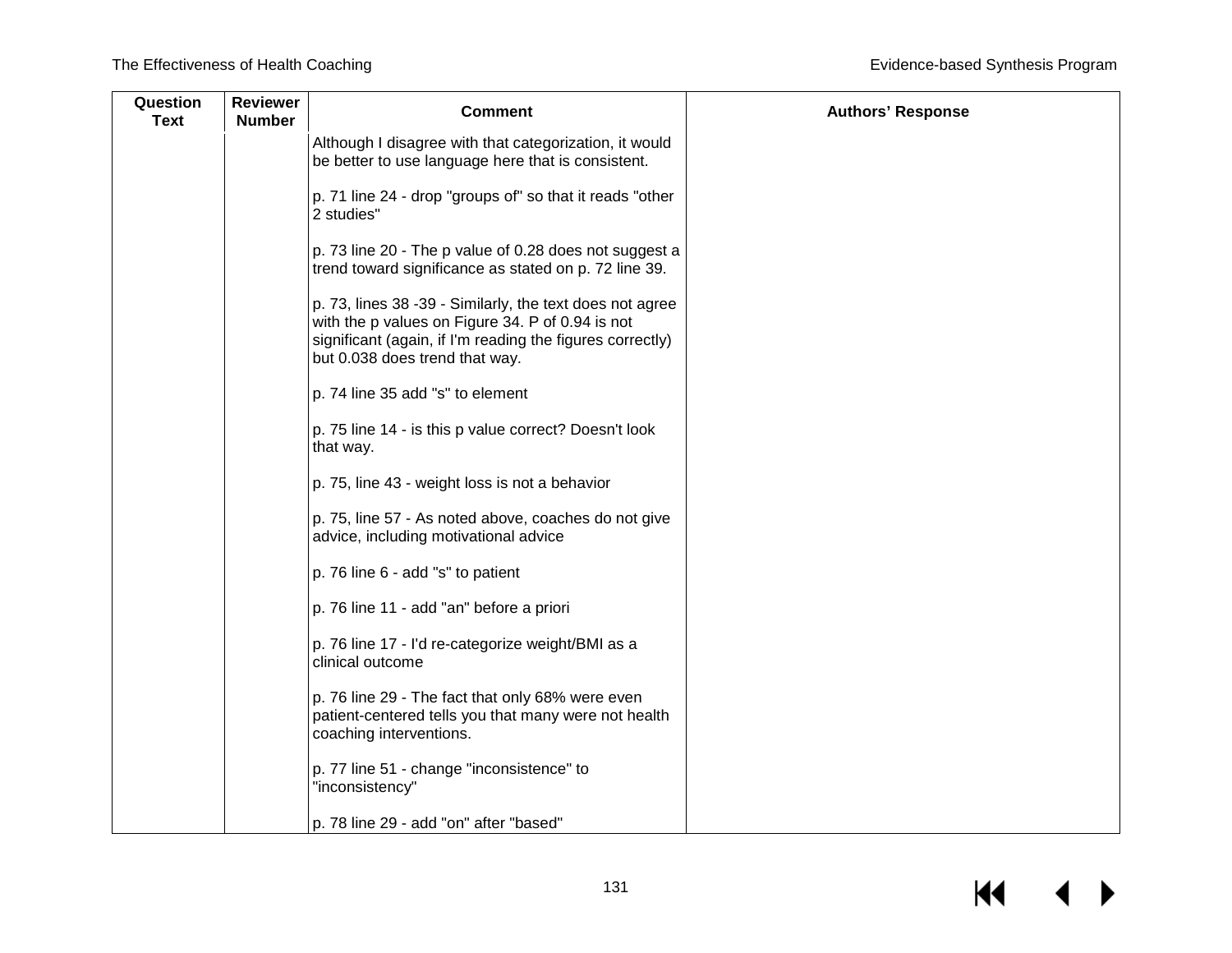| Question<br><b>Text</b> | <b>Reviewer</b><br><b>Number</b> | <b>Comment</b>                                                                                                                                                                                              | <b>Authors' Response</b> |
|-------------------------|----------------------------------|-------------------------------------------------------------------------------------------------------------------------------------------------------------------------------------------------------------|--------------------------|
|                         |                                  | Although I disagree with that categorization, it would<br>be better to use language here that is consistent.                                                                                                |                          |
|                         |                                  | p. 71 line 24 - drop "groups of" so that it reads "other<br>2 studies"                                                                                                                                      |                          |
|                         |                                  | p. 73 line 20 - The p value of 0.28 does not suggest a<br>trend toward significance as stated on p. 72 line 39.                                                                                             |                          |
|                         |                                  | p. 73, lines 38 -39 - Similarly, the text does not agree<br>with the p values on Figure 34. P of 0.94 is not<br>significant (again, if I'm reading the figures correctly)<br>but 0.038 does trend that way. |                          |
|                         |                                  | p. 74 line 35 add "s" to element                                                                                                                                                                            |                          |
|                         |                                  | p. 75 line 14 - is this p value correct? Doesn't look<br>that way.                                                                                                                                          |                          |
|                         |                                  | p. 75, line 43 - weight loss is not a behavior                                                                                                                                                              |                          |
|                         |                                  | p. 75, line 57 - As noted above, coaches do not give<br>advice, including motivational advice                                                                                                               |                          |
|                         |                                  | p. 76 line 6 - add "s" to patient                                                                                                                                                                           |                          |
|                         |                                  | p. 76 line 11 - add "an" before a priori                                                                                                                                                                    |                          |
|                         |                                  | p. 76 line 17 - I'd re-categorize weight/BMI as a<br>clinical outcome                                                                                                                                       |                          |
|                         |                                  | p. 76 line 29 - The fact that only 68% were even<br>patient-centered tells you that many were not health<br>coaching interventions.                                                                         |                          |
|                         |                                  | p. 77 line 51 - change "inconsistence" to<br>"inconsistency"                                                                                                                                                |                          |
|                         |                                  | p. 78 line 29 - add "on" after "based"                                                                                                                                                                      |                          |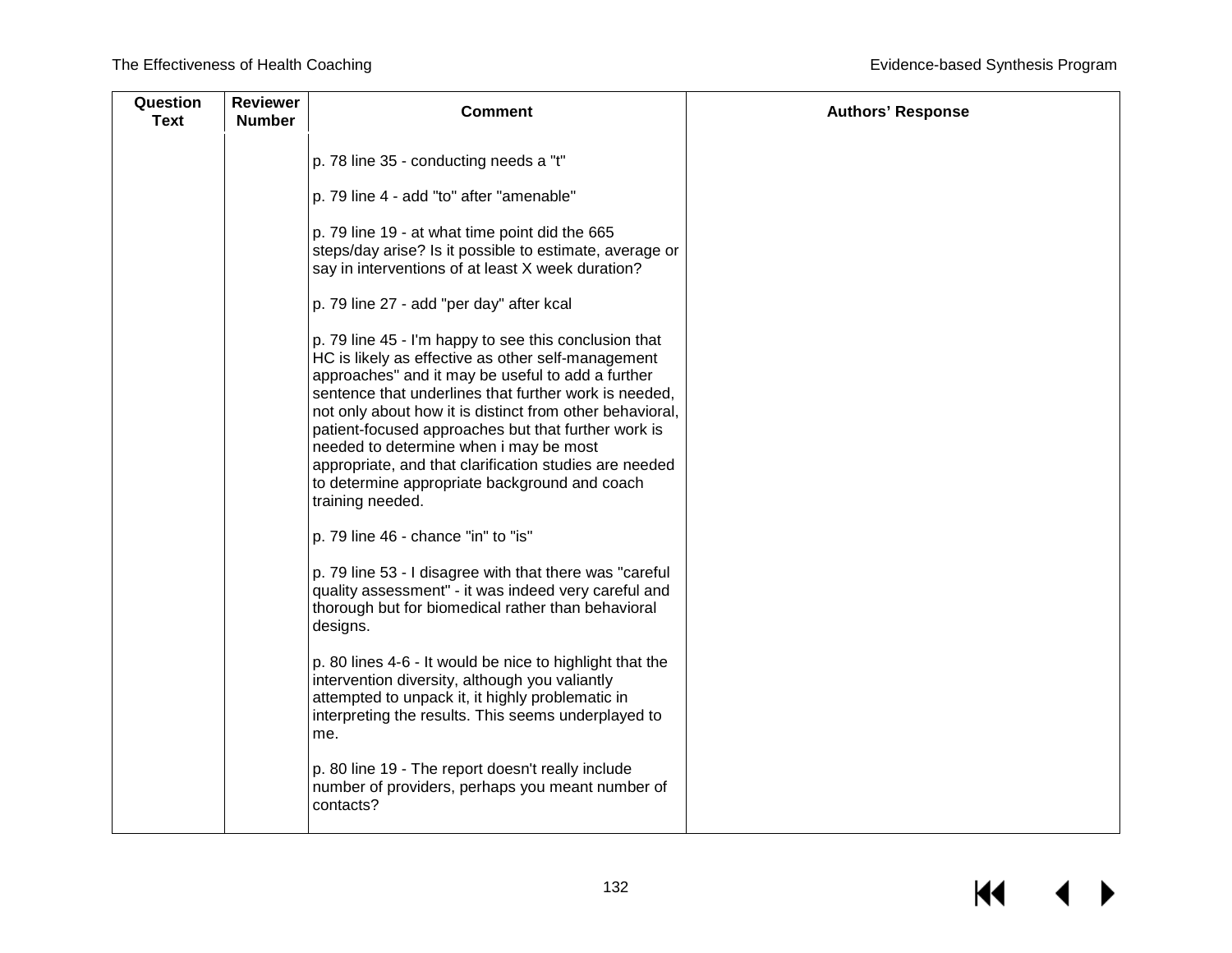| Question<br><b>Text</b> | <b>Reviewer</b><br><b>Number</b> | <b>Comment</b>                                                                                                                                                                                                                                                                                                                                                                                                                                                                                                        | <b>Authors' Response</b> |
|-------------------------|----------------------------------|-----------------------------------------------------------------------------------------------------------------------------------------------------------------------------------------------------------------------------------------------------------------------------------------------------------------------------------------------------------------------------------------------------------------------------------------------------------------------------------------------------------------------|--------------------------|
|                         |                                  | p. 78 line 35 - conducting needs a "t"                                                                                                                                                                                                                                                                                                                                                                                                                                                                                |                          |
|                         |                                  | p. 79 line 4 - add "to" after "amenable"                                                                                                                                                                                                                                                                                                                                                                                                                                                                              |                          |
|                         |                                  | p. 79 line 19 - at what time point did the 665<br>steps/day arise? Is it possible to estimate, average or<br>say in interventions of at least X week duration?                                                                                                                                                                                                                                                                                                                                                        |                          |
|                         |                                  | p. 79 line 27 - add "per day" after kcal                                                                                                                                                                                                                                                                                                                                                                                                                                                                              |                          |
|                         |                                  | p. 79 line 45 - I'm happy to see this conclusion that<br>HC is likely as effective as other self-management<br>approaches" and it may be useful to add a further<br>sentence that underlines that further work is needed.<br>not only about how it is distinct from other behavioral,<br>patient-focused approaches but that further work is<br>needed to determine when i may be most<br>appropriate, and that clarification studies are needed<br>to determine appropriate background and coach<br>training needed. |                          |
|                         |                                  | p. 79 line 46 - chance "in" to "is"                                                                                                                                                                                                                                                                                                                                                                                                                                                                                   |                          |
|                         |                                  | p. 79 line 53 - I disagree with that there was "careful<br>quality assessment" - it was indeed very careful and<br>thorough but for biomedical rather than behavioral<br>designs.                                                                                                                                                                                                                                                                                                                                     |                          |
|                         |                                  | p. 80 lines 4-6 - It would be nice to highlight that the<br>intervention diversity, although you valiantly<br>attempted to unpack it, it highly problematic in<br>interpreting the results. This seems underplayed to<br>me.                                                                                                                                                                                                                                                                                          |                          |
|                         |                                  | p. 80 line 19 - The report doesn't really include<br>number of providers, perhaps you meant number of<br>contacts?                                                                                                                                                                                                                                                                                                                                                                                                    |                          |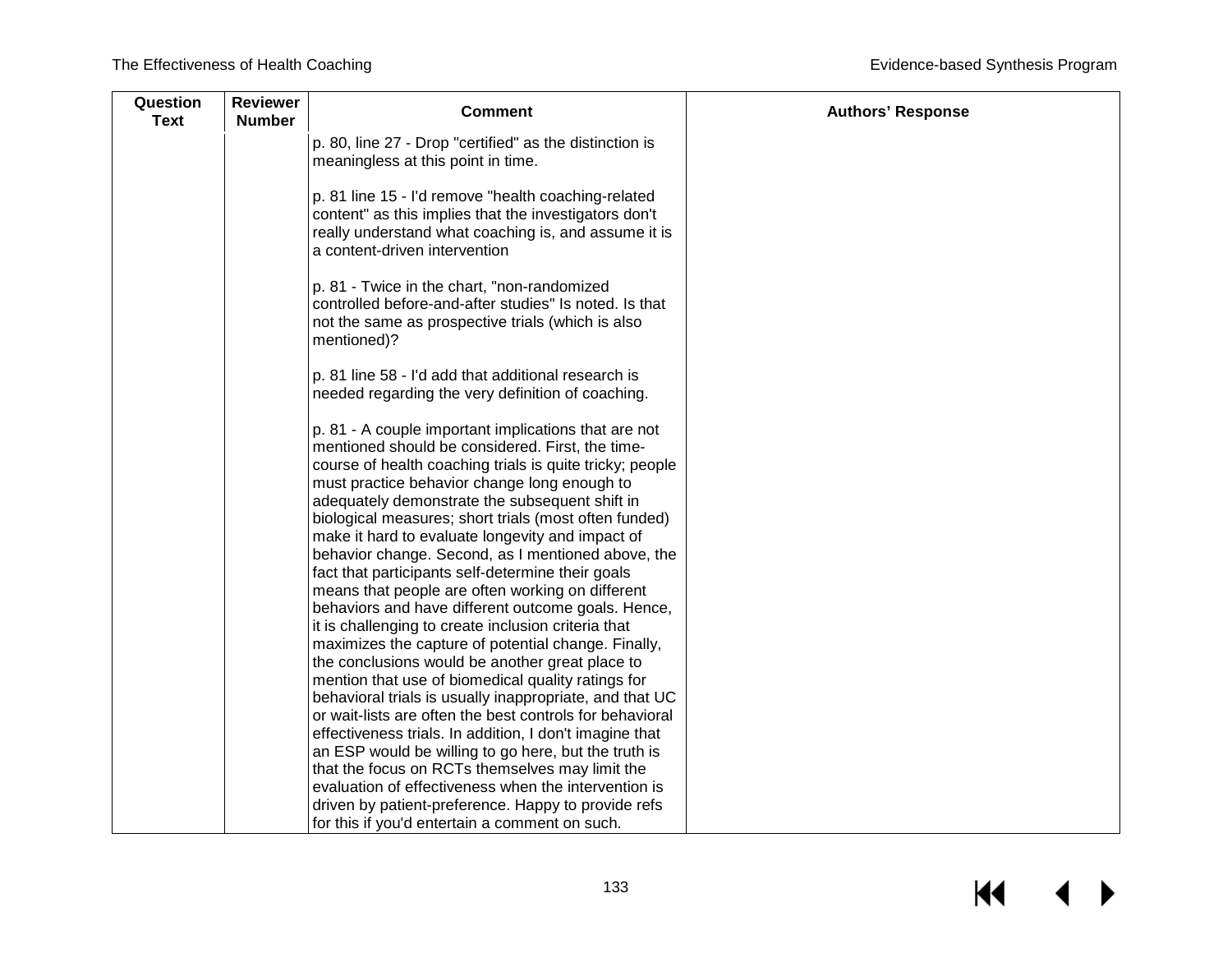| Question<br><b>Text</b> | <b>Reviewer</b><br><b>Number</b> | <b>Comment</b>                                                                                                                                                                                                                                                                                                                                                                                                                                                                                                                                                                                                                                                                                                                                                                                                                                                                             | <b>Authors' Response</b> |
|-------------------------|----------------------------------|--------------------------------------------------------------------------------------------------------------------------------------------------------------------------------------------------------------------------------------------------------------------------------------------------------------------------------------------------------------------------------------------------------------------------------------------------------------------------------------------------------------------------------------------------------------------------------------------------------------------------------------------------------------------------------------------------------------------------------------------------------------------------------------------------------------------------------------------------------------------------------------------|--------------------------|
|                         |                                  | p. 80, line 27 - Drop "certified" as the distinction is<br>meaningless at this point in time.                                                                                                                                                                                                                                                                                                                                                                                                                                                                                                                                                                                                                                                                                                                                                                                              |                          |
|                         |                                  | p. 81 line 15 - I'd remove "health coaching-related<br>content" as this implies that the investigators don't<br>really understand what coaching is, and assume it is<br>a content-driven intervention                                                                                                                                                                                                                                                                                                                                                                                                                                                                                                                                                                                                                                                                                      |                          |
|                         |                                  | p. 81 - Twice in the chart, "non-randomized<br>controlled before-and-after studies" Is noted. Is that<br>not the same as prospective trials (which is also<br>mentioned)?                                                                                                                                                                                                                                                                                                                                                                                                                                                                                                                                                                                                                                                                                                                  |                          |
|                         |                                  | p. 81 line 58 - I'd add that additional research is<br>needed regarding the very definition of coaching.                                                                                                                                                                                                                                                                                                                                                                                                                                                                                                                                                                                                                                                                                                                                                                                   |                          |
|                         |                                  | p. 81 - A couple important implications that are not<br>mentioned should be considered. First, the time-<br>course of health coaching trials is quite tricky; people<br>must practice behavior change long enough to<br>adequately demonstrate the subsequent shift in<br>biological measures; short trials (most often funded)<br>make it hard to evaluate longevity and impact of<br>behavior change. Second, as I mentioned above, the<br>fact that participants self-determine their goals<br>means that people are often working on different<br>behaviors and have different outcome goals. Hence,<br>it is challenging to create inclusion criteria that<br>maximizes the capture of potential change. Finally,<br>the conclusions would be another great place to<br>mention that use of biomedical quality ratings for<br>behavioral trials is usually inappropriate, and that UC |                          |
|                         |                                  | or wait-lists are often the best controls for behavioral<br>effectiveness trials. In addition, I don't imagine that<br>an ESP would be willing to go here, but the truth is<br>that the focus on RCTs themselves may limit the<br>evaluation of effectiveness when the intervention is<br>driven by patient-preference. Happy to provide refs<br>for this if you'd entertain a comment on such.                                                                                                                                                                                                                                                                                                                                                                                                                                                                                            |                          |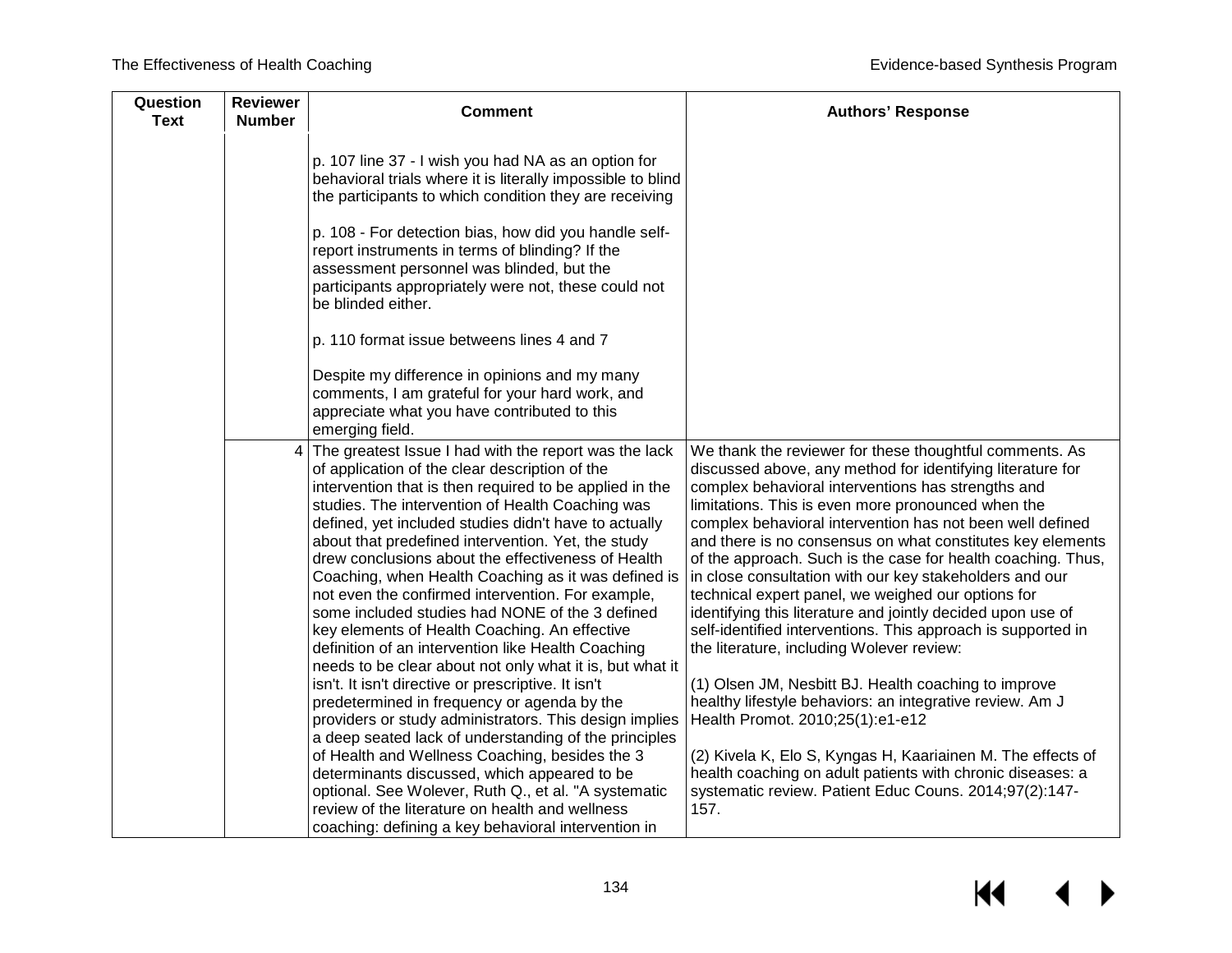| Question<br><b>Text</b> | <b>Reviewer</b><br><b>Number</b> | <b>Comment</b>                                                                                                                                                                                                                                                                                                                                                                                                                                                                                                                                                                                                                                                                                                                | <b>Authors' Response</b>                                                                                                                                                                                                                                                                                                                                                                                                                                                                                                                                                                                                                                                                                                  |
|-------------------------|----------------------------------|-------------------------------------------------------------------------------------------------------------------------------------------------------------------------------------------------------------------------------------------------------------------------------------------------------------------------------------------------------------------------------------------------------------------------------------------------------------------------------------------------------------------------------------------------------------------------------------------------------------------------------------------------------------------------------------------------------------------------------|---------------------------------------------------------------------------------------------------------------------------------------------------------------------------------------------------------------------------------------------------------------------------------------------------------------------------------------------------------------------------------------------------------------------------------------------------------------------------------------------------------------------------------------------------------------------------------------------------------------------------------------------------------------------------------------------------------------------------|
|                         |                                  | p. 107 line 37 - I wish you had NA as an option for<br>behavioral trials where it is literally impossible to blind<br>the participants to which condition they are receiving                                                                                                                                                                                                                                                                                                                                                                                                                                                                                                                                                  |                                                                                                                                                                                                                                                                                                                                                                                                                                                                                                                                                                                                                                                                                                                           |
|                         |                                  | p. 108 - For detection bias, how did you handle self-<br>report instruments in terms of blinding? If the<br>assessment personnel was blinded, but the<br>participants appropriately were not, these could not<br>be blinded either.                                                                                                                                                                                                                                                                                                                                                                                                                                                                                           |                                                                                                                                                                                                                                                                                                                                                                                                                                                                                                                                                                                                                                                                                                                           |
|                         |                                  | p. 110 format issue betweens lines 4 and 7                                                                                                                                                                                                                                                                                                                                                                                                                                                                                                                                                                                                                                                                                    |                                                                                                                                                                                                                                                                                                                                                                                                                                                                                                                                                                                                                                                                                                                           |
|                         |                                  | Despite my difference in opinions and my many<br>comments, I am grateful for your hard work, and<br>appreciate what you have contributed to this<br>emerging field.                                                                                                                                                                                                                                                                                                                                                                                                                                                                                                                                                           |                                                                                                                                                                                                                                                                                                                                                                                                                                                                                                                                                                                                                                                                                                                           |
|                         |                                  | The greatest Issue I had with the report was the lack<br>of application of the clear description of the<br>intervention that is then required to be applied in the<br>studies. The intervention of Health Coaching was<br>defined, yet included studies didn't have to actually<br>about that predefined intervention. Yet, the study<br>drew conclusions about the effectiveness of Health<br>Coaching, when Health Coaching as it was defined is<br>not even the confirmed intervention. For example,<br>some included studies had NONE of the 3 defined<br>key elements of Health Coaching. An effective<br>definition of an intervention like Health Coaching<br>needs to be clear about not only what it is, but what it | We thank the reviewer for these thoughtful comments. As<br>discussed above, any method for identifying literature for<br>complex behavioral interventions has strengths and<br>limitations. This is even more pronounced when the<br>complex behavioral intervention has not been well defined<br>and there is no consensus on what constitutes key elements<br>of the approach. Such is the case for health coaching. Thus,<br>in close consultation with our key stakeholders and our<br>technical expert panel, we weighed our options for<br>identifying this literature and jointly decided upon use of<br>self-identified interventions. This approach is supported in<br>the literature, including Wolever review: |
|                         |                                  | isn't. It isn't directive or prescriptive. It isn't<br>predetermined in frequency or agenda by the<br>providers or study administrators. This design implies<br>a deep seated lack of understanding of the principles                                                                                                                                                                                                                                                                                                                                                                                                                                                                                                         | (1) Olsen JM, Nesbitt BJ. Health coaching to improve<br>healthy lifestyle behaviors: an integrative review. Am J<br>Health Promot. 2010;25(1):e1-e12                                                                                                                                                                                                                                                                                                                                                                                                                                                                                                                                                                      |
|                         |                                  | of Health and Wellness Coaching, besides the 3<br>determinants discussed, which appeared to be<br>optional. See Wolever, Ruth Q., et al. "A systematic<br>review of the literature on health and wellness<br>coaching: defining a key behavioral intervention in                                                                                                                                                                                                                                                                                                                                                                                                                                                              | (2) Kivela K, Elo S, Kyngas H, Kaariainen M. The effects of<br>health coaching on adult patients with chronic diseases: a<br>systematic review. Patient Educ Couns. 2014;97(2):147-<br>157.                                                                                                                                                                                                                                                                                                                                                                                                                                                                                                                               |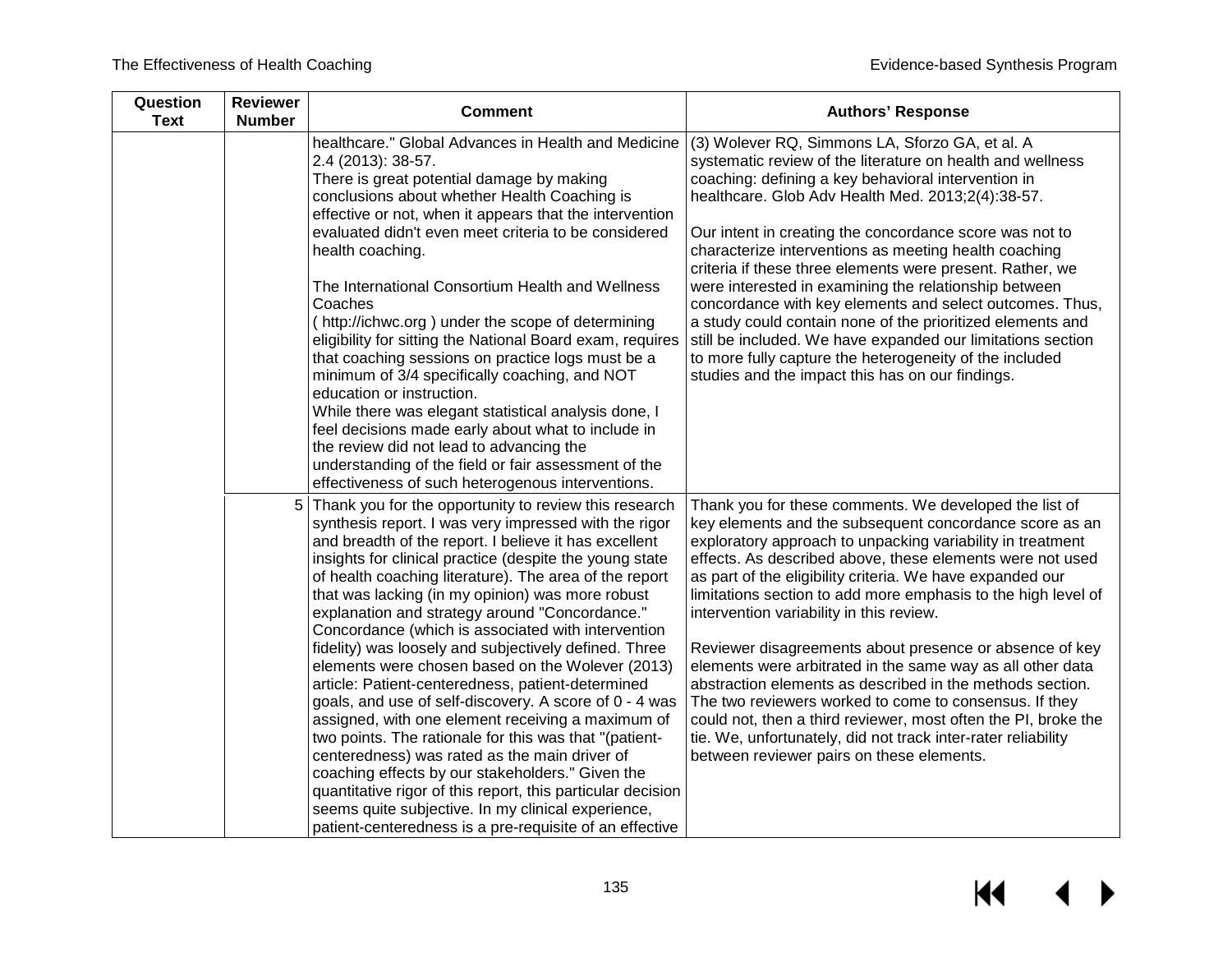| <b>Comment</b>                                                                                                                                                                                                                                                                                                                                                                                                                                                                                                                                                                                                                                                                                                                                                                              | <b>Authors' Response</b>                                                                                                                                                                                                                                                                                                                                                                                                                                                                                                                                                                                                                                                                                                                                                    |
|---------------------------------------------------------------------------------------------------------------------------------------------------------------------------------------------------------------------------------------------------------------------------------------------------------------------------------------------------------------------------------------------------------------------------------------------------------------------------------------------------------------------------------------------------------------------------------------------------------------------------------------------------------------------------------------------------------------------------------------------------------------------------------------------|-----------------------------------------------------------------------------------------------------------------------------------------------------------------------------------------------------------------------------------------------------------------------------------------------------------------------------------------------------------------------------------------------------------------------------------------------------------------------------------------------------------------------------------------------------------------------------------------------------------------------------------------------------------------------------------------------------------------------------------------------------------------------------|
| healthcare." Global Advances in Health and Medicine<br>2.4 (2013): 38-57.<br>There is great potential damage by making<br>conclusions about whether Health Coaching is<br>effective or not, when it appears that the intervention<br>evaluated didn't even meet criteria to be considered<br>health coaching.<br>The International Consortium Health and Wellness<br>Coaches<br>(http://ichwc.org) under the scope of determining<br>eligibility for sitting the National Board exam, requires<br>that coaching sessions on practice logs must be a<br>minimum of 3/4 specifically coaching, and NOT<br>education or instruction.<br>While there was elegant statistical analysis done, I<br>feel decisions made early about what to include in<br>the review did not lead to advancing the | (3) Wolever RQ, Simmons LA, Sforzo GA, et al. A<br>systematic review of the literature on health and wellness<br>coaching: defining a key behavioral intervention in<br>healthcare. Glob Adv Health Med. 2013;2(4):38-57.<br>Our intent in creating the concordance score was not to<br>characterize interventions as meeting health coaching<br>criteria if these three elements were present. Rather, we<br>were interested in examining the relationship between<br>concordance with key elements and select outcomes. Thus,<br>a study could contain none of the prioritized elements and<br>still be included. We have expanded our limitations section<br>to more fully capture the heterogeneity of the included<br>studies and the impact this has on our findings. |
| effectiveness of such heterogenous interventions.                                                                                                                                                                                                                                                                                                                                                                                                                                                                                                                                                                                                                                                                                                                                           |                                                                                                                                                                                                                                                                                                                                                                                                                                                                                                                                                                                                                                                                                                                                                                             |
| Thank you for the opportunity to review this research<br>synthesis report. I was very impressed with the rigor<br>and breadth of the report. I believe it has excellent<br>insights for clinical practice (despite the young state<br>of health coaching literature). The area of the report<br>that was lacking (in my opinion) was more robust<br>explanation and strategy around "Concordance."                                                                                                                                                                                                                                                                                                                                                                                          | Thank you for these comments. We developed the list of<br>key elements and the subsequent concordance score as an<br>exploratory approach to unpacking variability in treatment<br>effects. As described above, these elements were not used<br>as part of the eligibility criteria. We have expanded our<br>limitations section to add more emphasis to the high level of<br>intervention variability in this review.                                                                                                                                                                                                                                                                                                                                                      |
| fidelity) was loosely and subjectively defined. Three<br>elements were chosen based on the Wolever (2013)<br>article: Patient-centeredness, patient-determined<br>goals, and use of self-discovery. A score of 0 - 4 was<br>assigned, with one element receiving a maximum of<br>two points. The rationale for this was that "(patient-<br>centeredness) was rated as the main driver of<br>coaching effects by our stakeholders." Given the<br>quantitative rigor of this report, this particular decision<br>seems quite subjective. In my clinical experience,                                                                                                                                                                                                                           | Reviewer disagreements about presence or absence of key<br>elements were arbitrated in the same way as all other data<br>abstraction elements as described in the methods section.<br>The two reviewers worked to come to consensus. If they<br>could not, then a third reviewer, most often the PI, broke the<br>tie. We, unfortunately, did not track inter-rater reliability<br>between reviewer pairs on these elements.                                                                                                                                                                                                                                                                                                                                                |
|                                                                                                                                                                                                                                                                                                                                                                                                                                                                                                                                                                                                                                                                                                                                                                                             | understanding of the field or fair assessment of the<br>Concordance (which is associated with intervention<br>patient-centeredness is a pre-requisite of an effective                                                                                                                                                                                                                                                                                                                                                                                                                                                                                                                                                                                                       |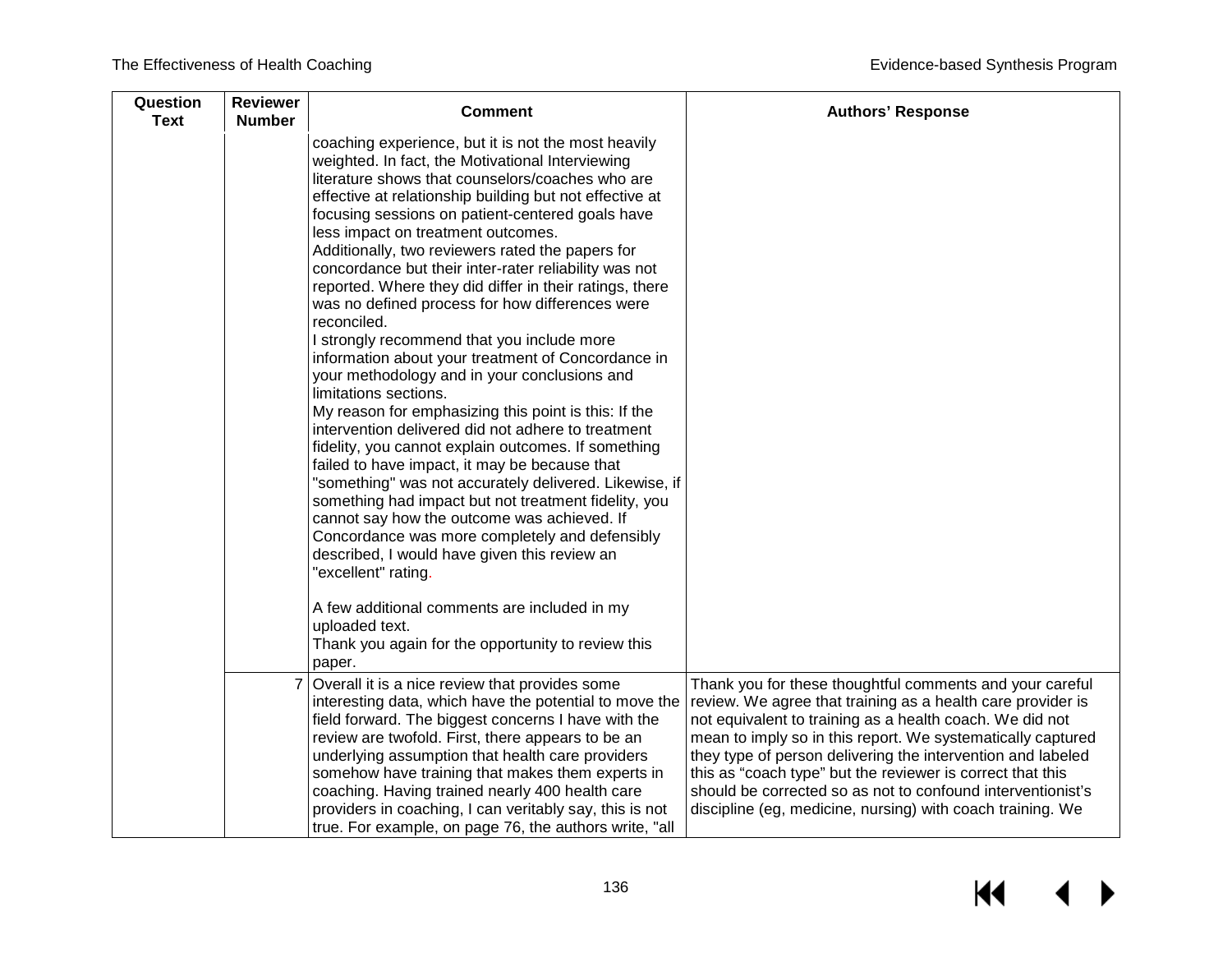| Question<br><b>Text</b> | <b>Reviewer</b><br><b>Number</b> | <b>Comment</b>                                                                                                                                                                                                                                                                                                                                                                                                                                                                                                                                                                                                                                                                                                                                                                                                                                                                                                                                                                                                                                                                                                                                                                                                                                                                                                                                                                            | <b>Authors' Response</b>                                                                                                                                                                                                                                                                                                                                                                                                                                                                                     |
|-------------------------|----------------------------------|-------------------------------------------------------------------------------------------------------------------------------------------------------------------------------------------------------------------------------------------------------------------------------------------------------------------------------------------------------------------------------------------------------------------------------------------------------------------------------------------------------------------------------------------------------------------------------------------------------------------------------------------------------------------------------------------------------------------------------------------------------------------------------------------------------------------------------------------------------------------------------------------------------------------------------------------------------------------------------------------------------------------------------------------------------------------------------------------------------------------------------------------------------------------------------------------------------------------------------------------------------------------------------------------------------------------------------------------------------------------------------------------|--------------------------------------------------------------------------------------------------------------------------------------------------------------------------------------------------------------------------------------------------------------------------------------------------------------------------------------------------------------------------------------------------------------------------------------------------------------------------------------------------------------|
|                         |                                  | coaching experience, but it is not the most heavily<br>weighted. In fact, the Motivational Interviewing<br>literature shows that counselors/coaches who are<br>effective at relationship building but not effective at<br>focusing sessions on patient-centered goals have<br>less impact on treatment outcomes.<br>Additionally, two reviewers rated the papers for<br>concordance but their inter-rater reliability was not<br>reported. Where they did differ in their ratings, there<br>was no defined process for how differences were<br>reconciled.<br>I strongly recommend that you include more<br>information about your treatment of Concordance in<br>your methodology and in your conclusions and<br>limitations sections.<br>My reason for emphasizing this point is this: If the<br>intervention delivered did not adhere to treatment<br>fidelity, you cannot explain outcomes. If something<br>failed to have impact, it may be because that<br>"something" was not accurately delivered. Likewise, if<br>something had impact but not treatment fidelity, you<br>cannot say how the outcome was achieved. If<br>Concordance was more completely and defensibly<br>described, I would have given this review an<br>"excellent" rating.<br>A few additional comments are included in my<br>uploaded text.<br>Thank you again for the opportunity to review this<br>paper. |                                                                                                                                                                                                                                                                                                                                                                                                                                                                                                              |
|                         |                                  | Overall it is a nice review that provides some<br>interesting data, which have the potential to move the<br>field forward. The biggest concerns I have with the<br>review are twofold. First, there appears to be an<br>underlying assumption that health care providers<br>somehow have training that makes them experts in<br>coaching. Having trained nearly 400 health care<br>providers in coaching, I can veritably say, this is not<br>true. For example, on page 76, the authors write, "all                                                                                                                                                                                                                                                                                                                                                                                                                                                                                                                                                                                                                                                                                                                                                                                                                                                                                      | Thank you for these thoughtful comments and your careful<br>review. We agree that training as a health care provider is<br>not equivalent to training as a health coach. We did not<br>mean to imply so in this report. We systematically captured<br>they type of person delivering the intervention and labeled<br>this as "coach type" but the reviewer is correct that this<br>should be corrected so as not to confound interventionist's<br>discipline (eg, medicine, nursing) with coach training. We |